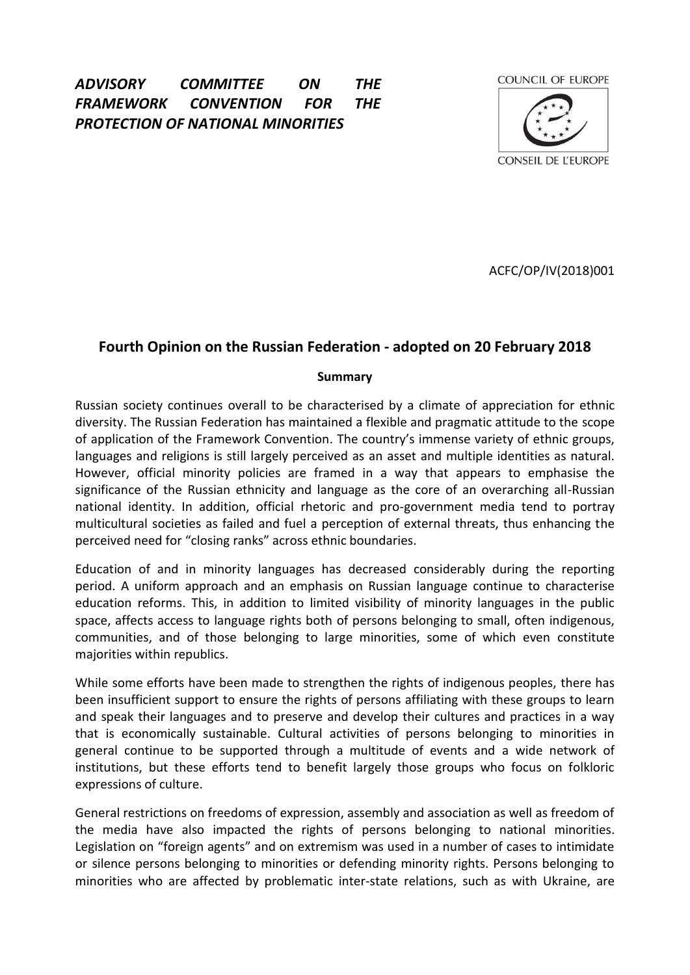# *ADVISORY COMMITTEE ON THE FRAMEWORK CONVENTION FOR THE PROTECTION OF NATIONAL MINORITIES*

COUNCIL OF EUROPE



ACFC/OP/IV(2018)001

# **Fourth Opinion on the Russian Federation - adopted on 20 February 2018**

#### **Summary**

Russian society continues overall to be characterised by a climate of appreciation for ethnic diversity. The Russian Federation has maintained a flexible and pragmatic attitude to the scope of application of the Framework Convention. The country's immense variety of ethnic groups, languages and religions is still largely perceived as an asset and multiple identities as natural. However, official minority policies are framed in a way that appears to emphasise the significance of the Russian ethnicity and language as the core of an overarching all-Russian national identity. In addition, official rhetoric and pro-government media tend to portray multicultural societies as failed and fuel a perception of external threats, thus enhancing the perceived need for "closing ranks" across ethnic boundaries.

Education of and in minority languages has decreased considerably during the reporting period. A uniform approach and an emphasis on Russian language continue to characterise education reforms. This, in addition to limited visibility of minority languages in the public space, affects access to language rights both of persons belonging to small, often indigenous, communities, and of those belonging to large minorities, some of which even constitute majorities within republics.

While some efforts have been made to strengthen the rights of indigenous peoples, there has been insufficient support to ensure the rights of persons affiliating with these groups to learn and speak their languages and to preserve and develop their cultures and practices in a way that is economically sustainable. Cultural activities of persons belonging to minorities in general continue to be supported through a multitude of events and a wide network of institutions, but these efforts tend to benefit largely those groups who focus on folkloric expressions of culture.

General restrictions on freedoms of expression, assembly and association as well as freedom of the media have also impacted the rights of persons belonging to national minorities. Legislation on "foreign agents" and on extremism was used in a number of cases to intimidate or silence persons belonging to minorities or defending minority rights. Persons belonging to minorities who are affected by problematic inter-state relations, such as with Ukraine, are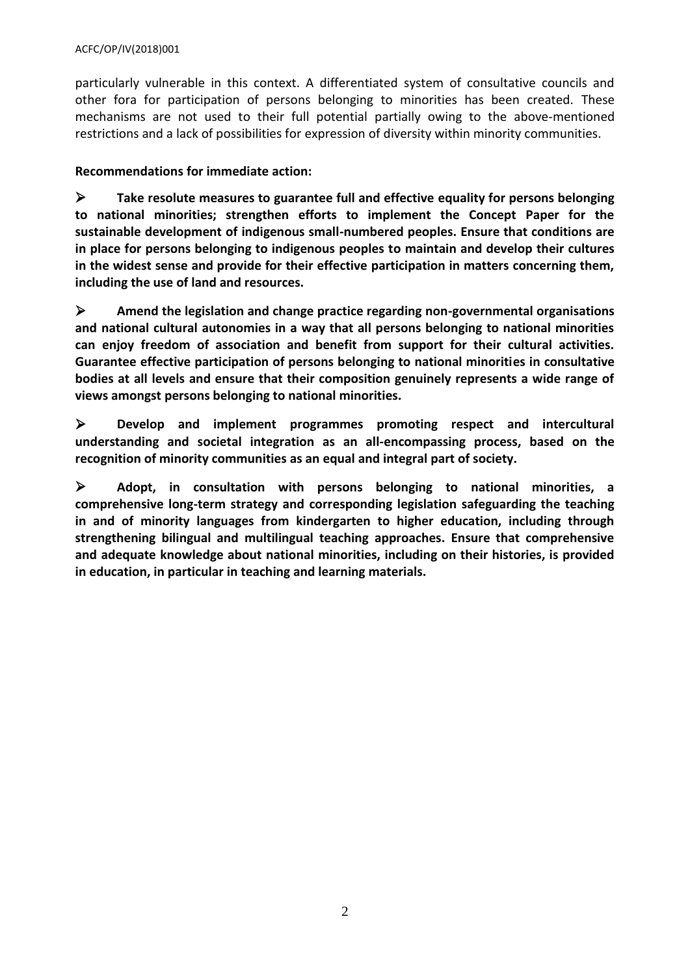particularly vulnerable in this context. A differentiated system of consultative councils and other fora for participation of persons belonging to minorities has been created. These mechanisms are not used to their full potential partially owing to the above-mentioned restrictions and a lack of possibilities for expression of diversity within minority communities.

**Recommendations for immediate action:** 

 **Take resolute measures to guarantee full and effective equality for persons belonging to national minorities; strengthen efforts to implement the Concept Paper for the sustainable development of indigenous small-numbered peoples. Ensure that conditions are in place for persons belonging to indigenous peoples to maintain and develop their cultures in the widest sense and provide for their effective participation in matters concerning them, including the use of land and resources.**

 **Amend the legislation and change practice regarding non-governmental organisations and national cultural autonomies in a way that all persons belonging to national minorities can enjoy freedom of association and benefit from support for their cultural activities. Guarantee effective participation of persons belonging to national minorities in consultative bodies at all levels and ensure that their composition genuinely represents a wide range of views amongst persons belonging to national minorities.** 

 **Develop and implement programmes promoting respect and intercultural understanding and societal integration as an all-encompassing process, based on the recognition of minority communities as an equal and integral part of society.**

 **Adopt, in consultation with persons belonging to national minorities, a comprehensive long-term strategy and corresponding legislation safeguarding the teaching in and of minority languages from kindergarten to higher education, including through strengthening bilingual and multilingual teaching approaches. Ensure that comprehensive and adequate knowledge about national minorities, including on their histories, is provided in education, in particular in teaching and learning materials.**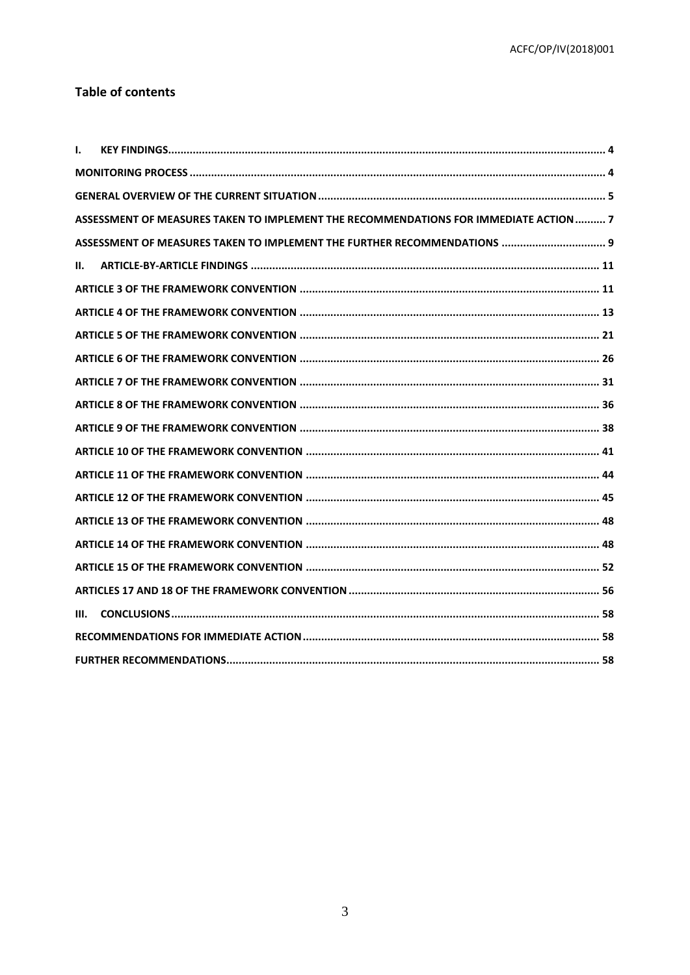# **Table of contents**

| I.   |                                                                                       |
|------|---------------------------------------------------------------------------------------|
|      |                                                                                       |
|      |                                                                                       |
|      | ASSESSMENT OF MEASURES TAKEN TO IMPLEMENT THE RECOMMENDATIONS FOR IMMEDIATE ACTION  7 |
|      | ASSESSMENT OF MEASURES TAKEN TO IMPLEMENT THE FURTHER RECOMMENDATIONS  9              |
| Н.   |                                                                                       |
|      |                                                                                       |
|      |                                                                                       |
|      |                                                                                       |
|      |                                                                                       |
|      |                                                                                       |
|      |                                                                                       |
|      |                                                                                       |
|      |                                                                                       |
|      |                                                                                       |
|      |                                                                                       |
|      |                                                                                       |
|      |                                                                                       |
|      |                                                                                       |
|      |                                                                                       |
| III. |                                                                                       |
|      |                                                                                       |
|      |                                                                                       |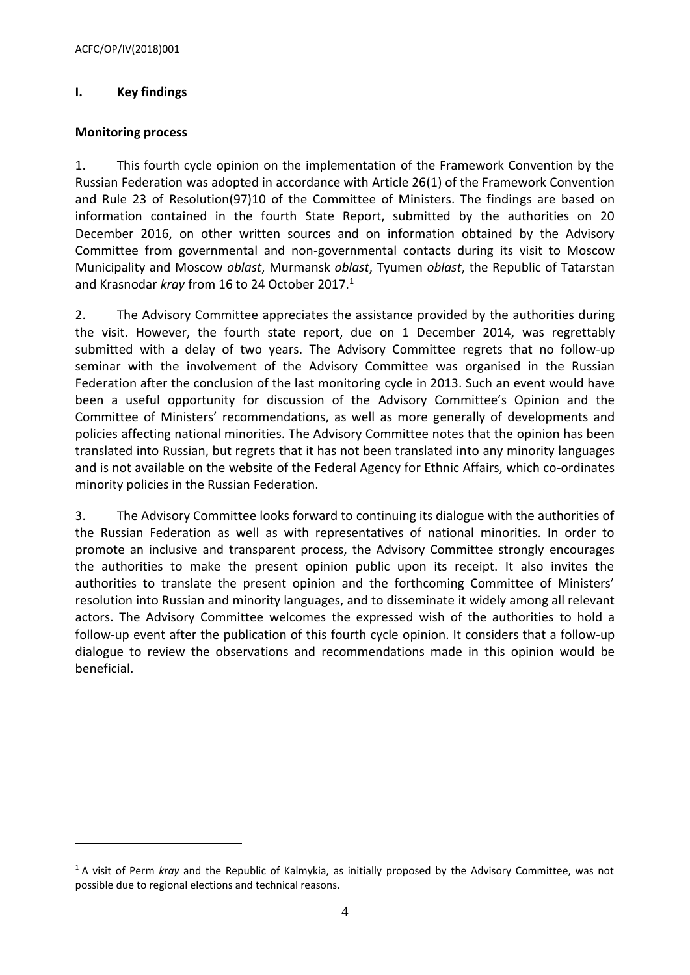# <span id="page-3-0"></span>**I. Key findings**

#### <span id="page-3-1"></span>**Monitoring process**

 $\overline{\phantom{a}}$ 

1. This fourth cycle opinion on the implementation of the Framework Convention by the Russian Federation was adopted in accordance with Article 26(1) of the Framework Convention and Rule 23 of Resolution(97)10 of the Committee of Ministers. The findings are based on information contained in the fourth State Report, submitted by the authorities on 20 December 2016, on other written sources and on information obtained by the Advisory Committee from governmental and non-governmental contacts during its visit to Moscow Municipality and Moscow *oblast*, Murmansk *oblast*, Tyumen *oblast*, the Republic of Tatarstan and Krasnodar *kray* from 16 to 24 October 2017.<sup>1</sup>

2. The Advisory Committee appreciates the assistance provided by the authorities during the visit. However, the fourth state report, due on 1 December 2014, was regrettably submitted with a delay of two years. The Advisory Committee regrets that no follow-up seminar with the involvement of the Advisory Committee was organised in the Russian Federation after the conclusion of the last monitoring cycle in 2013. Such an event would have been a useful opportunity for discussion of the Advisory Committee's Opinion and the Committee of Ministers' recommendations, as well as more generally of developments and policies affecting national minorities. The Advisory Committee notes that the opinion has been translated into Russian, but regrets that it has not been translated into any minority languages and is not available on the website of the Federal Agency for Ethnic Affairs, which co-ordinates minority policies in the Russian Federation.

3. The Advisory Committee looks forward to continuing its dialogue with the authorities of the Russian Federation as well as with representatives of national minorities. In order to promote an inclusive and transparent process, the Advisory Committee strongly encourages the authorities to make the present opinion public upon its receipt. It also invites the authorities to translate the present opinion and the forthcoming Committee of Ministers' resolution into Russian and minority languages, and to disseminate it widely among all relevant actors. The Advisory Committee welcomes the expressed wish of the authorities to hold a follow-up event after the publication of this fourth cycle opinion. It considers that a follow-up dialogue to review the observations and recommendations made in this opinion would be beneficial.

<sup>1</sup> A visit of Perm *kray* and the Republic of Kalmykia, as initially proposed by the Advisory Committee, was not possible due to regional elections and technical reasons.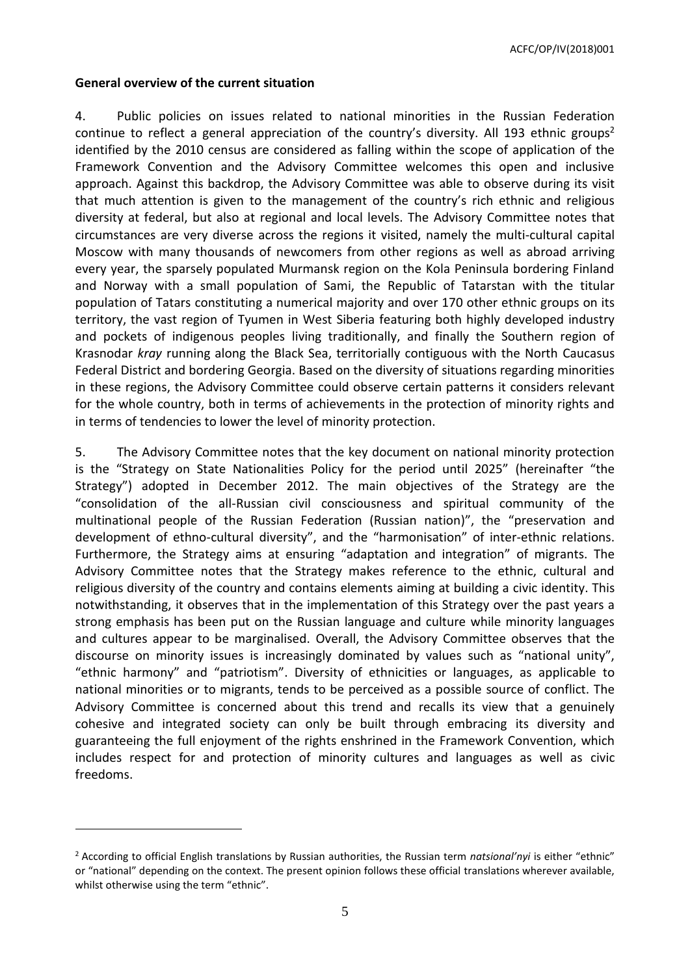ACFC/OP/IV(2018)001

#### <span id="page-4-0"></span>**General overview of the current situation**

 $\overline{\phantom{a}}$ 

4. Public policies on issues related to national minorities in the Russian Federation continue to reflect a general appreciation of the country's diversity. All 193 ethnic groups<sup>2</sup> identified by the 2010 census are considered as falling within the scope of application of the Framework Convention and the Advisory Committee welcomes this open and inclusive approach. Against this backdrop, the Advisory Committee was able to observe during its visit that much attention is given to the management of the country's rich ethnic and religious diversity at federal, but also at regional and local levels. The Advisory Committee notes that circumstances are very diverse across the regions it visited, namely the multi-cultural capital Moscow with many thousands of newcomers from other regions as well as abroad arriving every year, the sparsely populated Murmansk region on the Kola Peninsula bordering Finland and Norway with a small population of Sami, the Republic of Tatarstan with the titular population of Tatars constituting a numerical majority and over 170 other ethnic groups on its territory, the vast region of Tyumen in West Siberia featuring both highly developed industry and pockets of indigenous peoples living traditionally, and finally the Southern region of Krasnodar *kray* running along the Black Sea, territorially contiguous with the North Caucasus Federal District and bordering Georgia. Based on the diversity of situations regarding minorities in these regions, the Advisory Committee could observe certain patterns it considers relevant for the whole country, both in terms of achievements in the protection of minority rights and in terms of tendencies to lower the level of minority protection.

5. The Advisory Committee notes that the key document on national minority protection is the "Strategy on State Nationalities Policy for the period until 2025" (hereinafter "the Strategy") adopted in December 2012. The main objectives of the Strategy are the "consolidation of the all-Russian civil consciousness and spiritual community of the multinational people of the Russian Federation (Russian nation)", the "preservation and development of ethno-cultural diversity", and the "harmonisation" of inter-ethnic relations. Furthermore, the Strategy aims at ensuring "adaptation and integration" of migrants. The Advisory Committee notes that the Strategy makes reference to the ethnic, cultural and religious diversity of the country and contains elements aiming at building a civic identity. This notwithstanding, it observes that in the implementation of this Strategy over the past years a strong emphasis has been put on the Russian language and culture while minority languages and cultures appear to be marginalised. Overall, the Advisory Committee observes that the discourse on minority issues is increasingly dominated by values such as "national unity", "ethnic harmony" and "patriotism". Diversity of ethnicities or languages, as applicable to national minorities or to migrants, tends to be perceived as a possible source of conflict. The Advisory Committee is concerned about this trend and recalls its view that a genuinely cohesive and integrated society can only be built through embracing its diversity and guaranteeing the full enjoyment of the rights enshrined in the Framework Convention, which includes respect for and protection of minority cultures and languages as well as civic freedoms.

<sup>2</sup> According to official English translations by Russian authorities, the Russian term *natsional'nyi* is either "ethnic" or "national" depending on the context. The present opinion follows these official translations wherever available, whilst otherwise using the term "ethnic".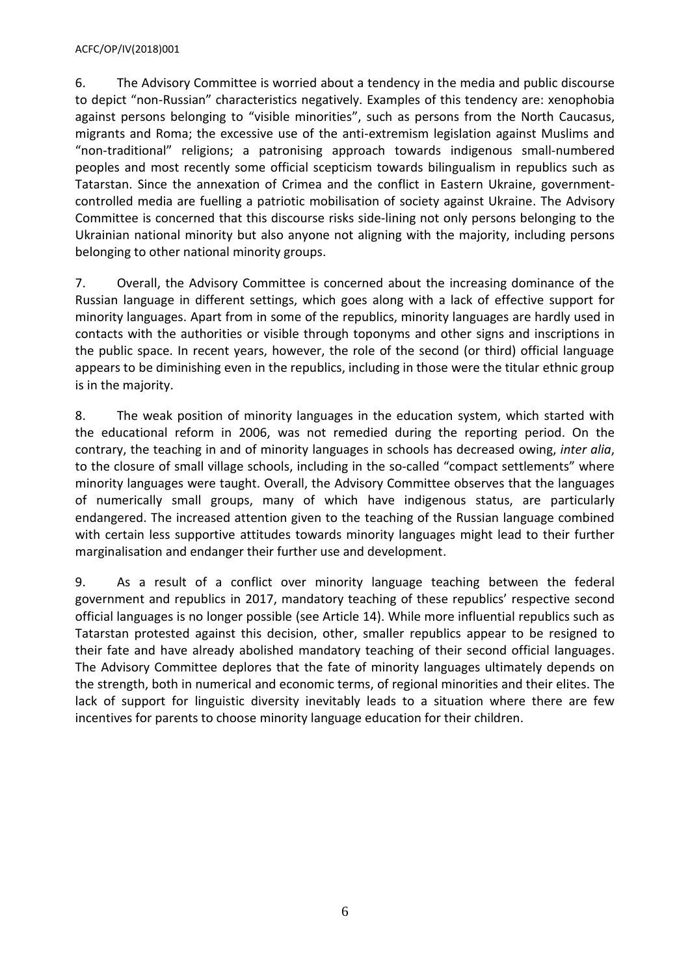#### ACFC/OP/IV(2018)001

6. The Advisory Committee is worried about a tendency in the media and public discourse to depict "non-Russian" characteristics negatively. Examples of this tendency are: xenophobia against persons belonging to "visible minorities", such as persons from the North Caucasus, migrants and Roma; the excessive use of the anti-extremism legislation against Muslims and "non-traditional" religions; a patronising approach towards indigenous small-numbered peoples and most recently some official scepticism towards bilingualism in republics such as Tatarstan. Since the annexation of Crimea and the conflict in Eastern Ukraine, governmentcontrolled media are fuelling a patriotic mobilisation of society against Ukraine. The Advisory Committee is concerned that this discourse risks side-lining not only persons belonging to the Ukrainian national minority but also anyone not aligning with the majority, including persons belonging to other national minority groups.

7. Overall, the Advisory Committee is concerned about the increasing dominance of the Russian language in different settings, which goes along with a lack of effective support for minority languages. Apart from in some of the republics, minority languages are hardly used in contacts with the authorities or visible through toponyms and other signs and inscriptions in the public space. In recent years, however, the role of the second (or third) official language appears to be diminishing even in the republics, including in those were the titular ethnic group is in the majority.

8. The weak position of minority languages in the education system, which started with the educational reform in 2006, was not remedied during the reporting period. On the contrary, the teaching in and of minority languages in schools has decreased owing, *inter alia*, to the closure of small village schools, including in the so-called "compact settlements" where minority languages were taught. Overall, the Advisory Committee observes that the languages of numerically small groups, many of which have indigenous status, are particularly endangered. The increased attention given to the teaching of the Russian language combined with certain less supportive attitudes towards minority languages might lead to their further marginalisation and endanger their further use and development.

9. As a result of a conflict over minority language teaching between the federal government and republics in 2017, mandatory teaching of these republics' respective second official languages is no longer possible (see Article 14). While more influential republics such as Tatarstan protested against this decision, other, smaller republics appear to be resigned to their fate and have already abolished mandatory teaching of their second official languages. The Advisory Committee deplores that the fate of minority languages ultimately depends on the strength, both in numerical and economic terms, of regional minorities and their elites. The lack of support for linguistic diversity inevitably leads to a situation where there are few incentives for parents to choose minority language education for their children.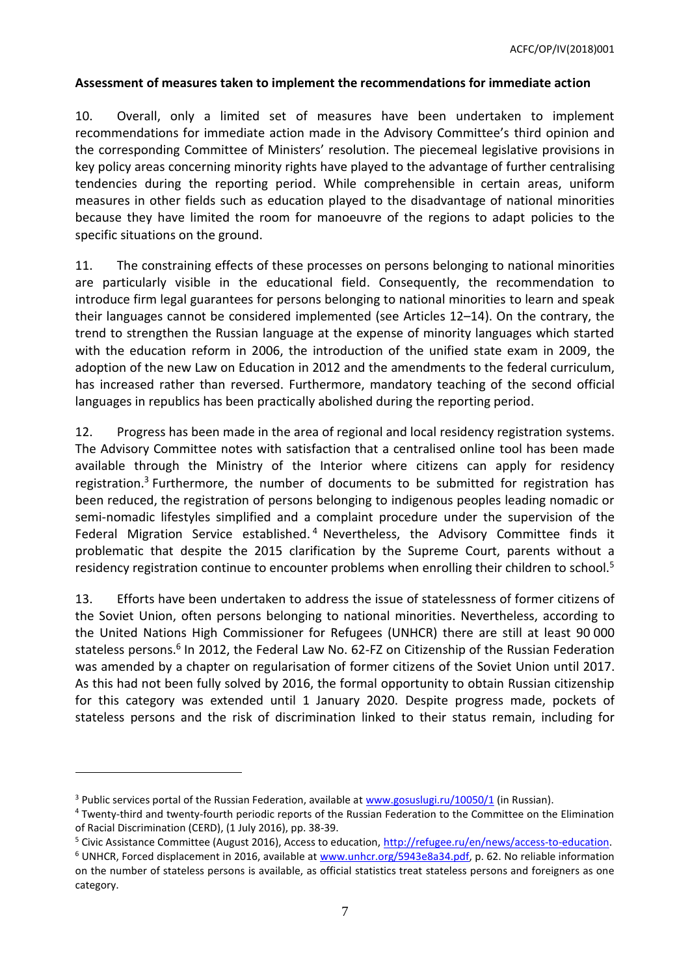### <span id="page-6-0"></span>**Assessment of measures taken to implement the recommendations for immediate action**

10. Overall, only a limited set of measures have been undertaken to implement recommendations for immediate action made in the Advisory Committee's third opinion and the corresponding Committee of Ministers' resolution. The piecemeal legislative provisions in key policy areas concerning minority rights have played to the advantage of further centralising tendencies during the reporting period. While comprehensible in certain areas, uniform measures in other fields such as education played to the disadvantage of national minorities because they have limited the room for manoeuvre of the regions to adapt policies to the specific situations on the ground.

11. The constraining effects of these processes on persons belonging to national minorities are particularly visible in the educational field. Consequently, the recommendation to introduce firm legal guarantees for persons belonging to national minorities to learn and speak their languages cannot be considered implemented (see Articles 12–14). On the contrary, the trend to strengthen the Russian language at the expense of minority languages which started with the education reform in 2006, the introduction of the unified state exam in 2009, the adoption of the new Law on Education in 2012 and the amendments to the federal curriculum, has increased rather than reversed. Furthermore, mandatory teaching of the second official languages in republics has been practically abolished during the reporting period.

12. Progress has been made in the area of regional and local residency registration systems. The Advisory Committee notes with satisfaction that a centralised online tool has been made available through the Ministry of the Interior where citizens can apply for residency registration.<sup>3</sup> Furthermore, the number of documents to be submitted for registration has been reduced, the registration of persons belonging to indigenous peoples leading nomadic or semi-nomadic lifestyles simplified and a complaint procedure under the supervision of the Federal Migration Service established.<sup>4</sup> Nevertheless, the Advisory Committee finds it problematic that despite the 2015 clarification by the Supreme Court, parents without a residency registration continue to encounter problems when enrolling their children to school.<sup>5</sup>

13. Efforts have been undertaken to address the issue of statelessness of former citizens of the Soviet Union, often persons belonging to national minorities. Nevertheless, according to the United Nations High Commissioner for Refugees (UNHCR) there are still at least 90 000 stateless persons.<sup>6</sup> In 2012, the Federal Law No. 62-FZ on Citizenship of the Russian Federation was amended by a chapter on regularisation of former citizens of the Soviet Union until 2017. As this had not been fully solved by 2016, the formal opportunity to obtain Russian citizenship for this category was extended until 1 January 2020. Despite progress made, pockets of stateless persons and the risk of discrimination linked to their status remain, including for

<sup>&</sup>lt;sup>3</sup> Public services portal of the Russian Federation, available a[t www.gosuslugi.ru/10050/1](http://www.gosuslugi.ru/10050/1) (in Russian).

<sup>4</sup> Twenty-third and twenty-fourth periodic reports of the Russian Federation to the Committee on the Elimination of Racial Discrimination (CERD), (1 July 2016), pp. 38-39.

<sup>5</sup> Civic Assistance Committee (August 2016), Access to education, [http://refugee.ru/en/news/access-to-education.](http://refugee.ru/en/news/access-to-education/)

<sup>&</sup>lt;sup>6</sup> UNHCR, Forced displacement in 2016, available at [www.unhcr.org/5943e8a34.pdf,](http://www.unhcr.org/5943e8a34.pdf) p. 62. No reliable information on the number of stateless persons is available, as official statistics treat stateless persons and foreigners as one category.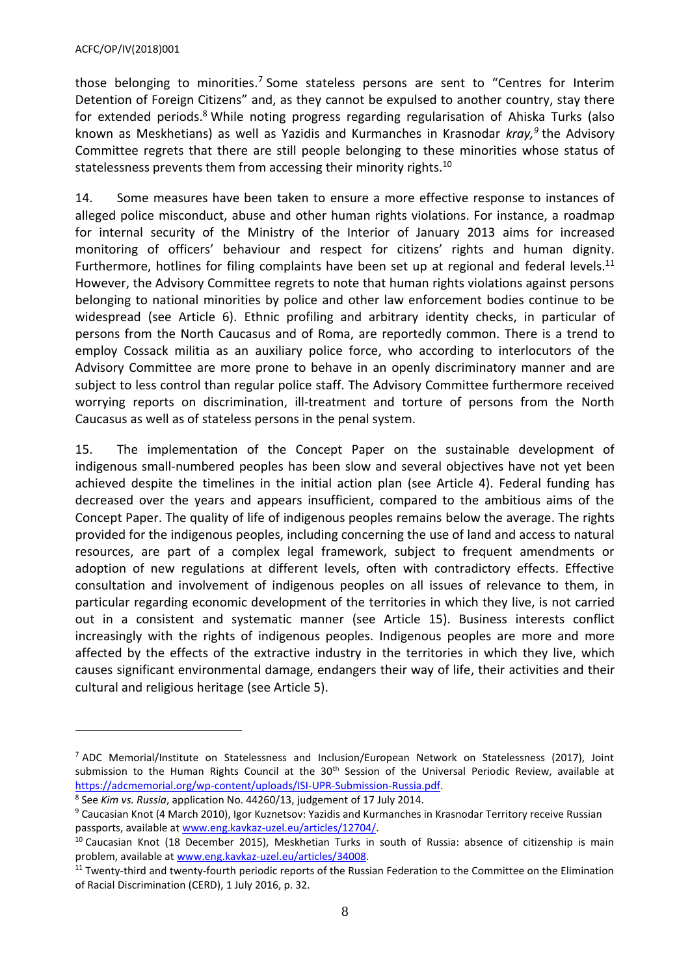$\overline{a}$ 

those belonging to minorities.<sup>7</sup> Some stateless persons are sent to "Centres for Interim Detention of Foreign Citizens" and, as they cannot be expulsed to another country, stay there for extended periods.<sup>8</sup> While noting progress regarding regularisation of Ahiska Turks (also known as Meskhetians) as well as Yazidis and Kurmanches in Krasnodar *kray,<sup>9</sup>* the Advisory Committee regrets that there are still people belonging to these minorities whose status of statelessness prevents them from accessing their minority rights.<sup>10</sup>

14. Some measures have been taken to ensure a more effective response to instances of alleged police misconduct, abuse and other human rights violations. For instance, a roadmap for internal security of the Ministry of the Interior of January 2013 aims for increased monitoring of officers' behaviour and respect for citizens' rights and human dignity. Furthermore, hotlines for filing complaints have been set up at regional and federal levels.<sup>11</sup> However, the Advisory Committee regrets to note that human rights violations against persons belonging to national minorities by police and other law enforcement bodies continue to be widespread (see Article 6). Ethnic profiling and arbitrary identity checks, in particular of persons from the North Caucasus and of Roma, are reportedly common. There is a trend to employ Cossack militia as an auxiliary police force, who according to interlocutors of the Advisory Committee are more prone to behave in an openly discriminatory manner and are subject to less control than regular police staff. The Advisory Committee furthermore received worrying reports on discrimination, ill-treatment and torture of persons from the North Caucasus as well as of stateless persons in the penal system.

15. The implementation of the Concept Paper on the sustainable development of indigenous small-numbered peoples has been slow and several objectives have not yet been achieved despite the timelines in the initial action plan (see Article 4). Federal funding has decreased over the years and appears insufficient, compared to the ambitious aims of the Concept Paper. The quality of life of indigenous peoples remains below the average. The rights provided for the indigenous peoples, including concerning the use of land and access to natural resources, are part of a complex legal framework, subject to frequent amendments or adoption of new regulations at different levels, often with contradictory effects. Effective consultation and involvement of indigenous peoples on all issues of relevance to them, in particular regarding economic development of the territories in which they live, is not carried out in a consistent and systematic manner (see Article 15). Business interests conflict increasingly with the rights of indigenous peoples. Indigenous peoples are more and more affected by the effects of the extractive industry in the territories in which they live, which causes significant environmental damage, endangers their way of life, their activities and their cultural and religious heritage (see Article 5).

<sup>7</sup> ADC Memorial/Institute on Statelessness and Inclusion/European Network on Statelessness (2017), Joint submission to the Human Rights Council at the 30<sup>th</sup> Session of the Universal Periodic Review, available at [https://adcmemorial.org/wp-content/uploads/ISI-UPR-Submission-Russia.pdf.](https://adcmemorial.org/wp-content/uploads/ISI-UPR-Submission-Russia.pdf)

<sup>8</sup> See *Kim vs. Russia*, application No. 44260/13, judgement of 17 July 2014.

<sup>9</sup> Caucasian Knot (4 March 2010), Igor Kuznetsov: Yazidis and Kurmanches in Krasnodar Territory receive Russian passports, available a[t www.eng.kavkaz-uzel.eu/articles/12704/.](http://www.eng.kavkaz-uzel.eu/articles/12704/)

<sup>&</sup>lt;sup>10</sup> Caucasian Knot (18 December 2015), Meskhetian Turks in south of Russia: absence of citizenship is main problem, available at [www.eng.kavkaz-uzel.eu/articles/34008.](http://www.eng.kavkaz-uzel.eu/articles/34008)

 $11$  Twenty-third and twenty-fourth periodic reports of the Russian Federation to the Committee on the Elimination of Racial Discrimination (CERD), 1 July 2016, p. 32.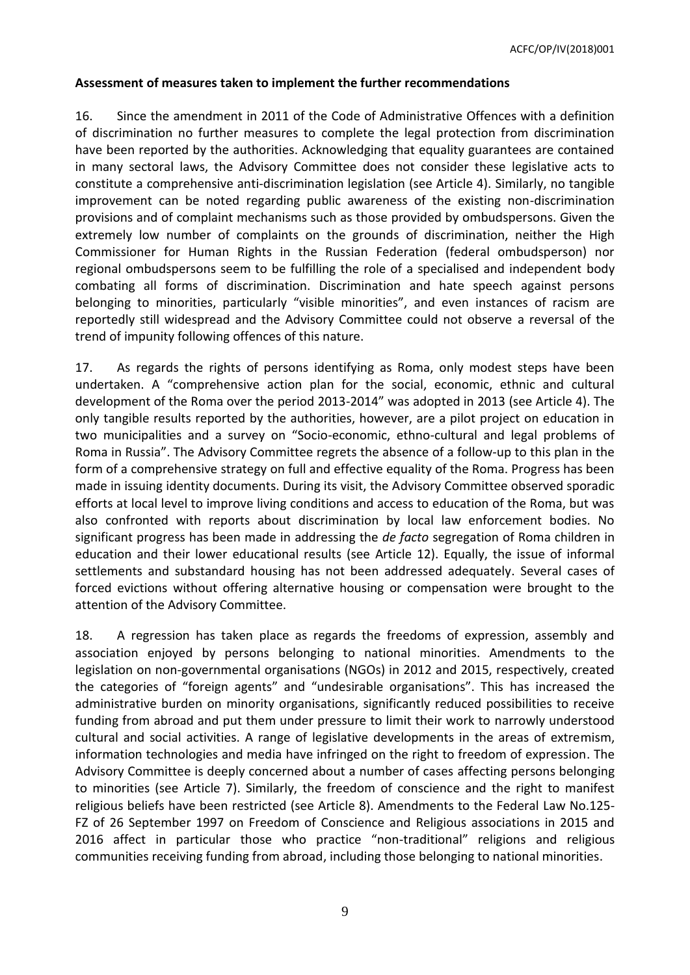ACFC/OP/IV(2018)001

### <span id="page-8-0"></span>**Assessment of measures taken to implement the further recommendations**

16. Since the amendment in 2011 of the Code of Administrative Offences with a definition of discrimination no further measures to complete the legal protection from discrimination have been reported by the authorities. Acknowledging that equality guarantees are contained in many sectoral laws, the Advisory Committee does not consider these legislative acts to constitute a comprehensive anti-discrimination legislation (see Article 4). Similarly, no tangible improvement can be noted regarding public awareness of the existing non-discrimination provisions and of complaint mechanisms such as those provided by ombudspersons. Given the extremely low number of complaints on the grounds of discrimination, neither the High Commissioner for Human Rights in the Russian Federation (federal ombudsperson) nor regional ombudspersons seem to be fulfilling the role of a specialised and independent body combating all forms of discrimination. Discrimination and hate speech against persons belonging to minorities, particularly "visible minorities", and even instances of racism are reportedly still widespread and the Advisory Committee could not observe a reversal of the trend of impunity following offences of this nature.

17. As regards the rights of persons identifying as Roma, only modest steps have been undertaken. A "comprehensive action plan for the social, economic, ethnic and cultural development of the Roma over the period 2013-2014" was adopted in 2013 (see Article 4). The only tangible results reported by the authorities, however, are a pilot project on education in two municipalities and a survey on "Socio-economic, ethno-cultural and legal problems of Roma in Russia". The Advisory Committee regrets the absence of a follow-up to this plan in the form of a comprehensive strategy on full and effective equality of the Roma. Progress has been made in issuing identity documents. During its visit, the Advisory Committee observed sporadic efforts at local level to improve living conditions and access to education of the Roma, but was also confronted with reports about discrimination by local law enforcement bodies. No significant progress has been made in addressing the *de facto* segregation of Roma children in education and their lower educational results (see Article 12). Equally, the issue of informal settlements and substandard housing has not been addressed adequately. Several cases of forced evictions without offering alternative housing or compensation were brought to the attention of the Advisory Committee.

18. A regression has taken place as regards the freedoms of expression, assembly and association enjoyed by persons belonging to national minorities. Amendments to the legislation on non-governmental organisations (NGOs) in 2012 and 2015, respectively, created the categories of "foreign agents" and "undesirable organisations". This has increased the administrative burden on minority organisations, significantly reduced possibilities to receive funding from abroad and put them under pressure to limit their work to narrowly understood cultural and social activities. A range of legislative developments in the areas of extremism, information technologies and media have infringed on the right to freedom of expression. The Advisory Committee is deeply concerned about a number of cases affecting persons belonging to minorities (see Article 7). Similarly, the freedom of conscience and the right to manifest religious beliefs have been restricted (see Article 8). Amendments to the Federal Law No.125- FZ of 26 September 1997 on Freedom of Conscience and Religious associations in 2015 and 2016 affect in particular those who practice "non-traditional" religions and religious communities receiving funding from abroad, including those belonging to national minorities.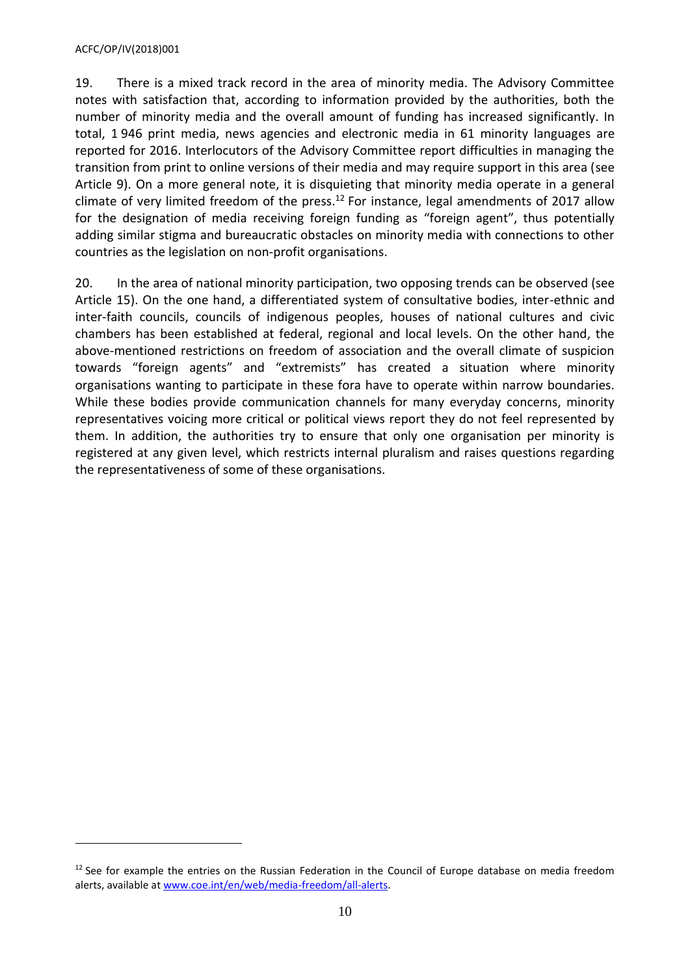#### ACFC/OP/IV(2018)001

 $\overline{\phantom{a}}$ 

19. There is a mixed track record in the area of minority media. The Advisory Committee notes with satisfaction that, according to information provided by the authorities, both the number of minority media and the overall amount of funding has increased significantly. In total, 1 946 print media, news agencies and electronic media in 61 minority languages are reported for 2016. Interlocutors of the Advisory Committee report difficulties in managing the transition from print to online versions of their media and may require support in this area (see Article 9). On a more general note, it is disquieting that minority media operate in a general climate of very limited freedom of the press.<sup>12</sup> For instance, legal amendments of 2017 allow for the designation of media receiving foreign funding as "foreign agent", thus potentially adding similar stigma and bureaucratic obstacles on minority media with connections to other countries as the legislation on non-profit organisations.

20. In the area of national minority participation, two opposing trends can be observed (see Article 15). On the one hand, a differentiated system of consultative bodies, inter-ethnic and inter-faith councils, councils of indigenous peoples, houses of national cultures and civic chambers has been established at federal, regional and local levels. On the other hand, the above-mentioned restrictions on freedom of association and the overall climate of suspicion towards "foreign agents" and "extremists" has created a situation where minority organisations wanting to participate in these fora have to operate within narrow boundaries. While these bodies provide communication channels for many everyday concerns, minority representatives voicing more critical or political views report they do not feel represented by them. In addition, the authorities try to ensure that only one organisation per minority is registered at any given level, which restricts internal pluralism and raises questions regarding the representativeness of some of these organisations.

 $12$  See for example the entries on the Russian Federation in the Council of Europe database on media freedom alerts, available at [www.coe.int/en/web/media-freedom/all-alerts.](http://www.coe.int/en/web/media-freedom/all-alerts)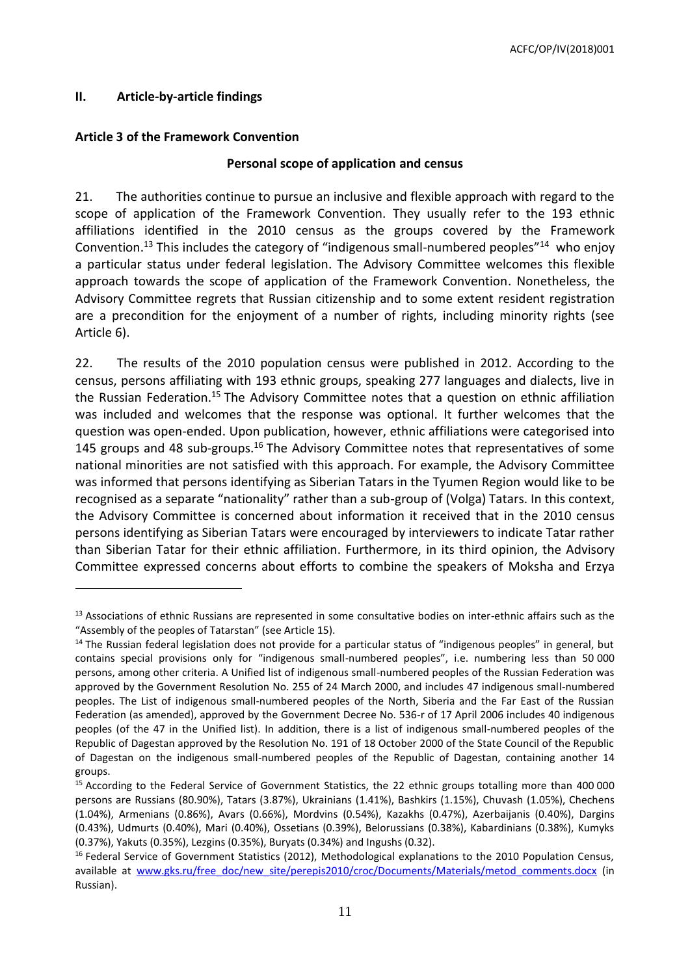# <span id="page-10-0"></span>**II. Article-by-article findings**

 $\overline{a}$ 

### <span id="page-10-1"></span>**Article 3 of the Framework Convention**

### **Personal scope of application and census**

21. The authorities continue to pursue an inclusive and flexible approach with regard to the scope of application of the Framework Convention. They usually refer to the 193 ethnic affiliations identified in the 2010 census as the groups covered by the Framework Convention.<sup>13</sup> This includes the category of "indigenous small-numbered peoples"<sup>14</sup> who enjoy a particular status under federal legislation. The Advisory Committee welcomes this flexible approach towards the scope of application of the Framework Convention. Nonetheless, the Advisory Committee regrets that Russian citizenship and to some extent resident registration are a precondition for the enjoyment of a number of rights, including minority rights (see Article 6).

22. The results of the 2010 population census were published in 2012. According to the census, persons affiliating with 193 ethnic groups, speaking 277 languages and dialects, live in the Russian Federation.<sup>15</sup> The Advisory Committee notes that a question on ethnic affiliation was included and welcomes that the response was optional. It further welcomes that the question was open-ended. Upon publication, however, ethnic affiliations were categorised into 145 groups and 48 sub-groups.<sup>16</sup> The Advisory Committee notes that representatives of some national minorities are not satisfied with this approach. For example, the Advisory Committee was informed that persons identifying as Siberian Tatars in the Tyumen Region would like to be recognised as a separate "nationality" rather than a sub-group of (Volga) Tatars. In this context, the Advisory Committee is concerned about information it received that in the 2010 census persons identifying as Siberian Tatars were encouraged by interviewers to indicate Tatar rather than Siberian Tatar for their ethnic affiliation. Furthermore, in its third opinion, the Advisory Committee expressed concerns about efforts to combine the speakers of Moksha and Erzya

<sup>&</sup>lt;sup>13</sup> Associations of ethnic Russians are represented in some consultative bodies on inter-ethnic affairs such as the "Assembly of the peoples of Tatarstan" (see Article 15).

<sup>&</sup>lt;sup>14</sup> The Russian federal legislation does not provide for a particular status of "indigenous peoples" in general, but contains special provisions only for "indigenous small-numbered peoples", i.e. numbering less than 50 000 persons, among other criteria. A Unified list of indigenous small-numbered peoples of the Russian Federation was approved by the Government Resolution No. 255 of 24 March 2000, and includes 47 indigenous small-numbered peoples. The List of indigenous small-numbered peoples of the North, Siberia and the Far East of the Russian Federation (as amended), approved by the Government Decree No. 536-r of 17 April 2006 includes 40 indigenous peoples (of the 47 in the Unified list). In addition, there is a list of indigenous small-numbered peoples of the Republic of Dagestan approved by the Resolution No. 191 of 18 October 2000 of the State Council of the Republic of Dagestan on the indigenous small-numbered peoples of the Republic of Dagestan, containing another 14 groups.

<sup>&</sup>lt;sup>15</sup> According to the Federal Service of Government Statistics, the 22 ethnic groups totalling more than 400 000 persons are Russians (80.90%), Tatars (3.87%), Ukrainians (1.41%), Bashkirs (1.15%), Chuvash (1.05%), Chechens (1.04%), Armenians (0.86%), Avars (0.66%), Mordvins (0.54%), Kazakhs (0.47%), Azerbaijanis (0.40%), Dargins (0.43%), Udmurts (0.40%), Mari (0.40%), Ossetians (0.39%), Belorussians (0.38%), Kabardinians (0.38%), Kumyks (0.37%), Yakuts (0.35%), Lezgins (0.35%), Buryats (0.34%) and Ingushs (0.32).

 $<sup>16</sup>$  Federal Service of Government Statistics (2012), Methodological explanations to the 2010 Population Census,</sup> available at [www.gks.ru/free\\_doc/new\\_site/perepis2010/croc/Documents/Materials/metod\\_comments.docx](http://www.gks.ru/free_doc/new_site/perepis2010/croc/Documents/Materials/metod_comments.docx) (in Russian).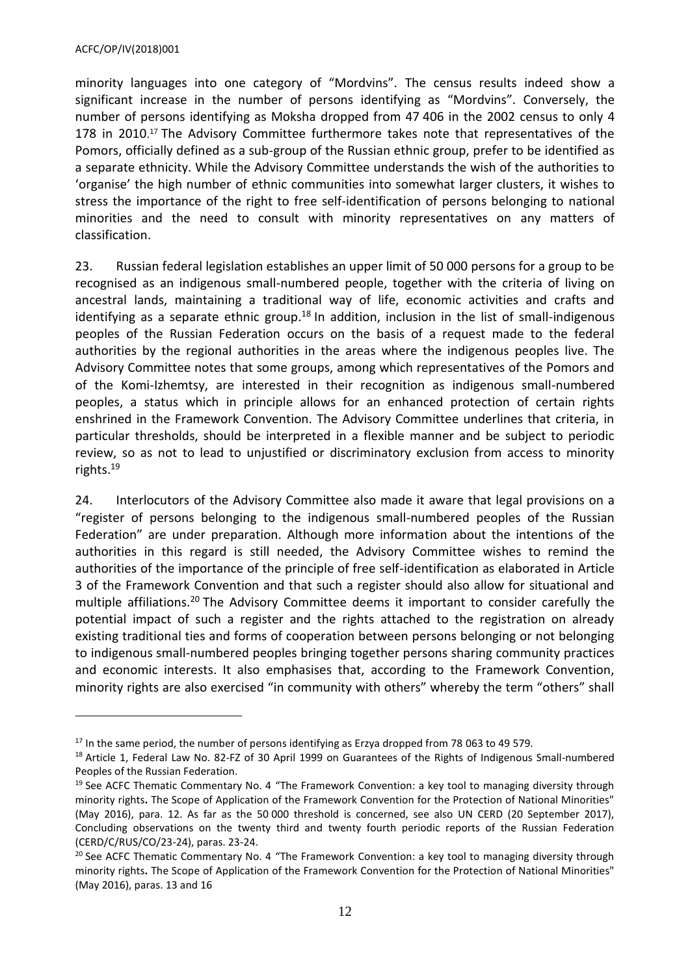$\overline{a}$ 

minority languages into one category of "Mordvins". The census results indeed show a significant increase in the number of persons identifying as "Mordvins". Conversely, the number of persons identifying as Moksha dropped from 47 406 in the 2002 census to only 4 178 in 2010. <sup>17</sup> The Advisory Committee furthermore takes note that representatives of the Pomors, officially defined as a sub-group of the Russian ethnic group, prefer to be identified as a separate ethnicity. While the Advisory Committee understands the wish of the authorities to 'organise' the high number of ethnic communities into somewhat larger clusters, it wishes to stress the importance of the right to free self-identification of persons belonging to national minorities and the need to consult with minority representatives on any matters of classification.

23. Russian federal legislation establishes an upper limit of 50 000 persons for a group to be recognised as an indigenous small-numbered people, together with the criteria of living on ancestral lands, maintaining a traditional way of life, economic activities and crafts and identifying as a separate ethnic group.<sup>18</sup> In addition, inclusion in the list of small-indigenous peoples of the Russian Federation occurs on the basis of a request made to the federal authorities by the regional authorities in the areas where the indigenous peoples live. The Advisory Committee notes that some groups, among which representatives of the Pomors and of the Komi-Izhemtsy, are interested in their recognition as indigenous small-numbered peoples, a status which in principle allows for an enhanced protection of certain rights enshrined in the Framework Convention. The Advisory Committee underlines that criteria, in particular thresholds, should be interpreted in a flexible manner and be subject to periodic review, so as not to lead to unjustified or discriminatory exclusion from access to minority rights.<sup>19</sup>

24. Interlocutors of the Advisory Committee also made it aware that legal provisions on a "register of persons belonging to the indigenous small-numbered peoples of the Russian Federation" are under preparation. Although more information about the intentions of the authorities in this regard is still needed, the Advisory Committee wishes to remind the authorities of the importance of the principle of free self-identification as elaborated in Article 3 of the Framework Convention and that such a register should also allow for situational and multiple affiliations.<sup>20</sup> The Advisory Committee deems it important to consider carefully the potential impact of such a register and the rights attached to the registration on already existing traditional ties and forms of cooperation between persons belonging or not belonging to indigenous small-numbered peoples bringing together persons sharing community practices and economic interests. It also emphasises that, according to the Framework Convention, minority rights are also exercised "in community with others" whereby the term "others" shall

<sup>&</sup>lt;sup>17</sup> In the same period, the number of persons identifying as Erzya dropped from 78 063 to 49 579.

<sup>&</sup>lt;sup>18</sup> Article 1, Federal Law No. 82-FZ of 30 April 1999 on Guarantees of the Rights of Indigenous Small-numbered Peoples of the Russian Federation.

<sup>&</sup>lt;sup>19</sup> See ACFC Thematic Commentary No. 4 "The Framework Convention: a key tool to managing diversity through minority rights**.** The Scope of Application of the Framework Convention for the Protection of National Minorities" (May 2016), para. 12. As far as the 50 000 threshold is concerned, see also UN CERD (20 September 2017), Concluding observations on the twenty third and twenty fourth periodic reports of the Russian Federation (CERD/C/RUS/CO/23-24), paras. 23-24.

<sup>&</sup>lt;sup>20</sup> See ACFC Thematic Commentary No. 4 "The Framework Convention: a key tool to managing diversity through minority rights**.** The Scope of Application of the Framework Convention for the Protection of National Minorities" (May 2016), paras. 13 and 16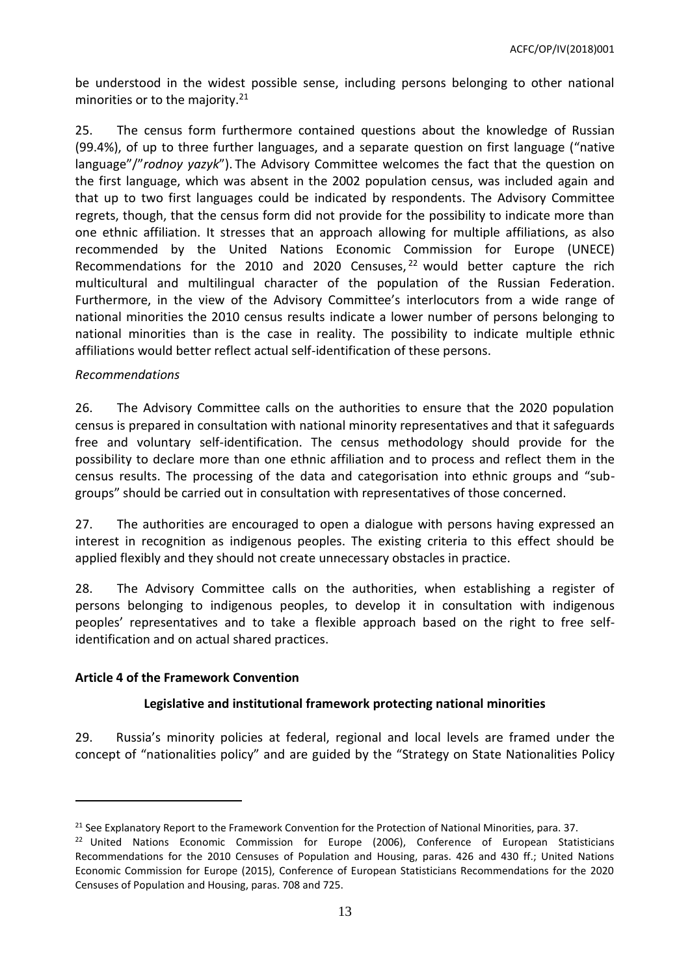be understood in the widest possible sense, including persons belonging to other national minorities or to the majority.<sup>21</sup>

25. The census form furthermore contained questions about the knowledge of Russian (99.4%), of up to three further languages, and a separate question on first language ("native language"/"*rodnoy yazyk*"). The Advisory Committee welcomes the fact that the question on the first language, which was absent in the 2002 population census, was included again and that up to two first languages could be indicated by respondents. The Advisory Committee regrets, though, that the census form did not provide for the possibility to indicate more than one ethnic affiliation. It stresses that an approach allowing for multiple affiliations, as also recommended by the United Nations Economic Commission for Europe (UNECE) Recommendations for the 2010 and 2020 Censuses,  $22$  would better capture the rich multicultural and multilingual character of the population of the Russian Federation. Furthermore, in the view of the Advisory Committee's interlocutors from a wide range of national minorities the 2010 census results indicate a lower number of persons belonging to national minorities than is the case in reality. The possibility to indicate multiple ethnic affiliations would better reflect actual self-identification of these persons.

### *Recommendations*

26. The Advisory Committee calls on the authorities to ensure that the 2020 population census is prepared in consultation with national minority representatives and that it safeguards free and voluntary self-identification. The census methodology should provide for the possibility to declare more than one ethnic affiliation and to process and reflect them in the census results. The processing of the data and categorisation into ethnic groups and "subgroups" should be carried out in consultation with representatives of those concerned.

27. The authorities are encouraged to open a dialogue with persons having expressed an interest in recognition as indigenous peoples. The existing criteria to this effect should be applied flexibly and they should not create unnecessary obstacles in practice.

28. The Advisory Committee calls on the authorities, when establishing a register of persons belonging to indigenous peoples, to develop it in consultation with indigenous peoples' representatives and to take a flexible approach based on the right to free selfidentification and on actual shared practices.

# <span id="page-12-0"></span>**Article 4 of the Framework Convention**

 $\overline{a}$ 

# **Legislative and institutional framework protecting national minorities**

29. Russia's minority policies at federal, regional and local levels are framed under the concept of "nationalities policy" and are guided by the "Strategy on State Nationalities Policy

<sup>&</sup>lt;sup>21</sup> See Explanatory Report to the Framework Convention for the Protection of National Minorities, para. 37.

<sup>&</sup>lt;sup>22</sup> United Nations Economic Commission for Europe (2006), Conference of European Statisticians Recommendations for the 2010 Censuses of Population and Housing, paras. 426 and 430 ff.; United Nations Economic Commission for Europe (2015), Conference of European Statisticians Recommendations for the 2020 Censuses of Population and Housing, paras. 708 and 725.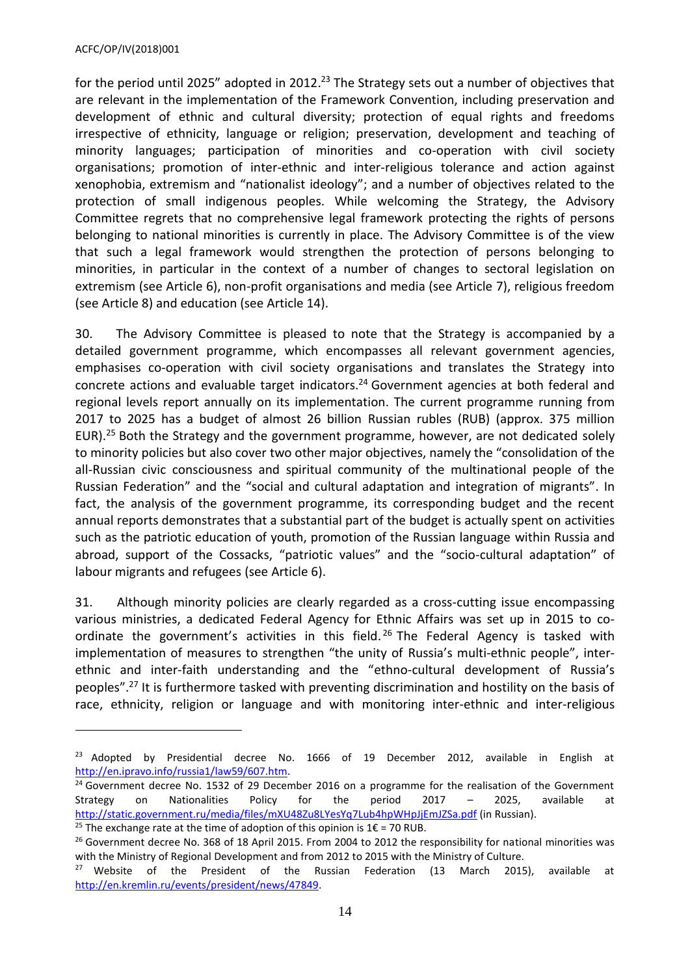$\overline{a}$ 

for the period until 2025" adopted in 2012.<sup>23</sup> The Strategy sets out a number of objectives that are relevant in the implementation of the Framework Convention, including preservation and development of ethnic and cultural diversity; protection of equal rights and freedoms irrespective of ethnicity, language or religion; preservation, development and teaching of minority languages; participation of minorities and co-operation with civil society organisations; promotion of inter-ethnic and inter-religious tolerance and action against xenophobia, extremism and "nationalist ideology"; and a number of objectives related to the protection of small indigenous peoples. While welcoming the Strategy, the Advisory Committee regrets that no comprehensive legal framework protecting the rights of persons belonging to national minorities is currently in place. The Advisory Committee is of the view that such a legal framework would strengthen the protection of persons belonging to minorities, in particular in the context of a number of changes to sectoral legislation on extremism (see Article 6), non-profit organisations and media (see Article 7), religious freedom (see Article 8) and education (see Article 14).

30. The Advisory Committee is pleased to note that the Strategy is accompanied by a detailed government programme, which encompasses all relevant government agencies, emphasises co-operation with civil society organisations and translates the Strategy into concrete actions and evaluable target indicators. <sup>24</sup> Government agencies at both federal and regional levels report annually on its implementation. The current programme running from 2017 to 2025 has a budget of almost 26 billion Russian rubles (RUB) (approx. 375 million EUR).<sup>25</sup> Both the Strategy and the government programme, however, are not dedicated solely to minority policies but also cover two other major objectives, namely the "consolidation of the all-Russian civic consciousness and spiritual community of the multinational people of the Russian Federation" and the "social and cultural adaptation and integration of migrants". In fact, the analysis of the government programme, its corresponding budget and the recent annual reports demonstrates that a substantial part of the budget is actually spent on activities such as the patriotic education of youth, promotion of the Russian language within Russia and abroad, support of the Cossacks, "patriotic values" and the "socio-cultural adaptation" of labour migrants and refugees (see Article 6).

31. Although minority policies are clearly regarded as a cross-cutting issue encompassing various ministries, a dedicated Federal Agency for Ethnic Affairs was set up in 2015 to coordinate the government's activities in this field.<sup>26</sup> The Federal Agency is tasked with implementation of measures to strengthen "the unity of Russia's multi-ethnic people", interethnic and inter-faith understanding and the "ethno-cultural development of Russia's peoples". <sup>27</sup> It is furthermore tasked with preventing discrimination and hostility on the basis of race, ethnicity, religion or language and with monitoring inter-ethnic and inter-religious

<sup>&</sup>lt;sup>23</sup> Adopted by Presidential decree No. 1666 of 19 December 2012, available in English at [http://en.ipravo.info/russia1/law59/607.htm.](http://en.ipravo.info/russia1/law59/607.htm) 

<sup>&</sup>lt;sup>24</sup> Government decree No. 1532 of 29 December 2016 on a programme for the realisation of the Government Strategy on Nationalities Policy for the period 2017 – 2025, available at <http://static.government.ru/media/files/mXU48Zu8LYesYq7Lub4hpWHpJjEmJZSa.pdf> (in Russian).

<sup>&</sup>lt;sup>25</sup> The exchange rate at the time of adoption of this opinion is  $1 \epsilon$  = 70 RUB.

<sup>&</sup>lt;sup>26</sup> Government decree No. 368 of 18 April 2015. From 2004 to 2012 the responsibility for national minorities was with the Ministry of Regional Development and from 2012 to 2015 with the Ministry of Culture.

<sup>&</sup>lt;sup>27</sup> Website of the President of the Russian Federation (13 March 2015), available at [http://en.kremlin.ru/events/president/news/47849.](http://en.kremlin.ru/events/president/news/47849)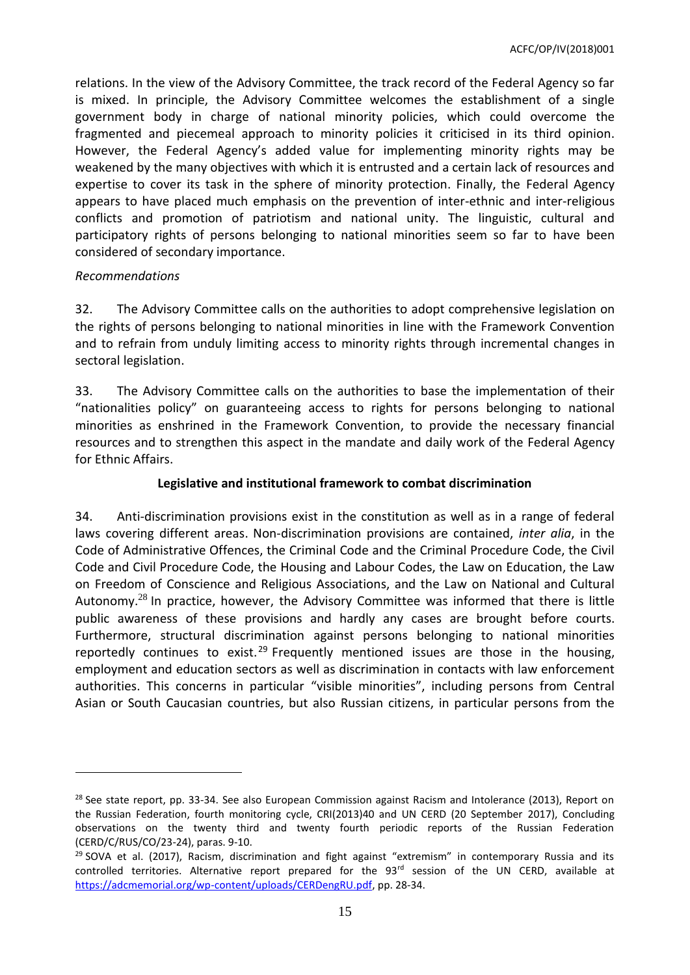relations. In the view of the Advisory Committee, the track record of the Federal Agency so far is mixed. In principle, the Advisory Committee welcomes the establishment of a single government body in charge of national minority policies, which could overcome the fragmented and piecemeal approach to minority policies it criticised in its third opinion. However, the Federal Agency's added value for implementing minority rights may be weakened by the many objectives with which it is entrusted and a certain lack of resources and expertise to cover its task in the sphere of minority protection. Finally, the Federal Agency appears to have placed much emphasis on the prevention of inter-ethnic and inter-religious conflicts and promotion of patriotism and national unity. The linguistic, cultural and participatory rights of persons belonging to national minorities seem so far to have been considered of secondary importance.

### *Recommendations*

 $\overline{a}$ 

32. The Advisory Committee calls on the authorities to adopt comprehensive legislation on the rights of persons belonging to national minorities in line with the Framework Convention and to refrain from unduly limiting access to minority rights through incremental changes in sectoral legislation.

33. The Advisory Committee calls on the authorities to base the implementation of their "nationalities policy" on guaranteeing access to rights for persons belonging to national minorities as enshrined in the Framework Convention, to provide the necessary financial resources and to strengthen this aspect in the mandate and daily work of the Federal Agency for Ethnic Affairs.

### **Legislative and institutional framework to combat discrimination**

34. Anti-discrimination provisions exist in the constitution as well as in a range of federal laws covering different areas. Non-discrimination provisions are contained, *inter alia*, in the Code of Administrative Offences, the Criminal Code and the Criminal Procedure Code, the Civil Code and Civil Procedure Code, the Housing and Labour Codes, the Law on Education, the Law on Freedom of Conscience and Religious Associations, and the Law on National and Cultural Autonomy.<sup>28</sup> In practice, however, the Advisory Committee was informed that there is little public awareness of these provisions and hardly any cases are brought before courts. Furthermore, structural discrimination against persons belonging to national minorities reportedly continues to exist.<sup>29</sup> Frequently mentioned issues are those in the housing, employment and education sectors as well as discrimination in contacts with law enforcement authorities. This concerns in particular "visible minorities", including persons from Central Asian or South Caucasian countries, but also Russian citizens, in particular persons from the

<sup>&</sup>lt;sup>28</sup> See state report, pp. 33-34. See also European Commission against Racism and Intolerance (2013), Report on the Russian Federation, fourth monitoring cycle, CRI(2013)40 and UN CERD (20 September 2017), Concluding observations on the twenty third and twenty fourth periodic reports of the Russian Federation (CERD/C/RUS/CO/23-24), paras. 9-10.

 $29$  SOVA et al. (2017), Racism, discrimination and fight against "extremism" in contemporary Russia and its controlled territories. Alternative report prepared for the 93<sup>rd</sup> session of the UN CERD, available at [https://adcmemorial.org/wp-content/uploads/CERDengRU.pdf,](https://adcmemorial.org/wp-content/uploads/CERDengRU.pdf) pp. 28-34.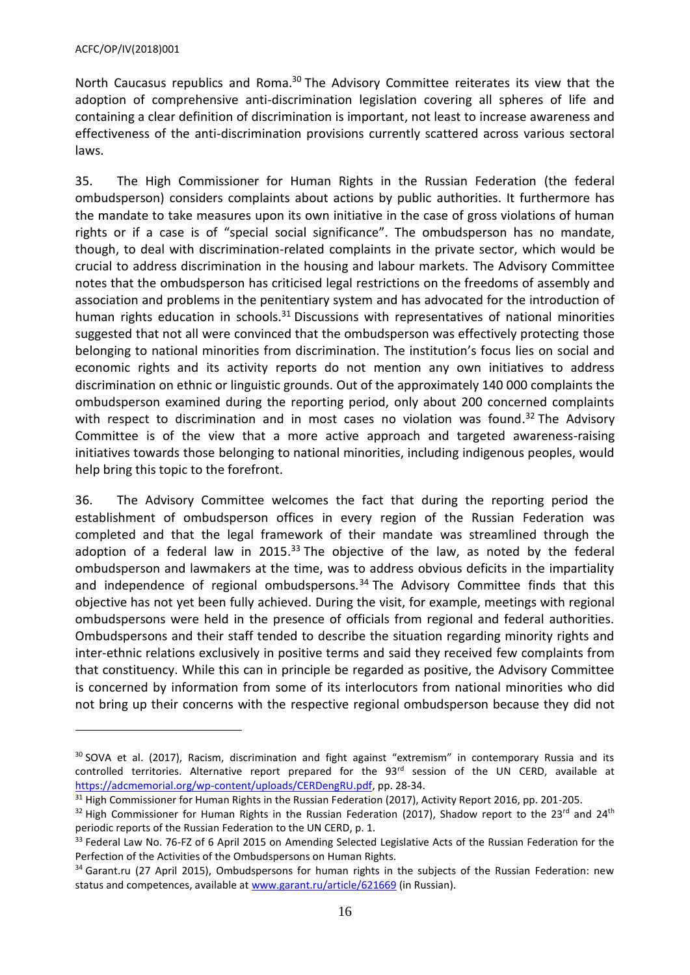$\overline{a}$ 

North Caucasus republics and Roma.<sup>30</sup> The Advisory Committee reiterates its view that the adoption of comprehensive anti-discrimination legislation covering all spheres of life and containing a clear definition of discrimination is important, not least to increase awareness and effectiveness of the anti-discrimination provisions currently scattered across various sectoral laws.

35. The High Commissioner for Human Rights in the Russian Federation (the federal ombudsperson) considers complaints about actions by public authorities. It furthermore has the mandate to take measures upon its own initiative in the case of gross violations of human rights or if a case is of "special social significance". The ombudsperson has no mandate, though, to deal with discrimination-related complaints in the private sector, which would be crucial to address discrimination in the housing and labour markets. The Advisory Committee notes that the ombudsperson has criticised legal restrictions on the freedoms of assembly and association and problems in the penitentiary system and has advocated for the introduction of human rights education in schools. $31$  Discussions with representatives of national minorities suggested that not all were convinced that the ombudsperson was effectively protecting those belonging to national minorities from discrimination. The institution's focus lies on social and economic rights and its activity reports do not mention any own initiatives to address discrimination on ethnic or linguistic grounds. Out of the approximately 140 000 complaints the ombudsperson examined during the reporting period, only about 200 concerned complaints with respect to discrimination and in most cases no violation was found.<sup>32</sup> The Advisory Committee is of the view that a more active approach and targeted awareness-raising initiatives towards those belonging to national minorities, including indigenous peoples, would help bring this topic to the forefront.

36. The Advisory Committee welcomes the fact that during the reporting period the establishment of ombudsperson offices in every region of the Russian Federation was completed and that the legal framework of their mandate was streamlined through the adoption of a federal law in 2015.<sup>33</sup> The objective of the law, as noted by the federal ombudsperson and lawmakers at the time, was to address obvious deficits in the impartiality and independence of regional ombudspersons. $34$  The Advisory Committee finds that this objective has not yet been fully achieved. During the visit, for example, meetings with regional ombudspersons were held in the presence of officials from regional and federal authorities. Ombudspersons and their staff tended to describe the situation regarding minority rights and inter-ethnic relations exclusively in positive terms and said they received few complaints from that constituency. While this can in principle be regarded as positive, the Advisory Committee is concerned by information from some of its interlocutors from national minorities who did not bring up their concerns with the respective regional ombudsperson because they did not

<sup>&</sup>lt;sup>30</sup> SOVA et al. (2017), Racism, discrimination and fight against "extremism" in contemporary Russia and its controlled territories. Alternative report prepared for the 93<sup>rd</sup> session of the UN CERD, available at [https://adcmemorial.org/wp-content/uploads/CERDengRU.pdf,](https://adcmemorial.org/wp-content/uploads/CERDengRU.pdf) pp. 28-34.

 $31$  High Commissioner for Human Rights in the Russian Federation (2017), Activity Report 2016, pp. 201-205.

 $32$  High Commissioner for Human Rights in the Russian Federation (2017), Shadow report to the 23<sup>rd</sup> and 24<sup>th</sup> periodic reports of the Russian Federation to the UN CERD, p. 1.

<sup>33</sup> Federal Law No. 76-FZ of 6 April 2015 on Amending Selected Legislative Acts of the Russian Federation for the Perfection of the Activities of the Ombudspersons on Human Rights.

<sup>&</sup>lt;sup>34</sup> Garant.ru (27 April 2015), Ombudspersons for human rights in the subjects of the Russian Federation: new status and competences, available at [www.garant.ru/article/621669](http://www.garant.ru/article/621669) (in Russian).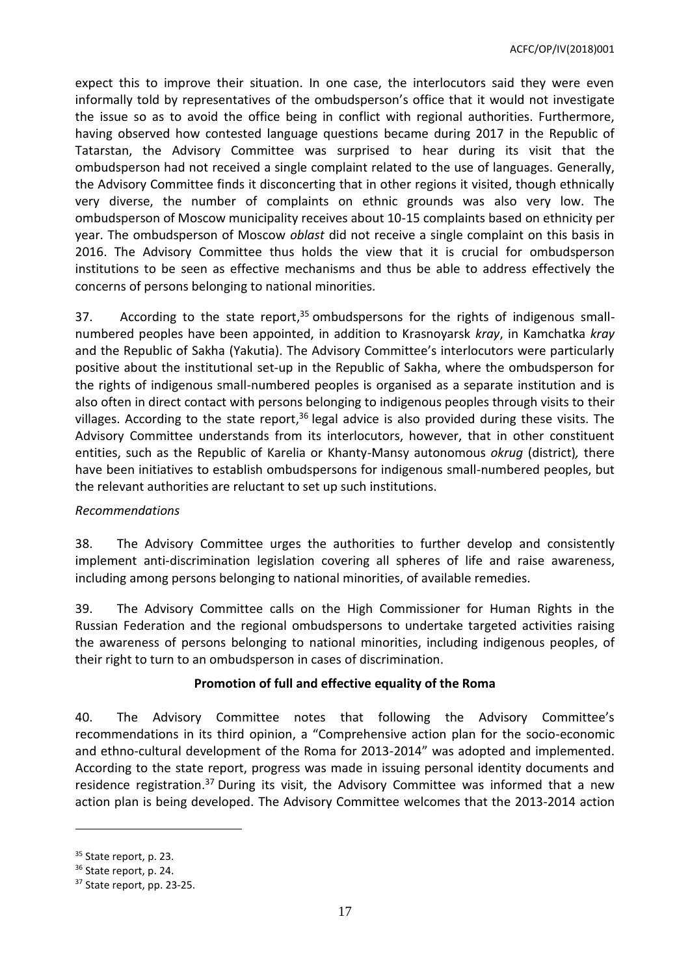expect this to improve their situation. In one case, the interlocutors said they were even informally told by representatives of the ombudsperson's office that it would not investigate the issue so as to avoid the office being in conflict with regional authorities. Furthermore, having observed how contested language questions became during 2017 in the Republic of Tatarstan, the Advisory Committee was surprised to hear during its visit that the ombudsperson had not received a single complaint related to the use of languages. Generally, the Advisory Committee finds it disconcerting that in other regions it visited, though ethnically very diverse, the number of complaints on ethnic grounds was also very low. The ombudsperson of Moscow municipality receives about 10-15 complaints based on ethnicity per year. The ombudsperson of Moscow *oblast* did not receive a single complaint on this basis in 2016. The Advisory Committee thus holds the view that it is crucial for ombudsperson institutions to be seen as effective mechanisms and thus be able to address effectively the concerns of persons belonging to national minorities.

37. According to the state report,<sup>35</sup> ombudspersons for the rights of indigenous smallnumbered peoples have been appointed, in addition to Krasnoyarsk *kray*, in Kamchatka *kray* and the Republic of Sakha (Yakutia). The Advisory Committee's interlocutors were particularly positive about the institutional set-up in the Republic of Sakha, where the ombudsperson for the rights of indigenous small-numbered peoples is organised as a separate institution and is also often in direct contact with persons belonging to indigenous peoples through visits to their villages. According to the state report,<sup>36</sup> legal advice is also provided during these visits. The Advisory Committee understands from its interlocutors, however, that in other constituent entities, such as the Republic of Karelia or Khanty-Mansy autonomous *okrug* (district)*,* there have been initiatives to establish ombudspersons for indigenous small-numbered peoples, but the relevant authorities are reluctant to set up such institutions.

#### *Recommendations*

38. The Advisory Committee urges the authorities to further develop and consistently implement anti-discrimination legislation covering all spheres of life and raise awareness, including among persons belonging to national minorities, of available remedies.

39. The Advisory Committee calls on the High Commissioner for Human Rights in the Russian Federation and the regional ombudspersons to undertake targeted activities raising the awareness of persons belonging to national minorities, including indigenous peoples, of their right to turn to an ombudsperson in cases of discrimination.

# **Promotion of full and effective equality of the Roma**

40. The Advisory Committee notes that following the Advisory Committee's recommendations in its third opinion, a "Comprehensive action plan for the socio-economic and ethno-cultural development of the Roma for 2013-2014" was adopted and implemented. According to the state report, progress was made in issuing personal identity documents and residence registration.<sup>37</sup> During its visit, the Advisory Committee was informed that a new action plan is being developed. The Advisory Committee welcomes that the 2013-2014 action

 $\overline{\phantom{a}}$ 

<sup>&</sup>lt;sup>35</sup> State report, p. 23.

<sup>&</sup>lt;sup>36</sup> State report, p. 24.

<sup>&</sup>lt;sup>37</sup> State report, pp. 23-25.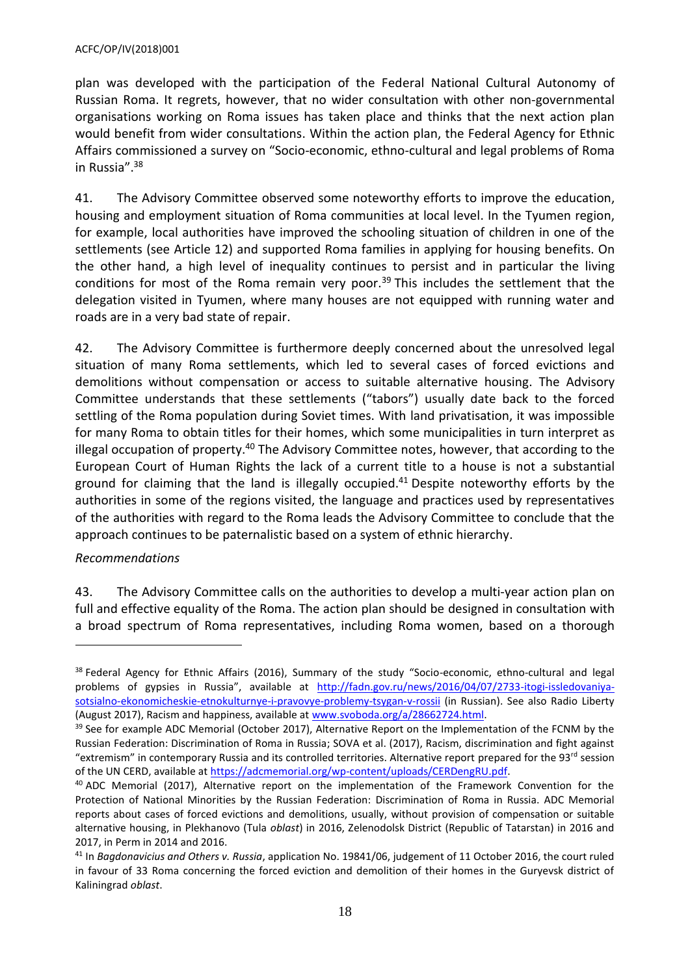plan was developed with the participation of the Federal National Cultural Autonomy of Russian Roma. It regrets, however, that no wider consultation with other non-governmental organisations working on Roma issues has taken place and thinks that the next action plan would benefit from wider consultations. Within the action plan, the Federal Agency for Ethnic Affairs commissioned a survey on "Socio-economic, ethno-cultural and legal problems of Roma in Russia". 38

41. The Advisory Committee observed some noteworthy efforts to improve the education, housing and employment situation of Roma communities at local level. In the Tyumen region, for example, local authorities have improved the schooling situation of children in one of the settlements (see Article 12) and supported Roma families in applying for housing benefits. On the other hand, a high level of inequality continues to persist and in particular the living conditions for most of the Roma remain very poor.<sup>39</sup> This includes the settlement that the delegation visited in Tyumen, where many houses are not equipped with running water and roads are in a very bad state of repair.

42. The Advisory Committee is furthermore deeply concerned about the unresolved legal situation of many Roma settlements, which led to several cases of forced evictions and demolitions without compensation or access to suitable alternative housing. The Advisory Committee understands that these settlements ("tabors") usually date back to the forced settling of the Roma population during Soviet times. With land privatisation, it was impossible for many Roma to obtain titles for their homes, which some municipalities in turn interpret as illegal occupation of property.<sup>40</sup> The Advisory Committee notes, however, that according to the European Court of Human Rights the lack of a current title to a house is not a substantial ground for claiming that the land is illegally occupied.<sup>41</sup> Despite noteworthy efforts by the authorities in some of the regions visited, the language and practices used by representatives of the authorities with regard to the Roma leads the Advisory Committee to conclude that the approach continues to be paternalistic based on a system of ethnic hierarchy.

#### *Recommendations*

 $\overline{a}$ 

43. The Advisory Committee calls on the authorities to develop a multi-year action plan on full and effective equality of the Roma. The action plan should be designed in consultation with a broad spectrum of Roma representatives, including Roma women, based on a thorough

<sup>&</sup>lt;sup>38</sup> Federal Agency for Ethnic Affairs (2016), Summary of the study "Socio-economic, ethno-cultural and legal problems of gypsies in Russia", available at [http://fadn.gov.ru/news/2016/04/07/2733-itogi-issledovaniya](http://fadn.gov.ru/news/2016/04/07/2733-itogi-issledovaniya-sotsialno-ekonomicheskie-etnokulturnye-i-pravovye-problemy-tsygan-v-rossii)[sotsialno-ekonomicheskie-etnokulturnye-i-pravovye-problemy-tsygan-v-rossii](http://fadn.gov.ru/news/2016/04/07/2733-itogi-issledovaniya-sotsialno-ekonomicheskie-etnokulturnye-i-pravovye-problemy-tsygan-v-rossii) (in Russian). See also Radio Liberty (August 2017), Racism and happiness, available at [www.svoboda.org/a/28662724.html.](http://www.svoboda.org/a/28662724.html)

<sup>&</sup>lt;sup>39</sup> See for example ADC Memorial (October 2017), Alternative Report on the Implementation of the FCNM by the Russian Federation: Discrimination of Roma in Russia; SOVA et al. (2017), Racism, discrimination and fight against "extremism" in contemporary Russia and its controlled territories. Alternative report prepared for the 93<sup>rd</sup> session of the UN CERD, available a[t https://adcmemorial.org/wp-content/uploads/CERDengRU.pdf.](https://adcmemorial.org/wp-content/uploads/CERDengRU.pdf)

<sup>&</sup>lt;sup>40</sup> ADC Memorial (2017), Alternative report on the implementation of the Framework Convention for the Protection of National Minorities by the Russian Federation: Discrimination of Roma in Russia. ADC Memorial reports about cases of forced evictions and demolitions, usually, without provision of compensation or suitable alternative housing, in Plekhanovo (Tula *oblast*) in 2016, Zelenodolsk District (Republic of Tatarstan) in 2016 and 2017, in Perm in 2014 and 2016.

<sup>41</sup> In *Bagdonavicius and Others v. Russia*, application No. 19841/06, judgement of 11 October 2016, the court ruled in favour of 33 Roma concerning the forced eviction and demolition of their homes in the Guryevsk district of Kaliningrad *oblast*.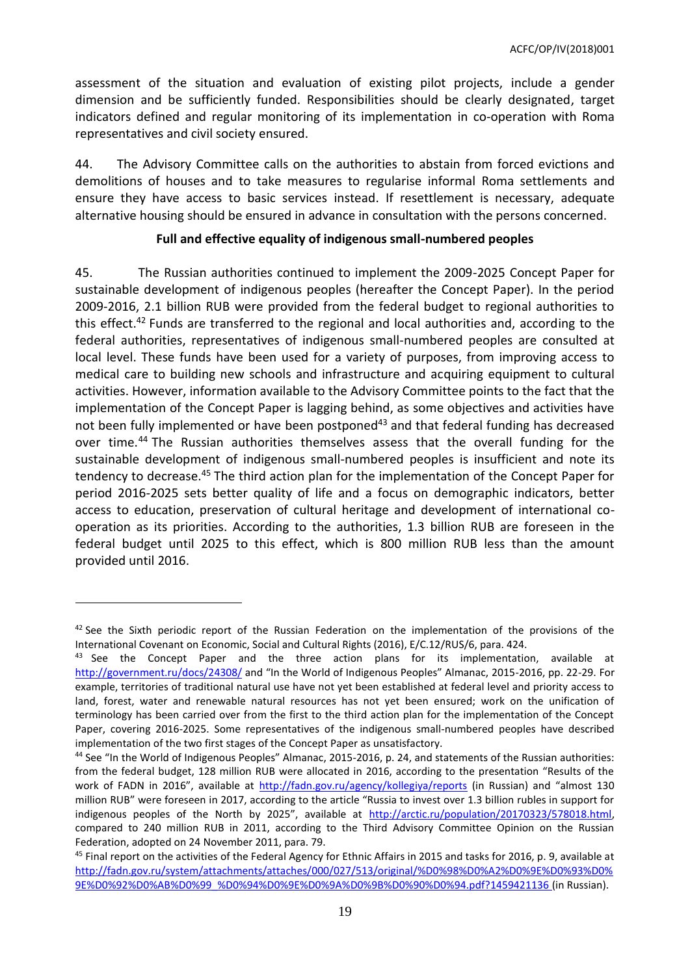assessment of the situation and evaluation of existing pilot projects, include a gender dimension and be sufficiently funded. Responsibilities should be clearly designated, target indicators defined and regular monitoring of its implementation in co-operation with Roma representatives and civil society ensured.

44. The Advisory Committee calls on the authorities to abstain from forced evictions and demolitions of houses and to take measures to regularise informal Roma settlements and ensure they have access to basic services instead. If resettlement is necessary, adequate alternative housing should be ensured in advance in consultation with the persons concerned.

### **Full and effective equality of indigenous small-numbered peoples**

45. The Russian authorities continued to implement the 2009-2025 Concept Paper for sustainable development of indigenous peoples (hereafter the Concept Paper). In the period 2009-2016, 2.1 billion RUB were provided from the federal budget to regional authorities to this effect.<sup>42</sup> Funds are transferred to the regional and local authorities and, according to the federal authorities, representatives of indigenous small-numbered peoples are consulted at local level. These funds have been used for a variety of purposes, from improving access to medical care to building new schools and infrastructure and acquiring equipment to cultural activities. However, information available to the Advisory Committee points to the fact that the implementation of the Concept Paper is lagging behind, as some objectives and activities have not been fully implemented or have been postponed<sup>43</sup> and that federal funding has decreased over time.<sup>44</sup> The Russian authorities themselves assess that the overall funding for the sustainable development of indigenous small-numbered peoples is insufficient and note its tendency to decrease.<sup>45</sup> The third action plan for the implementation of the Concept Paper for period 2016-2025 sets better quality of life and a focus on demographic indicators, better access to education, preservation of cultural heritage and development of international cooperation as its priorities. According to the authorities, 1.3 billion RUB are foreseen in the federal budget until 2025 to this effect, which is 800 million RUB less than the amount provided until 2016.

 $42$  See the Sixth periodic report of the Russian Federation on the implementation of the provisions of the International Covenant on Economic, Social and Cultural Rights (2016), E/C.12/RUS/6, para. 424.

<sup>&</sup>lt;sup>43</sup> See the Concept Paper and the three action plans for its implementation, available at <http://government.ru/docs/24308/> and "In the World of Indigenous Peoples" Almanac, 2015-2016, pp. 22-29. For example, territories of traditional natural use have not yet been established at federal level and priority access to land, forest, water and renewable natural resources has not yet been ensured; work on the unification of terminology has been carried over from the first to the third action plan for the implementation of the Concept Paper, covering 2016-2025. Some representatives of the indigenous small-numbered peoples have described implementation of the two first stages of the Concept Paper as unsatisfactory.

<sup>44</sup> See "In the World of Indigenous Peoples" Almanac, 2015-2016, p. 24, and statements of the Russian authorities: from the federal budget, 128 million RUB were allocated in 2016, according to the presentation "Results of the work of FADN in 2016", available at <http://fadn.gov.ru/agency/kollegiya/reports> (in Russian) and "almost 130 million RUB" were foreseen in 2017, according to the article "Russia to invest over 1.3 billion rubles in support for indigenous peoples of the North by 2025", available at [http://arctic.ru/population/20170323/578018.html,](http://arctic.ru/population/20170323/578018.html) compared to 240 million RUB in 2011, according to the Third Advisory Committee Opinion on the Russian Federation, adopted on 24 November 2011, para. 79.

<sup>&</sup>lt;sup>45</sup> Final report on the activities of the Federal Agency for Ethnic Affairs in 2015 and tasks for 2016, p. 9, available at [http://fadn.gov.ru/system/attachments/attaches/000/027/513/original/%D0%98%D0%A2%D0%9E%D0%93%D0%](http://fadn.gov.ru/system/attachments/attaches/000/027/513/original/%D0%98%D0%A2%D0%9E%D0%93%D0%9E%D0%92%D0%AB%D0%99_%D0%94%D0%9E%D0%9A%D0%9B%D0%90%D0%94.pdf?1459421136) [9E%D0%92%D0%AB%D0%99\\_%D0%94%D0%9E%D0%9A%D0%9B%D0%90%D0%94.pdf?1459421136](http://fadn.gov.ru/system/attachments/attaches/000/027/513/original/%D0%98%D0%A2%D0%9E%D0%93%D0%9E%D0%92%D0%AB%D0%99_%D0%94%D0%9E%D0%9A%D0%9B%D0%90%D0%94.pdf?1459421136) (in Russian).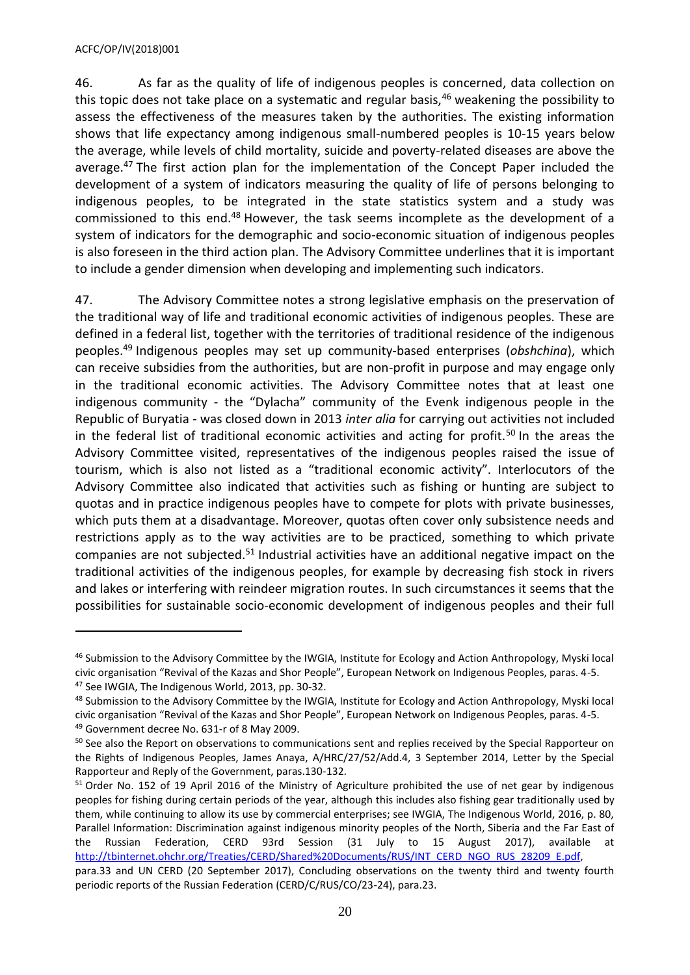#### ACFC/OP/IV(2018)001

 $\overline{a}$ 

46. As far as the quality of life of indigenous peoples is concerned, data collection on this topic does not take place on a systematic and regular basis, $46$  weakening the possibility to assess the effectiveness of the measures taken by the authorities. The existing information shows that life expectancy among indigenous small-numbered peoples is 10-15 years below the average, while levels of child mortality, suicide and poverty-related diseases are above the average.<sup>47</sup> The first action plan for the implementation of the Concept Paper included the development of a system of indicators measuring the quality of life of persons belonging to indigenous peoples, to be integrated in the state statistics system and a study was commissioned to this end.<sup>48</sup> However, the task seems incomplete as the development of a system of indicators for the demographic and socio-economic situation of indigenous peoples is also foreseen in the third action plan. The Advisory Committee underlines that it is important to include a gender dimension when developing and implementing such indicators.

47. The Advisory Committee notes a strong legislative emphasis on the preservation of the traditional way of life and traditional economic activities of indigenous peoples. These are defined in a federal list, together with the territories of traditional residence of the indigenous peoples.<sup>49</sup> Indigenous peoples may set up community-based enterprises (*obshchina*), which can receive subsidies from the authorities, but are non-profit in purpose and may engage only in the traditional economic activities. The Advisory Committee notes that at least one indigenous community - the "Dylacha" community of the Evenk indigenous people in the Republic of Buryatia - was closed down in 2013 *inter alia* for carrying out activities not included in the federal list of traditional economic activities and acting for profit.<sup>50</sup> In the areas the Advisory Committee visited, representatives of the indigenous peoples raised the issue of tourism, which is also not listed as a "traditional economic activity". Interlocutors of the Advisory Committee also indicated that activities such as fishing or hunting are subject to quotas and in practice indigenous peoples have to compete for plots with private businesses, which puts them at a disadvantage. Moreover, quotas often cover only subsistence needs and restrictions apply as to the way activities are to be practiced, something to which private companies are not subjected.<sup>51</sup> Industrial activities have an additional negative impact on the traditional activities of the indigenous peoples, for example by decreasing fish stock in rivers and lakes or interfering with reindeer migration routes. In such circumstances it seems that the possibilities for sustainable socio-economic development of indigenous peoples and their full

<sup>&</sup>lt;sup>46</sup> Submission to the Advisory Committee by the IWGIA, Institute for Ecology and Action Anthropology, Myski local civic organisation "Revival of the Kazas and Shor People", European Network on Indigenous Peoples, paras. 4-5. <sup>47</sup> See IWGIA, The Indigenous World, 2013, pp. 30-32.

<sup>&</sup>lt;sup>48</sup> Submission to the Advisory Committee by the IWGIA, Institute for Ecology and Action Anthropology, Myski local civic organisation "Revival of the Kazas and Shor People", European Network on Indigenous Peoples, paras. 4-5. <sup>49</sup> Government decree No. 631-r of 8 May 2009.

<sup>&</sup>lt;sup>50</sup> See also the Report on observations to communications sent and replies received by the Special Rapporteur on the Rights of Indigenous Peoples, James Anaya, A/HRC/27/52/Add.4, 3 September 2014, Letter by the Special Rapporteur and Reply of the Government, paras.130-132.

<sup>51</sup> Order No. 152 of 19 April 2016 of the Ministry of Agriculture prohibited the use of net gear by indigenous peoples for fishing during certain periods of the year, although this includes also fishing gear traditionally used by them, while continuing to allow its use by commercial enterprises; see IWGIA, The Indigenous World, 2016, p. 80, Parallel Information: Discrimination against indigenous minority peoples of the North, Siberia and the Far East of the Russian Federation, CERD 93rd Session (31 July to 15 August 2017), available at [http://tbinternet.ohchr.org/Treaties/CERD/Shared%20Documents/RUS/INT\\_CERD\\_NGO\\_RUS\\_28209\\_E.pdf,](http://tbinternet.ohchr.org/Treaties/CERD/Shared%20Documents/RUS/INT_CERD_NGO_RUS_28209_E.pdf) para.33 and UN CERD (20 September 2017), Concluding observations on the twenty third and twenty fourth periodic reports of the Russian Federation (CERD/C/RUS/CO/23-24), para.23.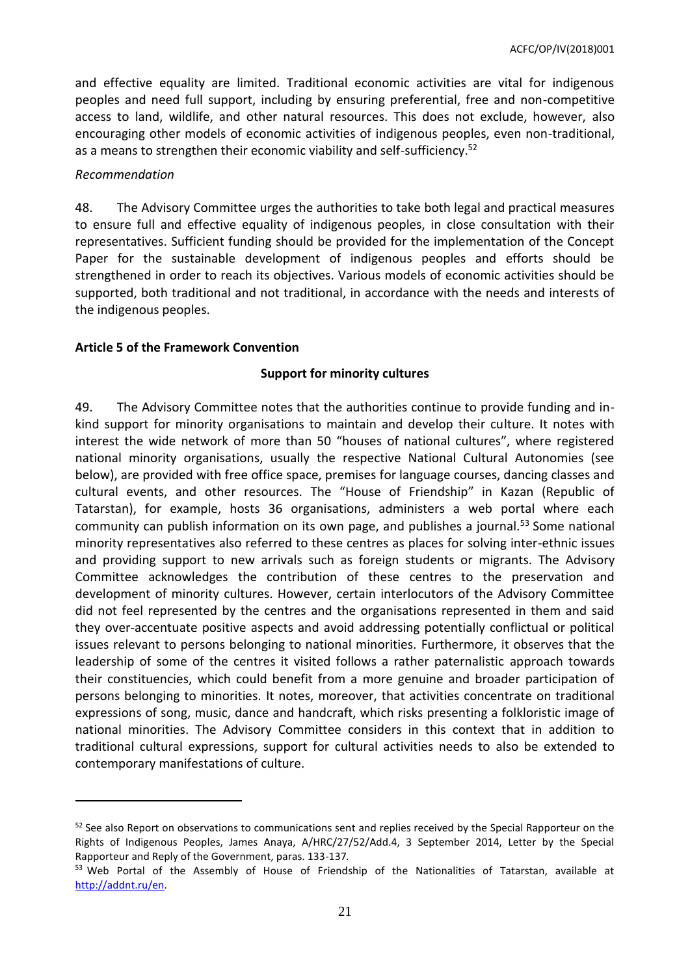and effective equality are limited. Traditional economic activities are vital for indigenous peoples and need full support, including by ensuring preferential, free and non-competitive access to land, wildlife, and other natural resources. This does not exclude, however, also encouraging other models of economic activities of indigenous peoples, even non-traditional, as a means to strengthen their economic viability and self-sufficiency.<sup>52</sup>

### *Recommendation*

 $\overline{a}$ 

48. The Advisory Committee urges the authorities to take both legal and practical measures to ensure full and effective equality of indigenous peoples, in close consultation with their representatives. Sufficient funding should be provided for the implementation of the Concept Paper for the sustainable development of indigenous peoples and efforts should be strengthened in order to reach its objectives. Various models of economic activities should be supported, both traditional and not traditional, in accordance with the needs and interests of the indigenous peoples.

#### <span id="page-20-0"></span>**Article 5 of the Framework Convention**

### **Support for minority cultures**

49. The Advisory Committee notes that the authorities continue to provide funding and inkind support for minority organisations to maintain and develop their culture. It notes with interest the wide network of more than 50 "houses of national cultures", where registered national minority organisations, usually the respective National Cultural Autonomies (see below), are provided with free office space, premises for language courses, dancing classes and cultural events, and other resources. The "House of Friendship" in Kazan (Republic of Tatarstan), for example, hosts 36 organisations, administers a web portal where each community can publish information on its own page, and publishes a journal.<sup>53</sup> Some national minority representatives also referred to these centres as places for solving inter-ethnic issues and providing support to new arrivals such as foreign students or migrants. The Advisory Committee acknowledges the contribution of these centres to the preservation and development of minority cultures. However, certain interlocutors of the Advisory Committee did not feel represented by the centres and the organisations represented in them and said they over-accentuate positive aspects and avoid addressing potentially conflictual or political issues relevant to persons belonging to national minorities. Furthermore, it observes that the leadership of some of the centres it visited follows a rather paternalistic approach towards their constituencies, which could benefit from a more genuine and broader participation of persons belonging to minorities. It notes, moreover, that activities concentrate on traditional expressions of song, music, dance and handcraft, which risks presenting a folkloristic image of national minorities. The Advisory Committee considers in this context that in addition to traditional cultural expressions, support for cultural activities needs to also be extended to contemporary manifestations of culture.

<sup>&</sup>lt;sup>52</sup> See also Report on observations to communications sent and replies received by the Special Rapporteur on the Rights of Indigenous Peoples, James Anaya, A/HRC/27/52/Add.4, 3 September 2014, Letter by the Special Rapporteur and Reply of the Government, paras. 133-137*.*

<sup>&</sup>lt;sup>53</sup> Web Portal of the Assembly of House of Friendship of the Nationalities of Tatarstan, available at [http://addnt.ru/en.](http://addnt.ru/en/)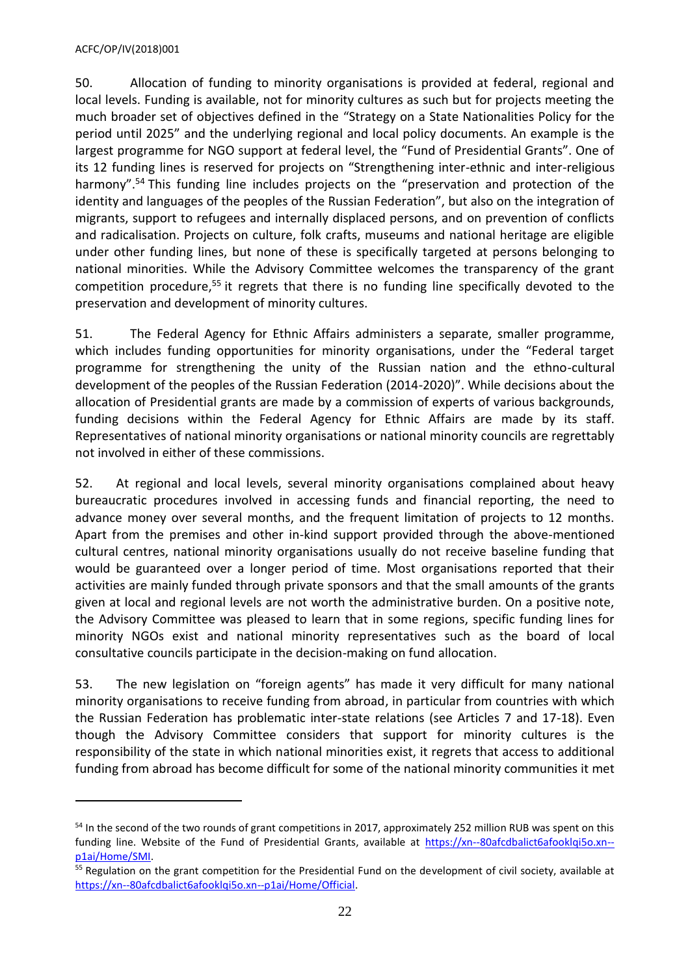#### ACFC/OP/IV(2018)001

 $\overline{a}$ 

50. Allocation of funding to minority organisations is provided at federal, regional and local levels. Funding is available, not for minority cultures as such but for projects meeting the much broader set of objectives defined in the "Strategy on a State Nationalities Policy for the period until 2025" and the underlying regional and local policy documents. An example is the largest programme for NGO support at federal level, the "Fund of Presidential Grants". One of its 12 funding lines is reserved for projects on "Strengthening inter-ethnic and inter-religious harmony".<sup>54</sup> This funding line includes projects on the "preservation and protection of the identity and languages of the peoples of the Russian Federation", but also on the integration of migrants, support to refugees and internally displaced persons, and on prevention of conflicts and radicalisation. Projects on culture, folk crafts, museums and national heritage are eligible under other funding lines, but none of these is specifically targeted at persons belonging to national minorities. While the Advisory Committee welcomes the transparency of the grant competition procedure,<sup>55</sup> it regrets that there is no funding line specifically devoted to the preservation and development of minority cultures.

51. The Federal Agency for Ethnic Affairs administers a separate, smaller programme, which includes funding opportunities for minority organisations, under the "Federal target programme for strengthening the unity of the Russian nation and the ethno-cultural development of the peoples of the Russian Federation (2014-2020)". While decisions about the allocation of Presidential grants are made by a commission of experts of various backgrounds, funding decisions within the Federal Agency for Ethnic Affairs are made by its staff. Representatives of national minority organisations or national minority councils are regrettably not involved in either of these commissions.

52. At regional and local levels, several minority organisations complained about heavy bureaucratic procedures involved in accessing funds and financial reporting, the need to advance money over several months, and the frequent limitation of projects to 12 months. Apart from the premises and other in-kind support provided through the above-mentioned cultural centres, national minority organisations usually do not receive baseline funding that would be guaranteed over a longer period of time. Most organisations reported that their activities are mainly funded through private sponsors and that the small amounts of the grants given at local and regional levels are not worth the administrative burden. On a positive note, the Advisory Committee was pleased to learn that in some regions, specific funding lines for minority NGOs exist and national minority representatives such as the board of local consultative councils participate in the decision-making on fund allocation.

53. The new legislation on "foreign agents" has made it very difficult for many national minority organisations to receive funding from abroad, in particular from countries with which the Russian Federation has problematic inter-state relations (see Articles 7 and 17-18). Even though the Advisory Committee considers that support for minority cultures is the responsibility of the state in which national minorities exist, it regrets that access to additional funding from abroad has become difficult for some of the national minority communities it met

<sup>&</sup>lt;sup>54</sup> In the second of the two rounds of grant competitions in 2017, approximately 252 million RUB was spent on this funding line. Website of the Fund of Presidential Grants, available at [https://xn--80afcdbalict6afooklqi5o.xn-](https://президентскиегранты.рф/Home/SMI) [p1ai/Home/SMI.](https://президентскиегранты.рф/Home/SMI)

<sup>&</sup>lt;sup>55</sup> Regulation on the grant competition for the Presidential Fund on the development of civil society, available at [https://xn--80afcdbalict6afooklqi5o.xn--p1ai/Home/Official.](https://президентскиегранты.рф/Home/Official)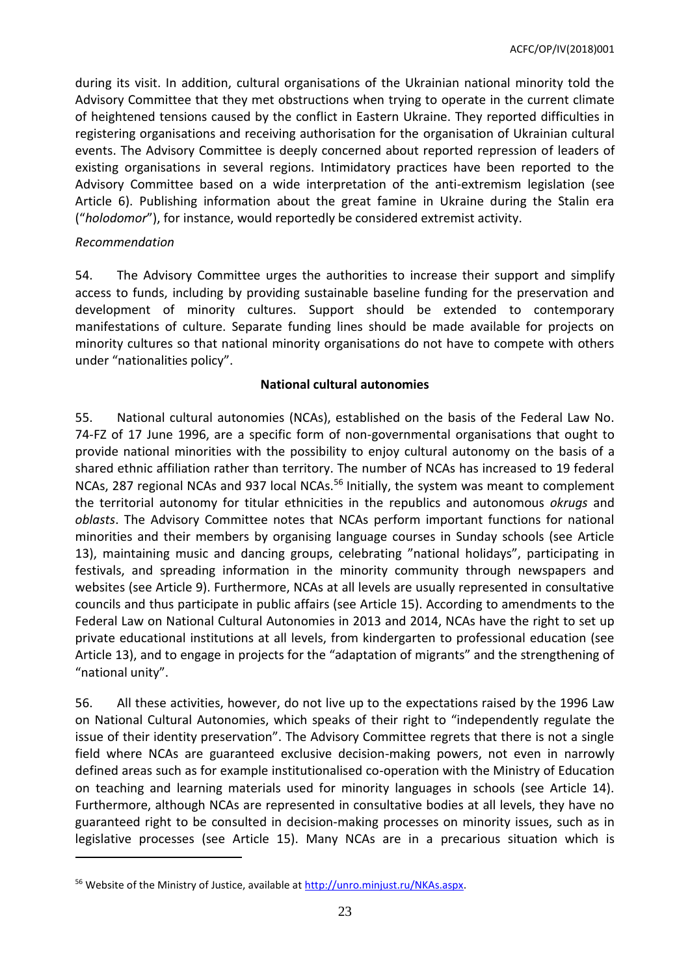during its visit. In addition, cultural organisations of the Ukrainian national minority told the Advisory Committee that they met obstructions when trying to operate in the current climate of heightened tensions caused by the conflict in Eastern Ukraine. They reported difficulties in registering organisations and receiving authorisation for the organisation of Ukrainian cultural events. The Advisory Committee is deeply concerned about reported repression of leaders of existing organisations in several regions. Intimidatory practices have been reported to the Advisory Committee based on a wide interpretation of the anti-extremism legislation (see Article 6). Publishing information about the great famine in Ukraine during the Stalin era ("*holodomor*"), for instance, would reportedly be considered extremist activity.

### *Recommendation*

 $\overline{a}$ 

54. The Advisory Committee urges the authorities to increase their support and simplify access to funds, including by providing sustainable baseline funding for the preservation and development of minority cultures. Support should be extended to contemporary manifestations of culture. Separate funding lines should be made available for projects on minority cultures so that national minority organisations do not have to compete with others under "nationalities policy".

### **National cultural autonomies**

55. National cultural autonomies (NCAs), established on the basis of the Federal Law No. 74-FZ of 17 June 1996, are a specific form of non-governmental organisations that ought to provide national minorities with the possibility to enjoy cultural autonomy on the basis of a shared ethnic affiliation rather than territory. The number of NCAs has increased to 19 federal NCAs, 287 regional NCAs and 937 local NCAs.<sup>56</sup> Initially, the system was meant to complement the territorial autonomy for titular ethnicities in the republics and autonomous *okrugs* and *oblasts*. The Advisory Committee notes that NCAs perform important functions for national minorities and their members by organising language courses in Sunday schools (see Article 13), maintaining music and dancing groups, celebrating "national holidays", participating in festivals, and spreading information in the minority community through newspapers and websites (see Article 9). Furthermore, NCAs at all levels are usually represented in consultative councils and thus participate in public affairs (see Article 15). According to amendments to the Federal Law on National Cultural Autonomies in 2013 and 2014, NCAs have the right to set up private educational institutions at all levels, from kindergarten to professional education (see Article 13), and to engage in projects for the "adaptation of migrants" and the strengthening of "national unity".

56. All these activities, however, do not live up to the expectations raised by the 1996 Law on National Cultural Autonomies, which speaks of their right to "independently regulate the issue of their identity preservation". The Advisory Committee regrets that there is not a single field where NCAs are guaranteed exclusive decision-making powers, not even in narrowly defined areas such as for example institutionalised co-operation with the Ministry of Education on teaching and learning materials used for minority languages in schools (see Article 14). Furthermore, although NCAs are represented in consultative bodies at all levels, they have no guaranteed right to be consulted in decision-making processes on minority issues, such as in legislative processes (see Article 15). Many NCAs are in a precarious situation which is

<sup>56</sup> Website of the Ministry of Justice, available at [http://unro.minjust.ru/NKAs.aspx.](http://unro.minjust.ru/NKAs.aspx)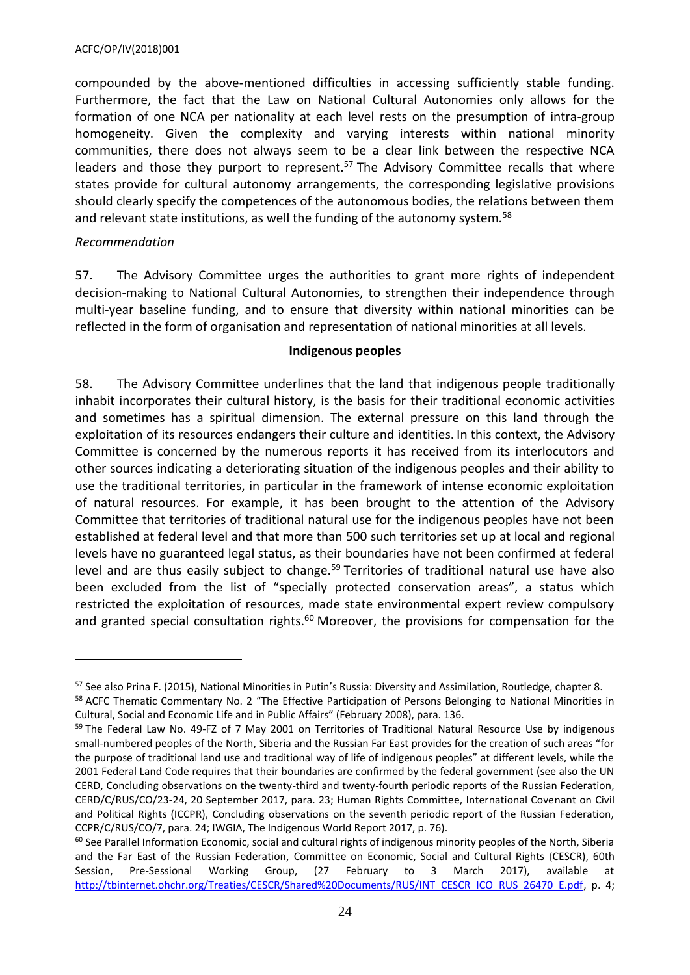compounded by the above-mentioned difficulties in accessing sufficiently stable funding. Furthermore, the fact that the Law on National Cultural Autonomies only allows for the formation of one NCA per nationality at each level rests on the presumption of intra-group homogeneity. Given the complexity and varying interests within national minority communities, there does not always seem to be a clear link between the respective NCA leaders and those they purport to represent.<sup>57</sup> The Advisory Committee recalls that where states provide for cultural autonomy arrangements, the corresponding legislative provisions should clearly specify the competences of the autonomous bodies, the relations between them and relevant state institutions, as well the funding of the autonomy system.<sup>58</sup>

#### *Recommendation*

 $\overline{a}$ 

57. The Advisory Committee urges the authorities to grant more rights of independent decision-making to National Cultural Autonomies, to strengthen their independence through multi-year baseline funding, and to ensure that diversity within national minorities can be reflected in the form of organisation and representation of national minorities at all levels.

#### **Indigenous peoples**

58. The Advisory Committee underlines that the land that indigenous people traditionally inhabit incorporates their cultural history, is the basis for their traditional economic activities and sometimes has a spiritual dimension. The external pressure on this land through the exploitation of its resources endangers their culture and identities. In this context, the Advisory Committee is concerned by the numerous reports it has received from its interlocutors and other sources indicating a deteriorating situation of the indigenous peoples and their ability to use the traditional territories, in particular in the framework of intense economic exploitation of natural resources. For example, it has been brought to the attention of the Advisory Committee that territories of traditional natural use for the indigenous peoples have not been established at federal level and that more than 500 such territories set up at local and regional levels have no guaranteed legal status, as their boundaries have not been confirmed at federal level and are thus easily subject to change.<sup>59</sup> Territories of traditional natural use have also been excluded from the list of "specially protected conservation areas", a status which restricted the exploitation of resources, made state environmental expert review compulsory and granted special consultation rights.<sup>60</sup> Moreover, the provisions for compensation for the

<sup>57</sup> See also Prina F. (2015), National Minorities in Putin's Russia: Diversity and Assimilation, Routledge, chapter 8. <sup>58</sup> ACFC Thematic Commentary No. 2 "The Effective Participation of Persons Belonging to National Minorities in

Cultural, Social and Economic Life and in Public Affairs" (February 2008), para. 136.

<sup>&</sup>lt;sup>59</sup> The Federal Law No. 49-FZ of 7 May 2001 on Territories of Traditional Natural Resource Use by indigenous small-numbered peoples of the North, Siberia and the Russian Far East provides for the creation of such areas "for the purpose of traditional land use and traditional way of life of indigenous peoples" at different levels, while the 2001 Federal Land Code requires that their boundaries are confirmed by the federal government (see also the UN CERD, Concluding observations on the twenty-third and twenty-fourth periodic reports of the Russian Federation, CERD/C/RUS/CO/23-24, 20 September 2017, para. 23; Human Rights Committee, International Covenant on Civil and Political Rights (ICCPR), Concluding observations on the seventh periodic report of the Russian Federation, CCPR/C/RUS/CO/7, para. 24; IWGIA, The Indigenous World Report 2017, p. 76).

 $60$  See Parallel Information Economic, social and cultural rights of indigenous minority peoples of the North, Siberia and the Far East of the Russian Federation, Committee on Economic, Social and Cultural Rights (CESCR), 60th Session, Pre-Sessional Working Group, (27 February to 3 March 2017), available at [http://tbinternet.ohchr.org/Treaties/CESCR/Shared%20Documents/RUS/INT\\_CESCR\\_ICO\\_RUS\\_26470\\_E.pdf,](http://tbinternet.ohchr.org/Treaties/CESCR/Shared%20Documents/RUS/INT_CESCR_ICO_RUS_26470_E.pdf) p. 4;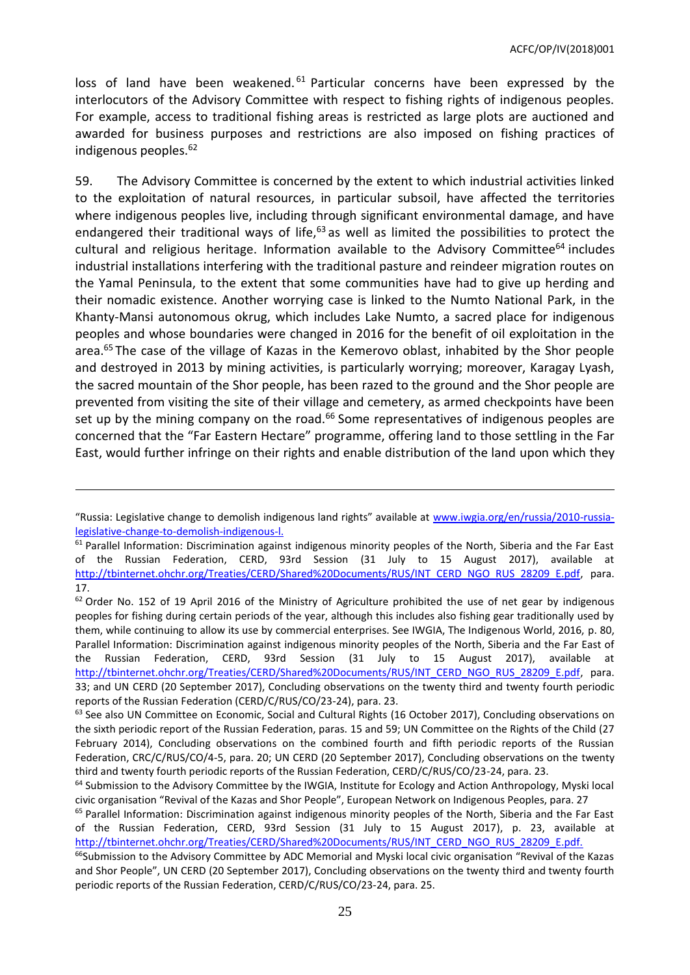loss of land have been weakened.<sup>61</sup> Particular concerns have been expressed by the interlocutors of the Advisory Committee with respect to fishing rights of indigenous peoples. For example, access to traditional fishing areas is restricted as large plots are auctioned and awarded for business purposes and restrictions are also imposed on fishing practices of indigenous peoples.<sup>62</sup>

59. The Advisory Committee is concerned by the extent to which industrial activities linked to the exploitation of natural resources, in particular subsoil, have affected the territories where indigenous peoples live, including through significant environmental damage, and have endangered their traditional ways of life, $63$  as well as limited the possibilities to protect the cultural and religious heritage. Information available to the Advisory Committee<sup>64</sup> includes industrial installations interfering with the traditional pasture and reindeer migration routes on the Yamal Peninsula, to the extent that some communities have had to give up herding and their nomadic existence. Another worrying case is linked to the Numto National Park, in the Khanty-Mansi autonomous okrug, which includes Lake Numto, a sacred place for indigenous peoples and whose boundaries were changed in 2016 for the benefit of oil exploitation in the area.<sup>65</sup> The case of the village of Kazas in the Kemerovo oblast, inhabited by the Shor people and destroyed in 2013 by mining activities, is particularly worrying; moreover, Karagay Lyash, the sacred mountain of the Shor people, has been razed to the ground and the Shor people are prevented from visiting the site of their village and cemetery, as armed checkpoints have been set up by the mining company on the road.<sup>66</sup> Some representatives of indigenous peoples are concerned that the "Far Eastern Hectare" programme, offering land to those settling in the Far East, would further infringe on their rights and enable distribution of the land upon which they

<sup>&</sup>quot;Russia: Legislative change to demolish indigenous land rights" available at [www.iwgia.org/en/russia/2010-russia](http://www.iwgia.org/en/russia/2010-russia-legislative-change-to-demolish-indigenous-l.)[legislative-change-to-demolish-indigenous-l.](http://www.iwgia.org/en/russia/2010-russia-legislative-change-to-demolish-indigenous-l.) 

<sup>&</sup>lt;sup>61</sup> Parallel Information: Discrimination against indigenous minority peoples of the North, Siberia and the Far East of the Russian Federation, CERD, 93rd Session (31 July to 15 August 2017), available at [http://tbinternet.ohchr.org/Treaties/CERD/Shared%20Documents/RUS/INT\\_CERD\\_NGO\\_RUS\\_28209\\_E.pdf,](http://tbinternet.ohchr.org/Treaties/CERD/Shared%20Documents/RUS/INT_CERD_NGO_RUS_28209_E.pdf) para. 17.

 $62$  Order No. 152 of 19 April 2016 of the Ministry of Agriculture prohibited the use of net gear by indigenous peoples for fishing during certain periods of the year, although this includes also fishing gear traditionally used by them, while continuing to allow its use by commercial enterprises. See IWGIA, The Indigenous World, 2016, p. 80, Parallel Information: Discrimination against indigenous minority peoples of the North, Siberia and the Far East of the Russian Federation, CERD, 93rd Session (31 July to 15 August 2017), available at [http://tbinternet.ohchr.org/Treaties/CERD/Shared%20Documents/RUS/INT\\_CERD\\_NGO\\_RUS\\_28209\\_E.pdf,](http://tbinternet.ohchr.org/Treaties/CERD/Shared%20Documents/RUS/INT_CERD_NGO_RUS_28209_E.pdf) para. 33; and UN CERD (20 September 2017), Concluding observations on the twenty third and twenty fourth periodic reports of the Russian Federation (CERD/C/RUS/CO/23-24), para. 23.

<sup>&</sup>lt;sup>63</sup> See also UN Committee on Economic, Social and Cultural Rights (16 October 2017), Concluding observations on the sixth periodic report of the Russian Federation, paras. 15 and 59; UN Committee on the Rights of the Child (27 February 2014), Concluding observations on the combined fourth and fifth periodic reports of the Russian Federation, CRC/C/RUS/CO/4-5, para. 20; UN CERD (20 September 2017), Concluding observations on the twenty third and twenty fourth periodic reports of the Russian Federation, CERD/C/RUS/CO/23-24, para. 23.

 $64$  Submission to the Advisory Committee by the IWGIA, Institute for Ecology and Action Anthropology, Myski local civic organisation "Revival of the Kazas and Shor People", European Network on Indigenous Peoples, para. 27

<sup>&</sup>lt;sup>65</sup> Parallel Information: Discrimination against indigenous minority peoples of the North, Siberia and the Far East of the Russian Federation, CERD, 93rd Session (31 July to 15 August 2017), p. 23, available at [http://tbinternet.ohchr.org/Treaties/CERD/Shared%20Documents/RUS/INT\\_CERD\\_NGO\\_RUS\\_28209\\_E.pdf.](http://tbinternet.ohchr.org/Treaties/CERD/Shared%20Documents/RUS/INT_CERD_NGO_RUS_28209_E.pdf.)

<sup>&</sup>lt;sup>66</sup>Submission to the Advisory Committee by ADC Memorial and Myski local civic organisation "Revival of the Kazas and Shor People", UN CERD (20 September 2017), Concluding observations on the twenty third and twenty fourth periodic reports of the Russian Federation, CERD/C/RUS/CO/23-24, para. 25.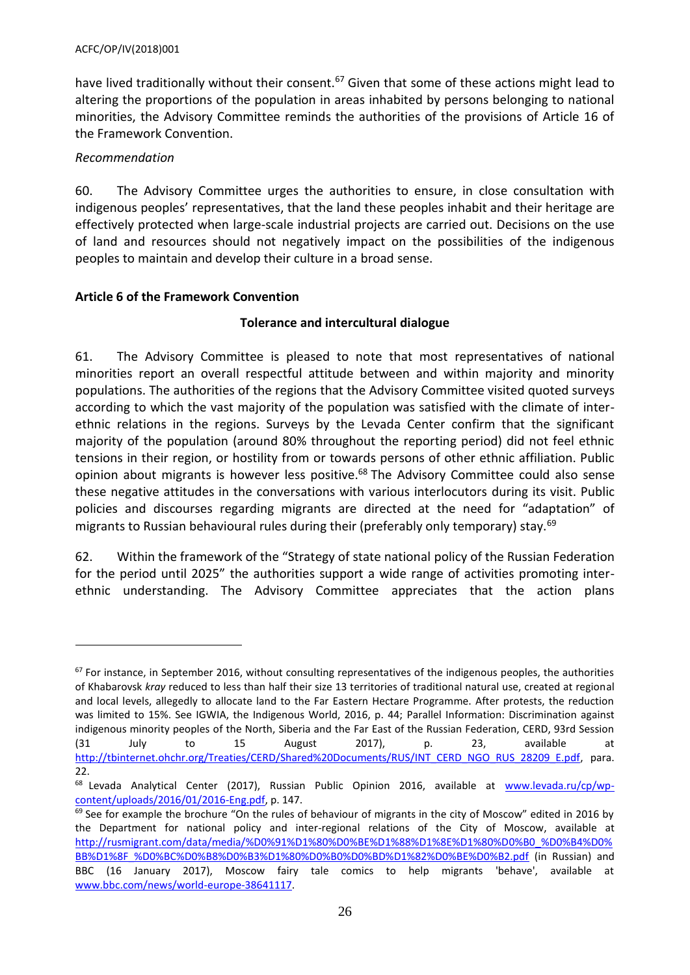have lived traditionally without their consent.<sup>67</sup> Given that some of these actions might lead to altering the proportions of the population in areas inhabited by persons belonging to national minorities, the Advisory Committee reminds the authorities of the provisions of Article 16 of the Framework Convention.

# *Recommendation*

 $\overline{a}$ 

60. The Advisory Committee urges the authorities to ensure, in close consultation with indigenous peoples' representatives, that the land these peoples inhabit and their heritage are effectively protected when large-scale industrial projects are carried out. Decisions on the use of land and resources should not negatively impact on the possibilities of the indigenous peoples to maintain and develop their culture in a broad sense.

# <span id="page-25-0"></span>**Article 6 of the Framework Convention**

# **Tolerance and intercultural dialogue**

61. The Advisory Committee is pleased to note that most representatives of national minorities report an overall respectful attitude between and within majority and minority populations. The authorities of the regions that the Advisory Committee visited quoted surveys according to which the vast majority of the population was satisfied with the climate of interethnic relations in the regions. Surveys by the Levada Center confirm that the significant majority of the population (around 80% throughout the reporting period) did not feel ethnic tensions in their region, or hostility from or towards persons of other ethnic affiliation. Public opinion about migrants is however less positive.<sup>68</sup> The Advisory Committee could also sense these negative attitudes in the conversations with various interlocutors during its visit. Public policies and discourses regarding migrants are directed at the need for "adaptation" of migrants to Russian behavioural rules during their (preferably only temporary) stay.<sup>69</sup>

62. Within the framework of the "Strategy of state national policy of the Russian Federation for the period until 2025" the authorities support a wide range of activities promoting interethnic understanding. The Advisory Committee appreciates that the action plans

 $67$  For instance, in September 2016, without consulting representatives of the indigenous peoples, the authorities of Khabarovsk *kray* reduced to less than half their size 13 territories of traditional natural use, created at regional and local levels, allegedly to allocate land to the Far Eastern Hectare Programme. After protests, the reduction was limited to 15%. See IGWIA, the Indigenous World, 2016, p. 44; Parallel Information: Discrimination against indigenous minority peoples of the North, Siberia and the Far East of the Russian Federation, CERD, 93rd Session (31 July to 15 August 2017), p. 23, available at [http://tbinternet.ohchr.org/Treaties/CERD/Shared%20Documents/RUS/INT\\_CERD\\_NGO\\_RUS\\_28209\\_E.pdf,](http://tbinternet.ohchr.org/Treaties/CERD/Shared%20Documents/RUS/INT_CERD_NGO_RUS_28209_E.pdf) para. 22.

<sup>&</sup>lt;sup>68</sup> Levada Analytical Center (2017), Russian Public Opinion 2016, available at [www.levada.ru/cp/wp](http://www.levada.ru/cp/wp-content/uploads/2016/01/2016-Eng.pdf)[content/uploads/2016/01/2016-Eng.pdf,](http://www.levada.ru/cp/wp-content/uploads/2016/01/2016-Eng.pdf) p. 147.

 $69$  See for example the brochure "On the rules of behaviour of migrants in the city of Moscow" edited in 2016 by the Department for national policy and inter-regional relations of the City of Moscow, available at [http://rusmigrant.com/data/media/%D0%91%D1%80%D0%BE%D1%88%D1%8E%D1%80%D0%B0\\_%D0%B4%D0%](http://rusmigrant.com/data/media/%D0%91%D1%80%D0%BE%D1%88%D1%8E%D1%80%D0%B0_%D0%B4%D0%BB%D1%8F_%D0%BC%D0%B8%D0%B3%D1%80%D0%B0%D0%BD%D1%82%D0%BE%D0%B2.pdf) [BB%D1%8F\\_%D0%BC%D0%B8%D0%B3%D1%80%D0%B0%D0%BD%D1%82%D0%BE%D0%B2.pdf](http://rusmigrant.com/data/media/%D0%91%D1%80%D0%BE%D1%88%D1%8E%D1%80%D0%B0_%D0%B4%D0%BB%D1%8F_%D0%BC%D0%B8%D0%B3%D1%80%D0%B0%D0%BD%D1%82%D0%BE%D0%B2.pdf) (in Russian) and BBC (16 January 2017), Moscow fairy tale comics to help migrants 'behave', available at [www.bbc.com/news/world-europe-38641117.](http://www.bbc.com/news/world-europe-38641117)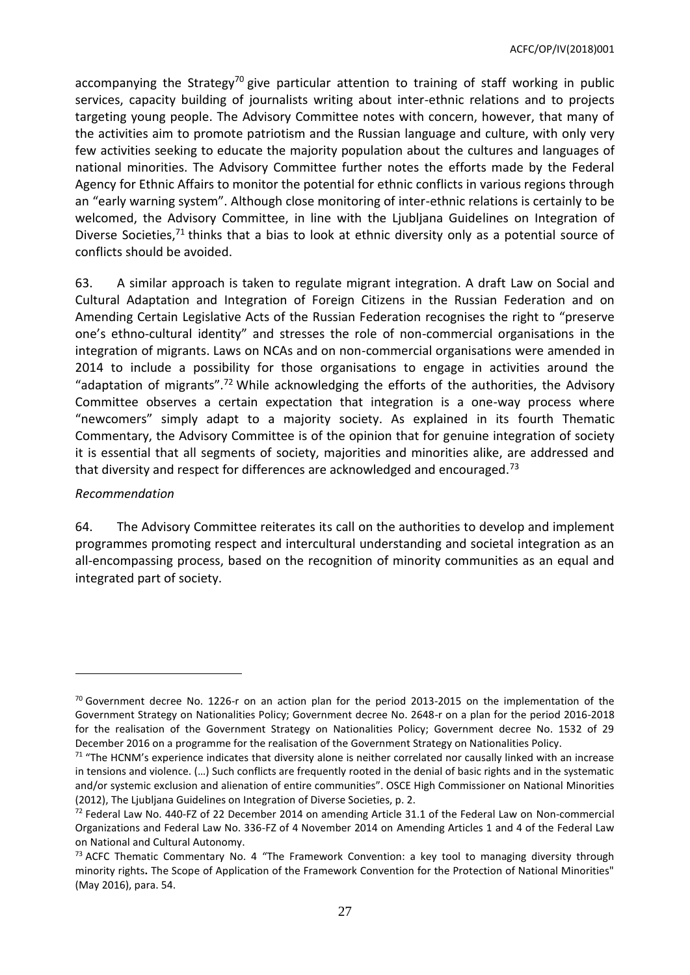accompanying the Strategy<sup>70</sup> give particular attention to training of staff working in public services, capacity building of journalists writing about inter-ethnic relations and to projects targeting young people. The Advisory Committee notes with concern, however, that many of the activities aim to promote patriotism and the Russian language and culture, with only very few activities seeking to educate the majority population about the cultures and languages of national minorities. The Advisory Committee further notes the efforts made by the Federal Agency for Ethnic Affairs to monitor the potential for ethnic conflicts in various regions through an "early warning system". Although close monitoring of inter-ethnic relations is certainly to be welcomed, the Advisory Committee, in line with the Ljubljana Guidelines on Integration of Diverse Societies,<sup>71</sup> thinks that a bias to look at ethnic diversity only as a potential source of conflicts should be avoided.

63. A similar approach is taken to regulate migrant integration. A draft Law on Social and Cultural Adaptation and Integration of Foreign Citizens in the Russian Federation and on Amending Certain Legislative Acts of the Russian Federation recognises the right to "preserve one's ethno-cultural identity" and stresses the role of non-commercial organisations in the integration of migrants. Laws on NCAs and on non-commercial organisations were amended in 2014 to include a possibility for those organisations to engage in activities around the "adaptation of migrants".<sup>72</sup> While acknowledging the efforts of the authorities, the Advisory Committee observes a certain expectation that integration is a one-way process where "newcomers" simply adapt to a majority society. As explained in its fourth Thematic Commentary, the Advisory Committee is of the opinion that for genuine integration of society it is essential that all segments of society, majorities and minorities alike, are addressed and that diversity and respect for differences are acknowledged and encouraged.<sup>73</sup>

### *Recommendation*

 $\overline{a}$ 

64. The Advisory Committee reiterates its call on the authorities to develop and implement programmes promoting respect and intercultural understanding and societal integration as an all-encompassing process, based on the recognition of minority communities as an equal and integrated part of society.

 $70$  Government decree No. 1226-r on an action plan for the period 2013-2015 on the implementation of the Government Strategy on Nationalities Policy; Government decree No. 2648-r on a plan for the period 2016-2018 for the realisation of the Government Strategy on Nationalities Policy; Government decree No. 1532 of 29 December 2016 on a programme for the realisation of the Government Strategy on Nationalities Policy.

 $71$  "The HCNM's experience indicates that diversity alone is neither correlated nor causally linked with an increase in tensions and violence. (…) Such conflicts are frequently rooted in the denial of basic rights and in the systematic and/or systemic exclusion and alienation of entire communities". OSCE High Commissioner on National Minorities (2012), The Ljubljana Guidelines on Integration of Diverse Societies, p. 2.

 $72$  Federal Law No. 440-FZ of 22 December 2014 on amending Article 31.1 of the Federal Law on Non-commercial Organizations and Federal Law No. 336-FZ of 4 November 2014 on Amending Articles 1 and 4 of the Federal Law on National and Cultural Autonomy.

 $73$  ACFC Thematic Commentary No. 4 "The Framework Convention: a key tool to managing diversity through minority rights**.** The Scope of Application of the Framework Convention for the Protection of National Minorities" (May 2016), para. 54.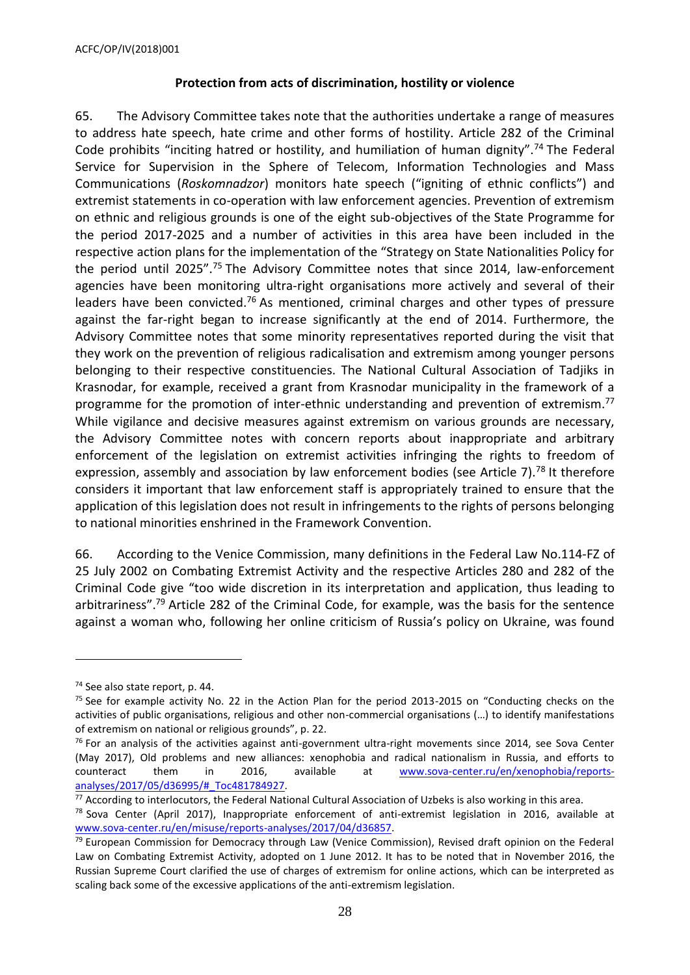#### **Protection from acts of discrimination, hostility or violence**

65. The Advisory Committee takes note that the authorities undertake a range of measures to address hate speech, hate crime and other forms of hostility. Article 282 of the Criminal Code prohibits "inciting hatred or hostility, and humiliation of human dignity".<sup>74</sup> The Federal Service for Supervision in the Sphere of Telecom, Information Technologies and Mass Communications (*Roskomnadzor*) monitors hate speech ("igniting of ethnic conflicts") and extremist statements in co-operation with law enforcement agencies. Prevention of extremism on ethnic and religious grounds is one of the eight sub-objectives of the State Programme for the period 2017-2025 and a number of activities in this area have been included in the respective action plans for the implementation of the "Strategy on State Nationalities Policy for the period until 2025".<sup>75</sup> The Advisory Committee notes that since 2014, law-enforcement agencies have been monitoring ultra-right organisations more actively and several of their leaders have been convicted.<sup>76</sup> As mentioned, criminal charges and other types of pressure against the far-right began to increase significantly at the end of 2014. Furthermore, the Advisory Committee notes that some minority representatives reported during the visit that they work on the prevention of religious radicalisation and extremism among younger persons belonging to their respective constituencies. The National Cultural Association of Tadjiks in Krasnodar, for example, received a grant from Krasnodar municipality in the framework of a programme for the promotion of inter-ethnic understanding and prevention of extremism.<sup>77</sup> While vigilance and decisive measures against extremism on various grounds are necessary, the Advisory Committee notes with concern reports about inappropriate and arbitrary enforcement of the legislation on extremist activities infringing the rights to freedom of expression, assembly and association by law enforcement bodies (see Article 7).<sup>78</sup> It therefore considers it important that law enforcement staff is appropriately trained to ensure that the application of this legislation does not result in infringements to the rights of persons belonging to national minorities enshrined in the Framework Convention.

66. According to the Venice Commission, many definitions in the Federal Law No.114-FZ of 25 July 2002 on Combating Extremist Activity and the respective Articles 280 and 282 of the Criminal Code give "too wide discretion in its interpretation and application, thus leading to arbitrariness".<sup>79</sup> Article 282 of the Criminal Code, for example, was the basis for the sentence against a woman who, following her online criticism of Russia's policy on Ukraine, was found

<sup>74</sup> See also state report, p. 44.

 $75$  See for example activity No. 22 in the Action Plan for the period 2013-2015 on "Conducting checks on the activities of public organisations, religious and other non-commercial organisations (…) to identify manifestations of extremism on national or religious grounds", p. 22.

 $76$  For an analysis of the activities against anti-government ultra-right movements since 2014, see Sova Center (May 2017), Old problems and new alliances: xenophobia and radical nationalism in Russia, and efforts to counteract them in 2016, available at [www.sova-center.ru/en/xenophobia/reports](http://www.sova-center.ru/en/xenophobia/reports-analyses/2017/05/d36995/#_Toc481784927)[analyses/2017/05/d36995/#\\_Toc481784927.](http://www.sova-center.ru/en/xenophobia/reports-analyses/2017/05/d36995/#_Toc481784927)

 $77$  According to interlocutors, the Federal National Cultural Association of Uzbeks is also working in this area.

<sup>&</sup>lt;sup>78</sup> Sova Center (April 2017), Inappropriate enforcement of anti-extremist legislation in 2016, available at [www.sova-center.ru/en/misuse/reports-analyses/2017/04/d36857.](http://www.sova-center.ru/en/misuse/reports-analyses/2017/04/d36857)

<sup>&</sup>lt;sup>79</sup> European Commission for Democracy through Law (Venice Commission), Revised draft opinion on the Federal Law on Combating Extremist Activity, adopted on 1 June 2012. It has to be noted that in November 2016, the Russian Supreme Court clarified the use of charges of extremism for online actions, which can be interpreted as scaling back some of the excessive applications of the anti-extremism legislation.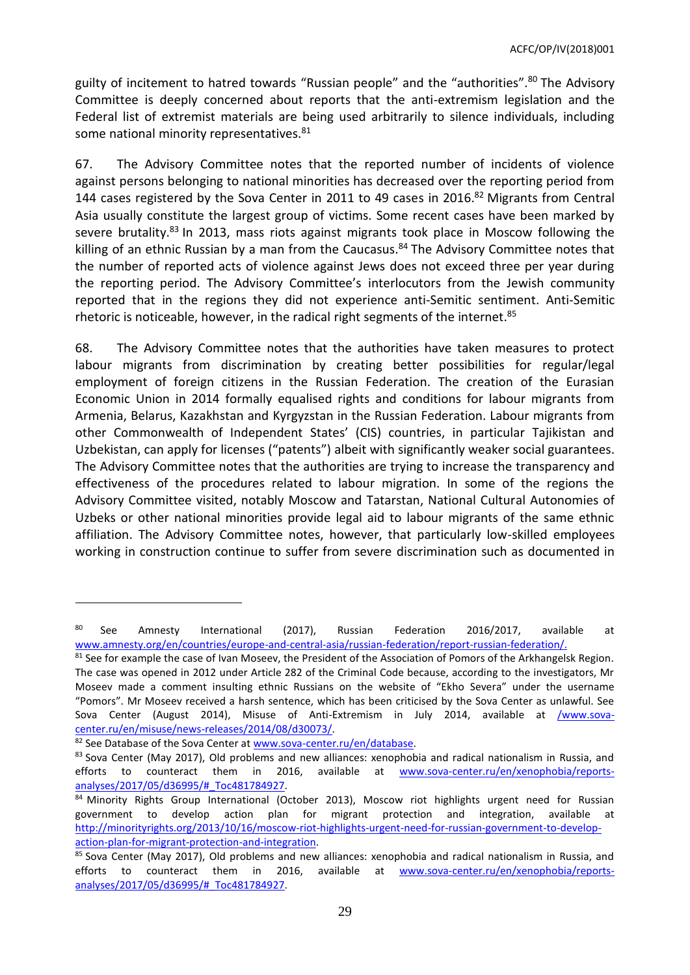guilty of incitement to hatred towards "Russian people" and the "authorities".<sup>80</sup> The Advisory Committee is deeply concerned about reports that the anti-extremism legislation and the Federal list of extremist materials are being used arbitrarily to silence individuals, including some national minority representatives.<sup>81</sup>

67. The Advisory Committee notes that the reported number of incidents of violence against persons belonging to national minorities has decreased over the reporting period from 144 cases registered by the Sova Center in 2011 to 49 cases in 2016.<sup>82</sup> Migrants from Central Asia usually constitute the largest group of victims. Some recent cases have been marked by severe brutality.<sup>83</sup> In 2013, mass riots against migrants took place in Moscow following the killing of an ethnic Russian by a man from the Caucasus.<sup>84</sup> The Advisory Committee notes that the number of reported acts of violence against Jews does not exceed three per year during the reporting period. The Advisory Committee's interlocutors from the Jewish community reported that in the regions they did not experience anti-Semitic sentiment. Anti-Semitic rhetoric is noticeable, however, in the radical right segments of the internet.<sup>85</sup>

68. The Advisory Committee notes that the authorities have taken measures to protect labour migrants from discrimination by creating better possibilities for regular/legal employment of foreign citizens in the Russian Federation. The creation of the Eurasian Economic Union in 2014 formally equalised rights and conditions for labour migrants from Armenia, Belarus, Kazakhstan and Kyrgyzstan in the Russian Federation. Labour migrants from other Commonwealth of Independent States' (CIS) countries, in particular Tajikistan and Uzbekistan, can apply for licenses ("patents") albeit with significantly weaker social guarantees. The Advisory Committee notes that the authorities are trying to increase the transparency and effectiveness of the procedures related to labour migration. In some of the regions the Advisory Committee visited, notably Moscow and Tatarstan, National Cultural Autonomies of Uzbeks or other national minorities provide legal aid to labour migrants of the same ethnic affiliation. The Advisory Committee notes, however, that particularly low-skilled employees working in construction continue to suffer from severe discrimination such as documented in

<sup>&</sup>lt;sup>80</sup> See Amnesty International (2017), Russian Federation 2016/2017, available at [www.amnesty.org/en/countries/europe-and-central-asia/russian-federation/report-russian-federation/.](http://www.amnesty.org/en/countries/europe-and-central-asia/russian-federation/report-russian-federation/)

<sup>81</sup> See for example the case of Ivan Moseev, the President of the Association of Pomors of the Arkhangelsk Region. The case was opened in 2012 under Article 282 of the Criminal Code because, according to the investigators, Mr Moseev made a comment insulting ethnic Russians on the website of "Ekho Severa" under the username "Pomors". Mr Moseev received a harsh sentence, which has been criticised by the Sova Center as unlawful. See Sova Center (August 2014), Misuse of Anti-Extremism in July 2014, available at [/www.sova](http://www.sova-center.ru/en/misuse/news-releases/2014/08/d30073/)[center.ru/en/misuse/news-releases/2014/08/d30073/.](http://www.sova-center.ru/en/misuse/news-releases/2014/08/d30073/)

<sup>82</sup> See Database of the Sova Center a[t www.sova-center.ru/en/database.](http://www.sova-center.ru/en/database)

<sup>&</sup>lt;sup>83</sup> Sova Center (May 2017), Old problems and new alliances: xenophobia and radical nationalism in Russia, and efforts to counteract them in 2016, available at [www.sova-center.ru/en/xenophobia/reports](http://www.sova-center.ru/en/xenophobia/reports-analyses/2017/05/d36995/#_Toc481784927)[analyses/2017/05/d36995/#\\_Toc481784927.](http://www.sova-center.ru/en/xenophobia/reports-analyses/2017/05/d36995/#_Toc481784927)

<sup>&</sup>lt;sup>84</sup> Minority Rights Group International (October 2013), Moscow riot highlights urgent need for Russian government to develop action plan for migrant protection and integration, available at [http://minorityrights.org/2013/10/16/moscow-riot-highlights-urgent-need-for-russian-government-to-develop](http://minorityrights.org/2013/10/16/moscow-riot-highlights-urgent-need-for-russian-government-to-develop-action-plan-for-migrant-protection-and-integration)[action-plan-for-migrant-protection-and-integration.](http://minorityrights.org/2013/10/16/moscow-riot-highlights-urgent-need-for-russian-government-to-develop-action-plan-for-migrant-protection-and-integration)

<sup>&</sup>lt;sup>85</sup> Sova Center (May 2017), Old problems and new alliances: xenophobia and radical nationalism in Russia, and efforts to counteract them in 2016, available at [www.sova-center.ru/en/xenophobia/reports](http://www.sova-center.ru/en/xenophobia/reports-analyses/2017/05/d36995/#_Toc481784927)[analyses/2017/05/d36995/#\\_Toc481784927.](http://www.sova-center.ru/en/xenophobia/reports-analyses/2017/05/d36995/#_Toc481784927)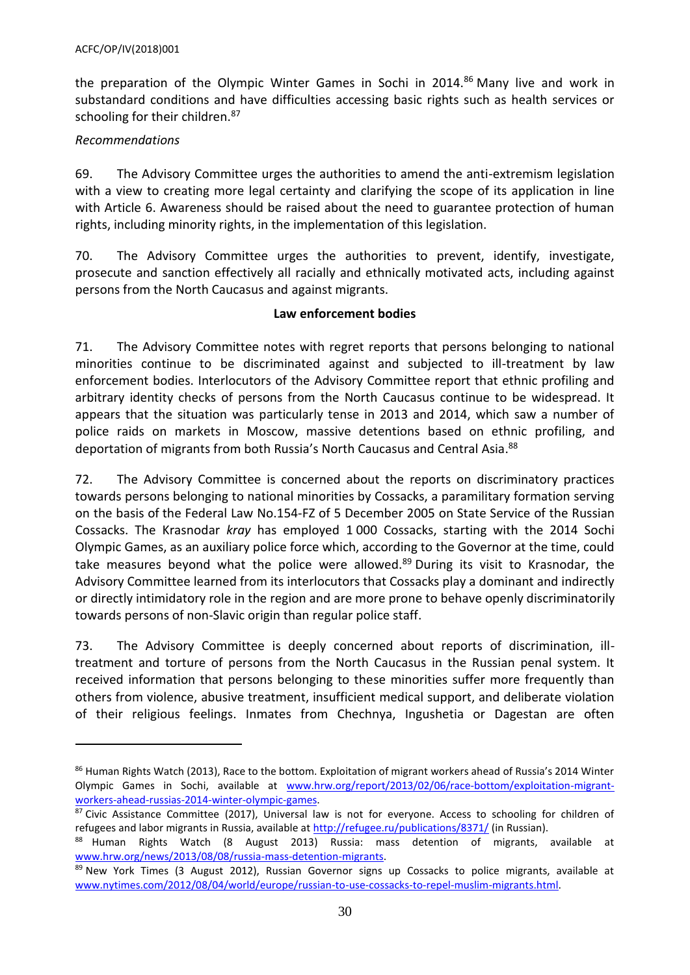the preparation of the Olympic Winter Games in Sochi in 2014.<sup>86</sup> Many live and work in substandard conditions and have difficulties accessing basic rights such as health services or schooling for their children.<sup>87</sup>

# *Recommendations*

 $\overline{\phantom{a}}$ 

69. The Advisory Committee urges the authorities to amend the anti-extremism legislation with a view to creating more legal certainty and clarifying the scope of its application in line with Article 6. Awareness should be raised about the need to guarantee protection of human rights, including minority rights, in the implementation of this legislation.

70. The Advisory Committee urges the authorities to prevent, identify, investigate, prosecute and sanction effectively all racially and ethnically motivated acts, including against persons from the North Caucasus and against migrants.

# **Law enforcement bodies**

71. The Advisory Committee notes with regret reports that persons belonging to national minorities continue to be discriminated against and subjected to ill-treatment by law enforcement bodies. Interlocutors of the Advisory Committee report that ethnic profiling and arbitrary identity checks of persons from the North Caucasus continue to be widespread. It appears that the situation was particularly tense in 2013 and 2014, which saw a number of police raids on markets in Moscow, massive detentions based on ethnic profiling, and deportation of migrants from both Russia's North Caucasus and Central Asia. 88

72. The Advisory Committee is concerned about the reports on discriminatory practices towards persons belonging to national minorities by Cossacks, a paramilitary formation serving on the basis of the Federal Law No.154-FZ of 5 December 2005 on State Service of the Russian Cossacks. The Krasnodar *kray* has employed 1 000 Cossacks, starting with the 2014 Sochi Olympic Games, as an auxiliary police force which, according to the Governor at the time, could take measures beyond what the police were allowed.<sup>89</sup> During its visit to Krasnodar, the Advisory Committee learned from its interlocutors that Cossacks play a dominant and indirectly or directly intimidatory role in the region and are more prone to behave openly discriminatorily towards persons of non-Slavic origin than regular police staff.

73. The Advisory Committee is deeply concerned about reports of discrimination, illtreatment and torture of persons from the North Caucasus in the Russian penal system. It received information that persons belonging to these minorities suffer more frequently than others from violence, abusive treatment, insufficient medical support, and deliberate violation of their religious feelings. Inmates from Chechnya, Ingushetia or Dagestan are often

<sup>86</sup> Human Rights Watch (2013), Race to the bottom. Exploitation of migrant workers ahead of Russia's 2014 Winter Olympic Games in Sochi, available at [www.hrw.org/report/2013/02/06/race-bottom/exploitation-migrant](http://www.hrw.org/report/2013/02/06/race-bottom/exploitation-migrant-workers-ahead-russias-2014-winter-olympic-games)[workers-ahead-russias-2014-winter-olympic-games.](http://www.hrw.org/report/2013/02/06/race-bottom/exploitation-migrant-workers-ahead-russias-2014-winter-olympic-games)

<sup>87</sup> Civic Assistance Committee (2017), Universal law is not for everyone. Access to schooling for children of refugees and labor migrants in Russia, available at<http://refugee.ru/publications/8371/> (in Russian).

<sup>88</sup> Human Rights Watch (8 August 2013) Russia: mass detention of migrants, available at [www.hrw.org/news/2013/08/08/russia-mass-detention-migrants.](https://www.hrw.org/news/2013/08/08/russia-mass-detention-migrants)

<sup>89</sup> New York Times (3 August 2012), Russian Governor signs up Cossacks to police migrants, available at [www.nytimes.com/2012/08/04/world/europe/russian-to-use-cossacks-to-repel-muslim-migrants.html.](http://www.nytimes.com/2012/08/04/world/europe/russian-to-use-cossacks-to-repel-muslim-migrants.html)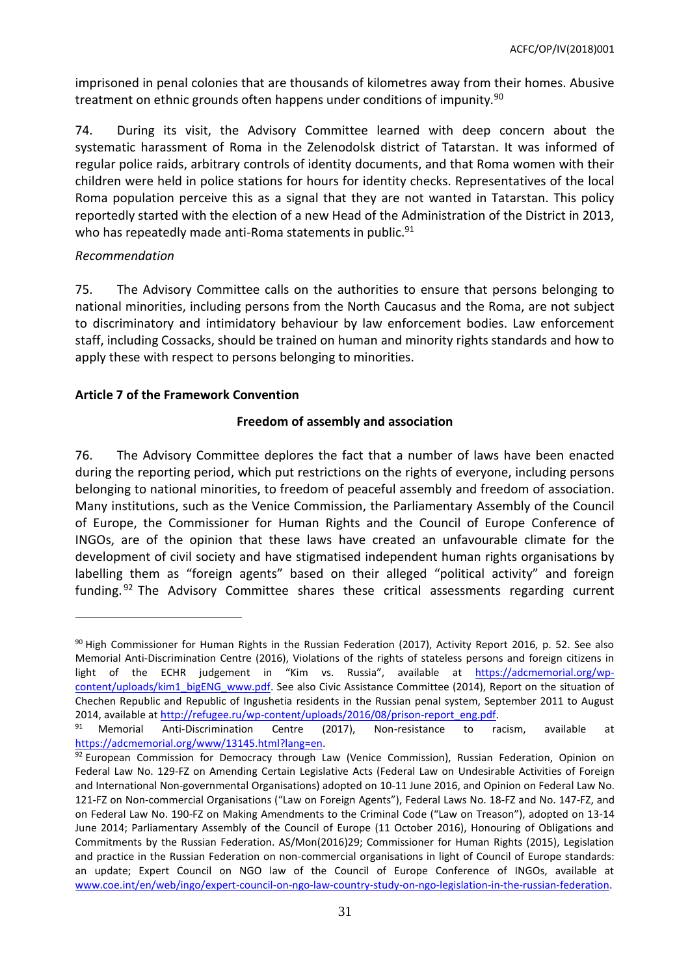imprisoned in penal colonies that are thousands of kilometres away from their homes. Abusive treatment on ethnic grounds often happens under conditions of impunity.<sup>90</sup>

74. During its visit, the Advisory Committee learned with deep concern about the systematic harassment of Roma in the Zelenodolsk district of Tatarstan. It was informed of regular police raids, arbitrary controls of identity documents, and that Roma women with their children were held in police stations for hours for identity checks. Representatives of the local Roma population perceive this as a signal that they are not wanted in Tatarstan. This policy reportedly started with the election of a new Head of the Administration of the District in 2013, who has repeatedly made anti-Roma statements in public.<sup>91</sup>

### *Recommendation*

 $\overline{a}$ 

75. The Advisory Committee calls on the authorities to ensure that persons belonging to national minorities, including persons from the North Caucasus and the Roma, are not subject to discriminatory and intimidatory behaviour by law enforcement bodies. Law enforcement staff, including Cossacks, should be trained on human and minority rights standards and how to apply these with respect to persons belonging to minorities.

# <span id="page-30-0"></span>**Article 7 of the Framework Convention**

# **Freedom of assembly and association**

76. The Advisory Committee deplores the fact that a number of laws have been enacted during the reporting period, which put restrictions on the rights of everyone, including persons belonging to national minorities, to freedom of peaceful assembly and freedom of association. Many institutions, such as the Venice Commission, the Parliamentary Assembly of the Council of Europe, the Commissioner for Human Rights and the Council of Europe Conference of INGOs, are of the opinion that these laws have created an unfavourable climate for the development of civil society and have stigmatised independent human rights organisations by labelling them as "foreign agents" based on their alleged "political activity" and foreign funding. <sup>92</sup> The Advisory Committee shares these critical assessments regarding current

<sup>90</sup> High Commissioner for Human Rights in the Russian Federation (2017), Activity Report 2016, p. 52. See also Memorial Anti-Discrimination Centre (2016), Violations of the rights of stateless persons and foreign citizens in light of the ECHR judgement in "Kim vs. Russia", available at [https://adcmemorial.org/wp](https://adcmemorial.org/wp-content/uploads/kim1_bigENG_www.pdf)[content/uploads/kim1\\_bigENG\\_www.pdf.](https://adcmemorial.org/wp-content/uploads/kim1_bigENG_www.pdf) See also Civic Assistance Committee (2014), Report on the situation of Chechen Republic and Republic of Ingushetia residents in the Russian penal system, September 2011 to August 2014, available a[t http://refugee.ru/wp-content/uploads/2016/08/prison-report\\_eng.pdf.](http://refugee.ru/wp-content/uploads/2016/08/prison-report_eng.pdf)

<sup>&</sup>lt;sup>91</sup> Memorial Anti-Discrimination Centre (2017), Non-resistance to racism, available at [https://adcmemorial.org/www/13145.html?lang=en.](https://adcmemorial.org/www/13145.html?lang=en)

 $92$  European Commission for Democracy through Law (Venice Commission), Russian Federation, Opinion on Federal Law No. 129-FZ on Amending Certain Legislative Acts (Federal Law on Undesirable Activities of Foreign and International Non-governmental Organisations) adopted on 10-11 June 2016, and Opinion on Federal Law No. 121-FZ on Non-commercial Organisations ("Law on Foreign Agents"), Federal Laws No. 18-FZ and No. 147-FZ, and on Federal Law No. 190-FZ on Making Amendments to the Criminal Code ("Law on Treason"), adopted on 13-14 June 2014; Parliamentary Assembly of the Council of Europe (11 October 2016), Honouring of Obligations and Commitments by the Russian Federation. AS/Mon(2016)29; Commissioner for Human Rights (2015), Legislation and practice in the Russian Federation on non-commercial organisations in light of Council of Europe standards: an update; Expert Council on NGO law of the Council of Europe Conference of INGOs, available at [www.coe.int/en/web/ingo/expert-council-on-ngo-law-country-study-on-ngo-legislation-in-the-russian-federation.](http://www.coe.int/en/web/ingo/expert-council-on-ngo-law-country-study-on-ngo-legislation-in-the-russian-federation)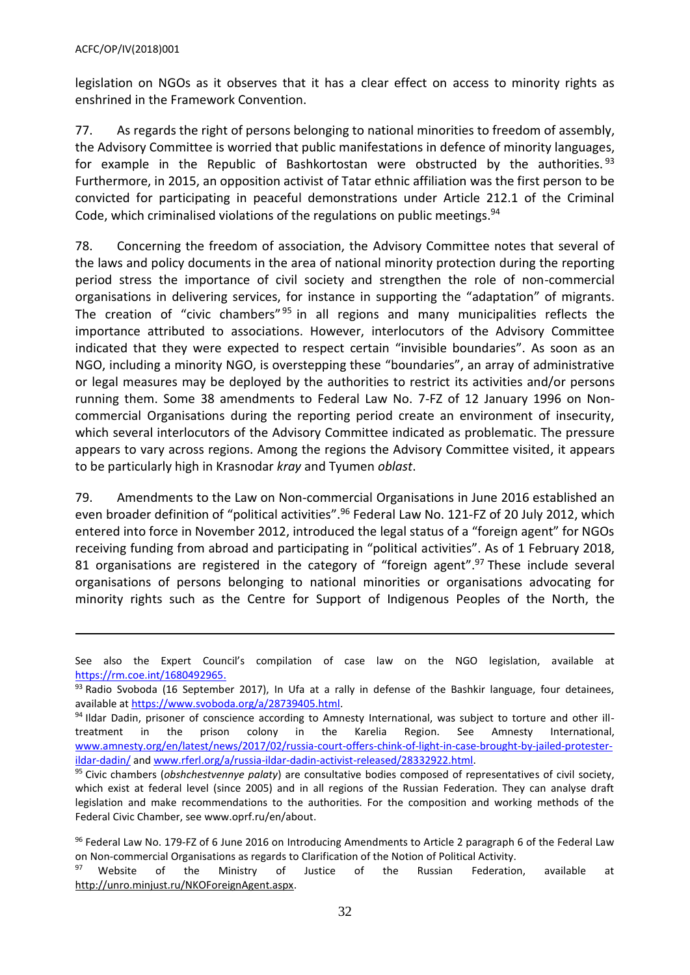$\overline{a}$ 

legislation on NGOs as it observes that it has a clear effect on access to minority rights as enshrined in the Framework Convention.

77. As regards the right of persons belonging to national minorities to freedom of assembly, the Advisory Committee is worried that public manifestations in defence of minority languages, for example in the Republic of Bashkortostan were obstructed by the authorities.<sup>93</sup> Furthermore, in 2015, an opposition activist of Tatar ethnic affiliation was the first person to be convicted for participating in peaceful demonstrations under Article 212.1 of the Criminal Code, which criminalised violations of the regulations on public meetings.<sup>94</sup>

78. Concerning the freedom of association, the Advisory Committee notes that several of the laws and policy documents in the area of national minority protection during the reporting period stress the importance of civil society and strengthen the role of non-commercial organisations in delivering services, for instance in supporting the "adaptation" of migrants. The creation of "civic chambers"<sup>95</sup> in all regions and many municipalities reflects the importance attributed to associations. However, interlocutors of the Advisory Committee indicated that they were expected to respect certain "invisible boundaries". As soon as an NGO, including a minority NGO, is overstepping these "boundaries", an array of administrative or legal measures may be deployed by the authorities to restrict its activities and/or persons running them. Some 38 amendments to Federal Law No. 7-FZ of 12 January 1996 on Noncommercial Organisations during the reporting period create an environment of insecurity, which several interlocutors of the Advisory Committee indicated as problematic. The pressure appears to vary across regions. Among the regions the Advisory Committee visited, it appears to be particularly high in Krasnodar *kray* and Tyumen *oblast*.

79. Amendments to the Law on Non-commercial Organisations in June 2016 established an even broader definition of "political activities".<sup>96</sup> Federal Law No. 121-FZ of 20 July 2012, which entered into force in November 2012, introduced the legal status of a "foreign agent" for NGOs receiving funding from abroad and participating in "political activities". As of 1 February 2018, 81 organisations are registered in the category of "foreign agent".<sup>97</sup> These include several organisations of persons belonging to national minorities or organisations advocating for minority rights such as the Centre for Support of Indigenous Peoples of the North, the

See also the Expert Council's compilation of case law on the NGO legislation, available at [https://rm.coe.int/1680492965.](https://rm.coe.int/1680492965)

<sup>93</sup> Radio Svoboda (16 September 2017), In Ufa at a rally in defense of the Bashkir language, four detainees, available a[t https://www.svoboda.org/a/28739405.html.](https://www.svoboda.org/a/28739405.html)

<sup>94</sup> Ildar Dadin, prisoner of conscience according to Amnesty International, was subject to torture and other illtreatment in the prison colony in the Karelia Region. See Amnesty International, [www.amnesty.org/en/latest/news/2017/02/russia-court-offers-chink-of-light-in-case-brought-by-jailed-protester](http://www.amnesty.org/en/latest/news/2017/02/russia-court-offers-chink-of-light-in-case-brought-by-jailed-protester-ildar-dadin/)[ildar-dadin/](http://www.amnesty.org/en/latest/news/2017/02/russia-court-offers-chink-of-light-in-case-brought-by-jailed-protester-ildar-dadin/) an[d www.rferl.org/a/russia-ildar-dadin-activist-released/28332922.html.](http://www.rferl.org/a/russia-ildar-dadin-activist-released/28332922.html)

<sup>95</sup> Civic chambers (*obshchestvennye palaty*) are consultative bodies composed of representatives of civil society, which exist at federal level (since 2005) and in all regions of the Russian Federation. They can analyse draft legislation and make recommendations to the authorities. For the composition and working methods of the Federal Civic Chamber, see www.oprf.ru/en/about.

<sup>&</sup>lt;sup>96</sup> [Federal Law](http://publication.pravo.gov.ru/Document/View/0001201606020008?index=0&rangeSize=1) No. 179-FZ of 6 June 2016 on Introducing Amendments to Article 2 paragraph 6 of the Federal Law on Non-commercial Organisations as regards to Clarification of the Notion of Political Activity.

Website of the Ministry of Justice of the Russian Federation, available at [http://unro.minjust.ru/NKOForeignAgent.aspx.](http://unro.minjust.ru/NKOForeignAgent.aspx)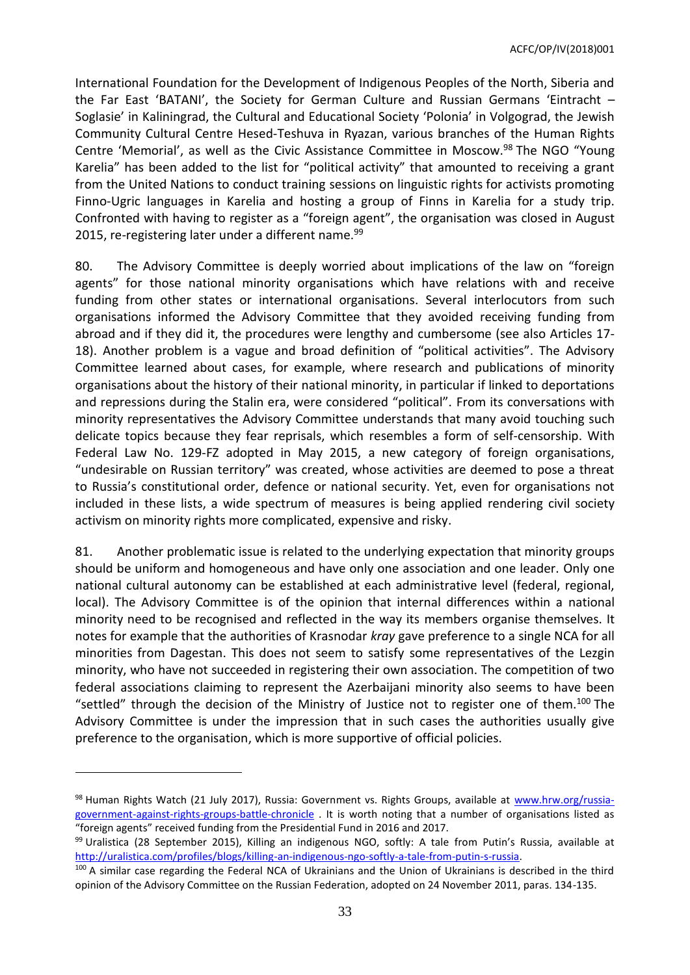International Foundation for the Development of Indigenous Peoples of the North, Siberia and the Far East 'BATANI', the Society for German Culture and Russian Germans 'Eintracht – Soglasie' in Kaliningrad, the Cultural and Educational Society 'Polonia' in Volgograd, the Jewish Community Cultural Centre Hesed-Teshuva in Ryazan, various branches of the Human Rights Centre 'Memorial', as well as the Civic Assistance Committee in Moscow. <sup>98</sup> The NGO "Young Karelia" has been added to the list for "political activity" that amounted to receiving a grant from the United Nations to conduct training sessions on linguistic rights for activists promoting Finno-Ugric languages in Karelia and hosting a group of Finns in Karelia for a study trip. Confronted with having to register as a "foreign agent", the organisation was closed in August 2015, re-registering later under a different name.<sup>99</sup>

80. The Advisory Committee is deeply worried about implications of the law on "foreign agents" for those national minority organisations which have relations with and receive funding from other states or international organisations. Several interlocutors from such organisations informed the Advisory Committee that they avoided receiving funding from abroad and if they did it, the procedures were lengthy and cumbersome (see also Articles 17- 18). Another problem is a vague and broad definition of "political activities". The Advisory Committee learned about cases, for example, where research and publications of minority organisations about the history of their national minority, in particular if linked to deportations and repressions during the Stalin era, were considered "political". From its conversations with minority representatives the Advisory Committee understands that many avoid touching such delicate topics because they fear reprisals, which resembles a form of self-censorship. With Federal Law No. 129-FZ adopted in May 2015, a new category of foreign organisations, "undesirable on Russian territory" was created, whose activities are deemed to pose a threat to Russia's constitutional order, defence or national security. Yet, even for organisations not included in these lists, a wide spectrum of measures is being applied rendering civil society activism on minority rights more complicated, expensive and risky.

81. Another problematic issue is related to the underlying expectation that minority groups should be uniform and homogeneous and have only one association and one leader. Only one national cultural autonomy can be established at each administrative level (federal, regional, local). The Advisory Committee is of the opinion that internal differences within a national minority need to be recognised and reflected in the way its members organise themselves. It notes for example that the authorities of Krasnodar *kray* gave preference to a single NCA for all minorities from Dagestan. This does not seem to satisfy some representatives of the Lezgin minority, who have not succeeded in registering their own association. The competition of two federal associations claiming to represent the Azerbaijani minority also seems to have been "settled" through the decision of the Ministry of Justice not to register one of them.<sup>100</sup> The Advisory Committee is under the impression that in such cases the authorities usually give preference to the organisation, which is more supportive of official policies.

<sup>98</sup> Human Rights Watch (21 July 2017), Russia: Government vs. Rights Groups, available at [www.hrw.org/russia](http://www.hrw.org/russia-government-against-rights-groups-battle-chronicle)[government-against-rights-groups-battle-chronicle](http://www.hrw.org/russia-government-against-rights-groups-battle-chronicle) . It is worth noting that a number of organisations listed as "foreign agents" received funding from the Presidential Fund in 2016 and 2017.

<sup>99</sup> Uralistica (28 September 2015), Killing an indigenous NGO, softly: A tale from Putin's Russia, available at [http://uralistica.com/profiles/blogs/killing-an-indigenous-ngo-softly-a-tale-from-putin-s-russia.](http://uralistica.com/profiles/blogs/killing-an-indigenous-ngo-softly-a-tale-from-putin-s-russia)

<sup>100</sup> A similar case regarding the Federal NCA of Ukrainians and the Union of Ukrainians is described in the third opinion of the Advisory Committee on the Russian Federation, adopted on 24 November 2011, paras. 134-135.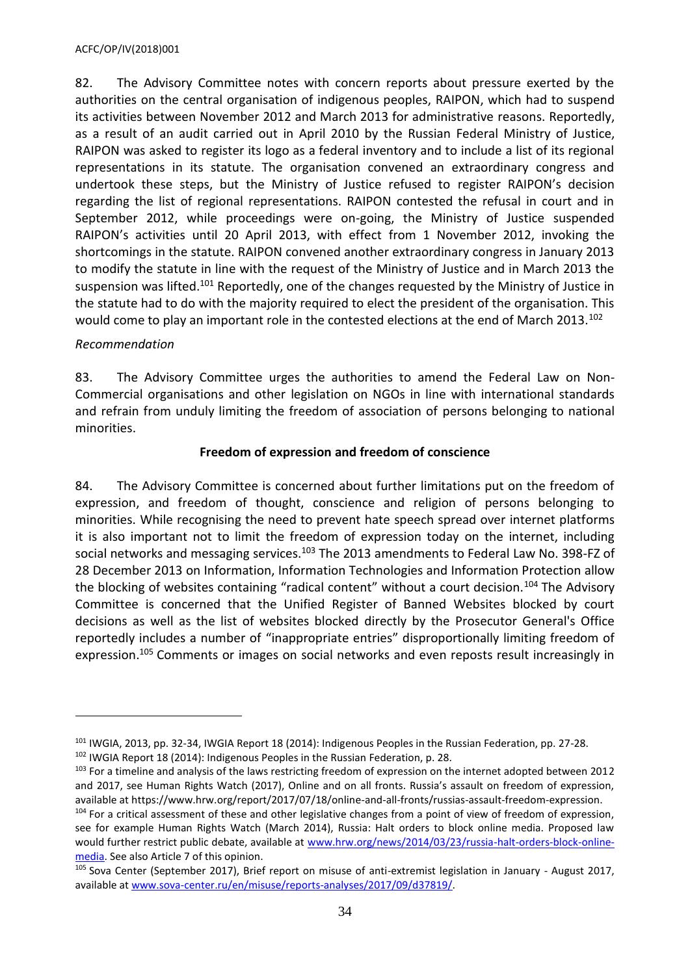82. The Advisory Committee notes with concern reports about pressure exerted by the authorities on the central organisation of indigenous peoples, RAIPON, which had to suspend its activities between November 2012 and March 2013 for administrative reasons. Reportedly, as a result of an audit carried out in April 2010 by the Russian Federal Ministry of Justice, RAIPON was asked to register its logo as a federal inventory and to include a list of its regional representations in its statute. The organisation convened an extraordinary congress and undertook these steps, but the Ministry of Justice refused to register RAIPON's decision regarding the list of regional representations. RAIPON contested the refusal in court and in September 2012, while proceedings were on-going, the Ministry of Justice suspended RAIPON's activities until 20 April 2013, with effect from 1 November 2012, invoking the shortcomings in the statute. RAIPON convened another extraordinary congress in January 2013 to modify the statute in line with the request of the Ministry of Justice and in March 2013 the suspension was lifted.<sup>101</sup> Reportedly, one of the changes requested by the Ministry of Justice in the statute had to do with the majority required to elect the president of the organisation. This would come to play an important role in the contested elections at the end of March 2013.<sup>102</sup>

# *Recommendation*

 $\overline{a}$ 

83. The Advisory Committee urges the authorities to amend the Federal Law on Non-Commercial organisations and other legislation on NGOs in line with international standards and refrain from unduly limiting the freedom of association of persons belonging to national minorities.

# **Freedom of expression and freedom of conscience**

84. The Advisory Committee is concerned about further limitations put on the freedom of expression, and freedom of thought, conscience and religion of persons belonging to minorities. While recognising the need to prevent hate speech spread over internet platforms it is also important not to limit the freedom of expression today on the internet, including social networks and messaging services.<sup>103</sup> The 2013 amendments to Federal Law No. 398-FZ of 28 December 2013 on Information, Information Technologies and Information Protection allow the blocking of websites containing "radical content" without a court decision.<sup>104</sup> The Advisory Committee is concerned that the Unified Register of Banned Websites blocked by court decisions as well as the list of websites blocked directly by the Prosecutor General's Office reportedly includes a number of "inappropriate entries" disproportionally limiting freedom of expression.<sup>105</sup> Comments or images on social networks and even reposts result increasingly in

<sup>101</sup> IWGIA, 2013, pp. 32-34, IWGIA Report 18 (2014): Indigenous Peoples in the Russian Federation, pp. 27-28. <sup>102</sup> IWGIA Report 18 (2014): Indigenous Peoples in the Russian Federation, p. 28.

<sup>&</sup>lt;sup>103</sup> For a timeline and analysis of the laws restricting freedom of expression on the internet adopted between 2012 and 2017, see Human Rights Watch (2017), Online and on all fronts. Russia's assault on freedom of expression, available at https://www.hrw.org/report/2017/07/18/online-and-all-fronts/russias-assault-freedom-expression.

<sup>&</sup>lt;sup>104</sup> For a critical assessment of these and other legislative changes from a point of view of freedom of expression, see for example Human Rights Watch (March 2014), Russia: Halt orders to block online media. Proposed law would further restrict public debate, available at [www.hrw.org/news/2014/03/23/russia-halt-orders-block-online](http://www.hrw.org/news/2014/03/23/russia-halt-orders-block-online-media)[media.](http://www.hrw.org/news/2014/03/23/russia-halt-orders-block-online-media) See also Article 7 of this opinion.

<sup>105</sup> Sova Center (September 2017), Brief report on misuse of anti-extremist legislation in January - August 2017, available a[t www.sova-center.ru/en/misuse/reports-analyses/2017/09/d37819/.](http://www.sova-center.ru/en/misuse/reports-analyses/2017/09/d37819/)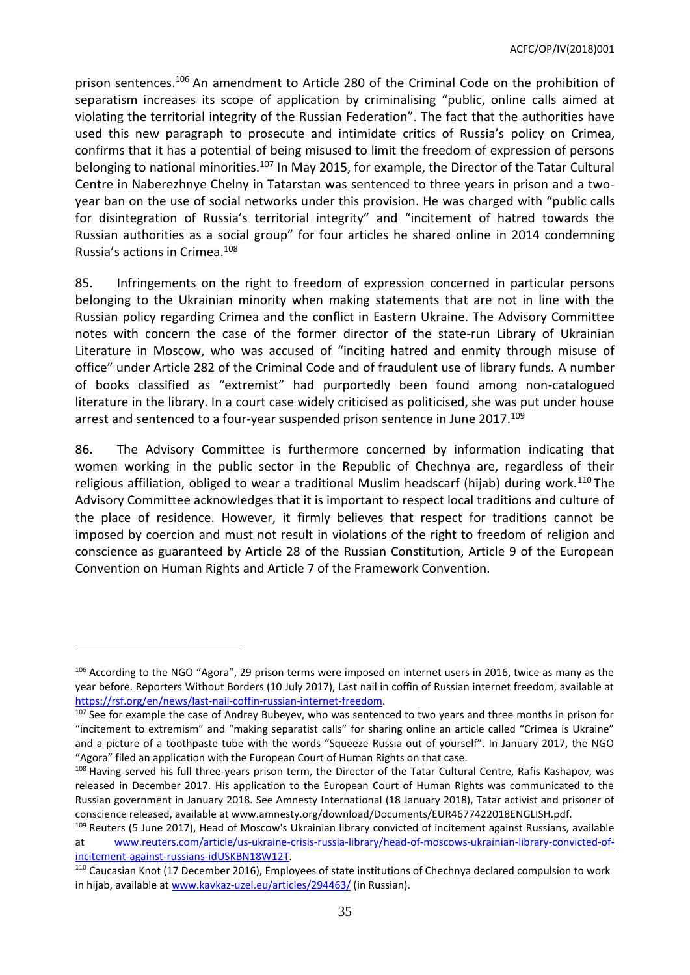prison sentences.<sup>106</sup> An amendment to Article 280 of the Criminal Code on the prohibition of separatism increases its scope of application by criminalising "public, online calls aimed at violating the territorial integrity of the Russian Federation". The fact that the authorities have used this new paragraph to prosecute and intimidate critics of Russia's policy on Crimea, confirms that it has a potential of being misused to limit the freedom of expression of persons belonging to national minorities.<sup>107</sup> In May 2015, for example, the Director of the Tatar Cultural Centre in Naberezhnye Chelny in Tatarstan was sentenced to three years in prison and a twoyear ban on the use of social networks under this provision. He was charged with "public calls for disintegration of Russia's territorial integrity" and "incitement of hatred towards the Russian authorities as a social group" for four articles he shared online in 2014 condemning Russia's actions in Crimea.<sup>108</sup>

85. Infringements on the right to freedom of expression concerned in particular persons belonging to the Ukrainian minority when making statements that are not in line with the Russian policy regarding Crimea and the conflict in Eastern Ukraine. The Advisory Committee notes with concern the case of the former director of the state-run Library of Ukrainian Literature in Moscow, who was accused of "inciting hatred and enmity through misuse of office" under Article 282 of the Criminal Code and of fraudulent use of library funds. A number of books classified as "extremist" had purportedly been found among non-catalogued literature in the library. In a court case widely criticised as politicised, she was put under house arrest and sentenced to a four-year suspended prison sentence in June 2017. 109

86. The Advisory Committee is furthermore concerned by information indicating that women working in the public sector in the Republic of Chechnya are, regardless of their religious affiliation, obliged to wear a traditional Muslim headscarf (hijab) during work.<sup>110</sup> The Advisory Committee acknowledges that it is important to respect local traditions and culture of the place of residence. However, it firmly believes that respect for traditions cannot be imposed by coercion and must not result in violations of the right to freedom of religion and conscience as guaranteed by Article 28 of the Russian Constitution, Article 9 of the European Convention on Human Rights and Article 7 of the Framework Convention.

<sup>106</sup> According to the NGO "Agora", 29 prison terms were imposed on internet users in 2016, twice as many as the year before. Reporters Without Borders (10 July 2017), Last nail in coffin of Russian internet freedom, available at [https://rsf.org/en/news/last-nail-coffin-russian-internet-freedom.](https://rsf.org/en/news/last-nail-coffin-russian-internet-freedom)

<sup>&</sup>lt;sup>107</sup> See for example the case of Andrey Bubeyev, who was sentenced to two years and three months in prison for "incitement to extremism" and "making separatist calls" for sharing online an article called "Crimea is Ukraine" and a picture of a toothpaste tube with the words "Squeeze Russia out of yourself". In January 2017, the NGO "Agora" filed an application with the European Court of Human Rights on that case.

<sup>108</sup> Having served his full three-years prison term, the Director of the Tatar Cultural Centre, Rafis Kashapov, was released in December 2017. His application to the European Court of Human Rights was communicated to the Russian government in January 2018. See Amnesty International (18 January 2018), Tatar activist and prisoner of conscience released, available at www.amnesty.org/download/Documents/EUR4677422018ENGLISH.pdf.

<sup>&</sup>lt;sup>109</sup> Reuters (5 June 2017), Head of Moscow's Ukrainian library convicted of incitement against Russians, available at [www.reuters.com/article/us-ukraine-crisis-russia-library/head-of-moscows-ukrainian-library-convicted-of](http://www.reuters.com/article/us-ukraine-crisis-russia-library/head-of-moscows-ukrainian-library-convicted-of-incitement-against-russians-idUSKBN18W12T)[incitement-against-russians-idUSKBN18W12T.](http://www.reuters.com/article/us-ukraine-crisis-russia-library/head-of-moscows-ukrainian-library-convicted-of-incitement-against-russians-idUSKBN18W12T)

<sup>110</sup> Caucasian Knot (17 December 2016), Employees of state institutions of Chechnya declared compulsion to work in hijab, available at [www.kavkaz-uzel.eu/articles/294463/](http://www.kavkaz-uzel.eu/articles/294463/) (in Russian).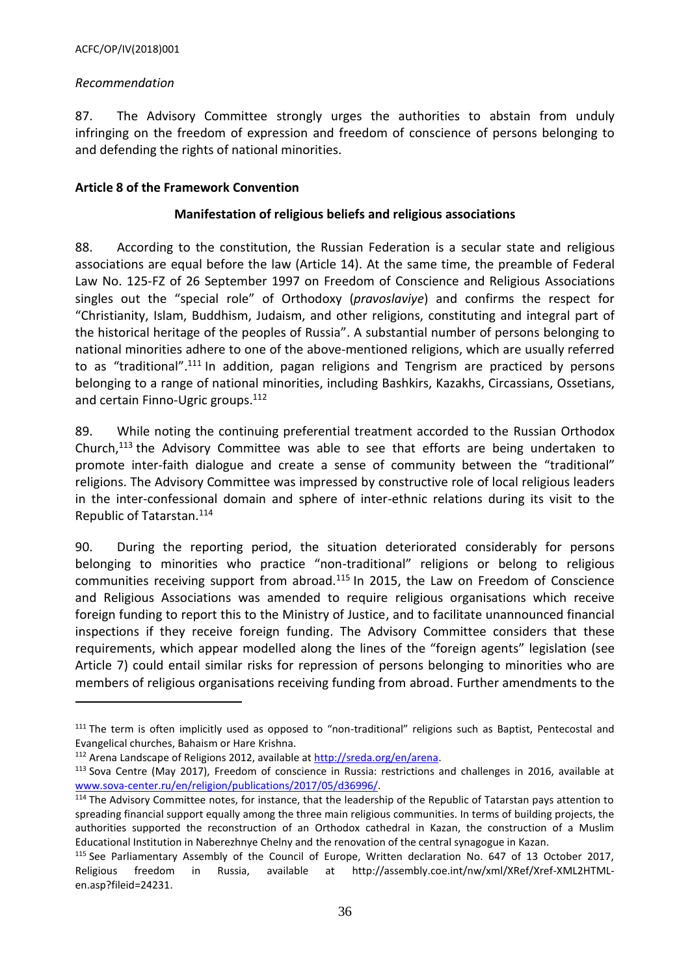### *Recommendation*

 $\overline{a}$ 

87. The Advisory Committee strongly urges the authorities to abstain from unduly infringing on the freedom of expression and freedom of conscience of persons belonging to and defending the rights of national minorities.

### <span id="page-35-0"></span>**Article 8 of the Framework Convention**

### **Manifestation of religious beliefs and religious associations**

88. According to the constitution, the Russian Federation is a secular state and religious associations are equal before the law (Article 14). At the same time, the preamble of Federal Law No. 125-FZ of 26 September 1997 on Freedom of Conscience and Religious Associations singles out the "special role" of Orthodoxy (*pravoslaviye*) and confirms the respect for "Christianity, Islam, Buddhism, Judaism, and other religions, constituting and integral part of the historical heritage of the peoples of Russia". A substantial number of persons belonging to national minorities adhere to one of the above-mentioned religions, which are usually referred to as "traditional".<sup>111</sup> In addition, pagan religions and Tengrism are practiced by persons belonging to a range of national minorities, including Bashkirs, Kazakhs, Circassians, Ossetians, and certain Finno-Ugric groups. 112

89. While noting the continuing preferential treatment accorded to the Russian Orthodox Church,<sup>113</sup> the Advisory Committee was able to see that efforts are being undertaken to promote inter-faith dialogue and create a sense of community between the "traditional" religions. The Advisory Committee was impressed by constructive role of local religious leaders in the inter-confessional domain and sphere of inter-ethnic relations during its visit to the Republic of Tatarstan.<sup>114</sup>

90. During the reporting period, the situation deteriorated considerably for persons belonging to minorities who practice "non-traditional" religions or belong to religious communities receiving support from abroad.<sup>115</sup> In 2015, the Law on Freedom of Conscience and Religious Associations was amended to require religious organisations which receive foreign funding to report this to the Ministry of Justice, and to facilitate unannounced financial inspections if they receive foreign funding. The Advisory Committee considers that these requirements, which appear modelled along the lines of the "foreign agents" legislation (see Article 7) could entail similar risks for repression of persons belonging to minorities who are members of religious organisations receiving funding from abroad. Further amendments to the

<sup>&</sup>lt;sup>111</sup> The term is often implicitly used as opposed to "non-traditional" religions such as Baptist, Pentecostal and Evangelical churches, Bahaism or Hare Krishna.

<sup>&</sup>lt;sup>112</sup> Arena Landscape of Religions 2012, available at [http://sreda.org/en/arena.](http://sreda.org/en/arena)

<sup>113</sup> Sova Centre (May 2017), Freedom of conscience in Russia: restrictions and challenges in 2016, available at [www.sova-center.ru/en/religion/publications/2017/05/d36996/.](http://www.sova-center.ru/en/religion/publications/2017/05/d36996/) 

<sup>&</sup>lt;sup>114</sup> The Advisory Committee notes, for instance, that the leadership of the Republic of Tatarstan pays attention to spreading financial support equally among the three main religious communities. In terms of building projects, the authorities supported the reconstruction of an Orthodox cathedral in Kazan, the construction of a Muslim Educational Institution in Naberezhnye Chelny and the renovation of the central synagogue in Kazan.

<sup>&</sup>lt;sup>115</sup> See Parliamentary Assembly of the Council of Europe, Written declaration No. 647 of 13 October 2017, Religious freedom in Russia, available at [http://assembly.coe.int/nw/xml/XRef/Xref-XML2HTML](http://assembly.coe.int/nw/xml/XRef/Xref-XML2HTML-en.asp?fileid=24231)[en.asp?fileid=24231.](http://assembly.coe.int/nw/xml/XRef/Xref-XML2HTML-en.asp?fileid=24231)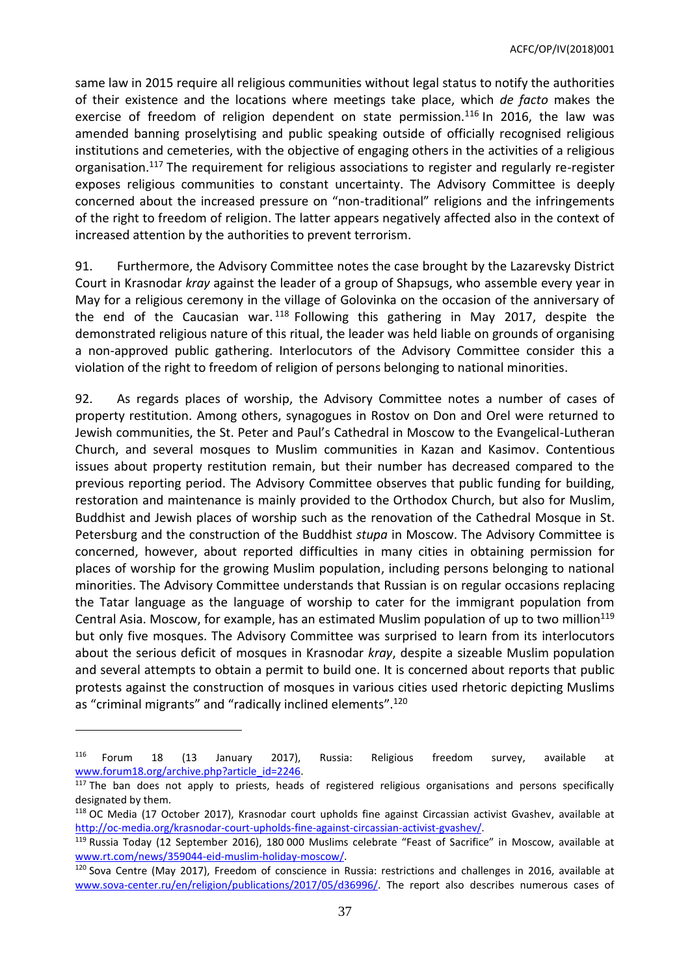same law in 2015 require all religious communities without legal status to notify the authorities of their existence and the locations where meetings take place, which *de facto* makes the exercise of freedom of religion dependent on state permission.<sup>116</sup> In 2016, the law was amended banning proselytising and public speaking outside of officially recognised religious institutions and cemeteries, with the objective of engaging others in the activities of a religious organisation.<sup>117</sup> The requirement for religious associations to register and regularly re-register exposes religious communities to constant uncertainty. The Advisory Committee is deeply concerned about the increased pressure on "non-traditional" religions and the infringements of the right to freedom of religion. The latter appears negatively affected also in the context of increased attention by the authorities to prevent terrorism.

91. Furthermore, the Advisory Committee notes the case brought by the Lazarevsky District Court in Krasnodar *kray* against the leader of a group of Shapsugs, who assemble every year in May for a religious ceremony in the village of Golovinka on the occasion of the anniversary of the end of the Caucasian war.  $118$  Following this gathering in May 2017, despite the demonstrated religious nature of this ritual, the leader was held liable on grounds of organising a non-approved public gathering. Interlocutors of the Advisory Committee consider this a violation of the right to freedom of religion of persons belonging to national minorities.

92. As regards places of worship, the Advisory Committee notes a number of cases of property restitution. Among others, synagogues in Rostov on Don and Orel were returned to Jewish communities, the St. Peter and Paul's Cathedral in Moscow to the Evangelical-Lutheran Church, and several mosques to Muslim communities in Kazan and Kasimov. Contentious issues about property restitution remain, but their number has decreased compared to the previous reporting period. The Advisory Committee observes that public funding for building, restoration and maintenance is mainly provided to the Orthodox Church, but also for Muslim, Buddhist and Jewish places of worship such as the renovation of the Cathedral Mosque in St. Petersburg and the construction of the Buddhist *stupa* in Moscow. The Advisory Committee is concerned, however, about reported difficulties in many cities in obtaining permission for places of worship for the growing Muslim population, including persons belonging to national minorities. The Advisory Committee understands that Russian is on regular occasions replacing the Tatar language as the language of worship to cater for the immigrant population from Central Asia. Moscow, for example, has an estimated Muslim population of up to two million<sup>119</sup> but only five mosques. The Advisory Committee was surprised to learn from its interlocutors about the serious deficit of mosques in Krasnodar *kray*, despite a sizeable Muslim population and several attempts to obtain a permit to build one. It is concerned about reports that public protests against the construction of mosques in various cities used rhetoric depicting Muslims as "criminal migrants" and "radically inclined elements".<sup>120</sup>

<sup>116</sup> Forum 18 (13 January 2017), Russia: Religious freedom survey, available at [www.forum18.org/archive.php?article\\_id=2246.](http://www.forum18.org/archive.php?article_id=2246)

 $117$  The ban does not apply to priests, heads of registered religious organisations and persons specifically designated by them.

<sup>118</sup> OC Media (17 October 2017), Krasnodar court upholds fine against Circassian activist Gvashev, available at [http://oc-media.org/krasnodar-court-upholds-fine-against-circassian-activist-gvashev/.](http://oc-media.org/krasnodar-court-upholds-fine-against-circassian-activist-gvashev/)

<sup>119</sup> Russia Today (12 September 2016), 180 000 Muslims celebrate "Feast of Sacrifice" in Moscow, available at [www.rt.com/news/359044-eid-muslim-holiday-moscow/.](http://www.rt.com/news/359044-eid-muslim-holiday-moscow/)

<sup>120</sup> Sova Centre (May 2017), Freedom of conscience in Russia: restrictions and challenges in 2016, available at [www.sova-center.ru/en/religion/publications/2017/05/d36996/.](http://www.sova-center.ru/en/religion/publications/2017/05/d36996/) The report also describes numerous cases of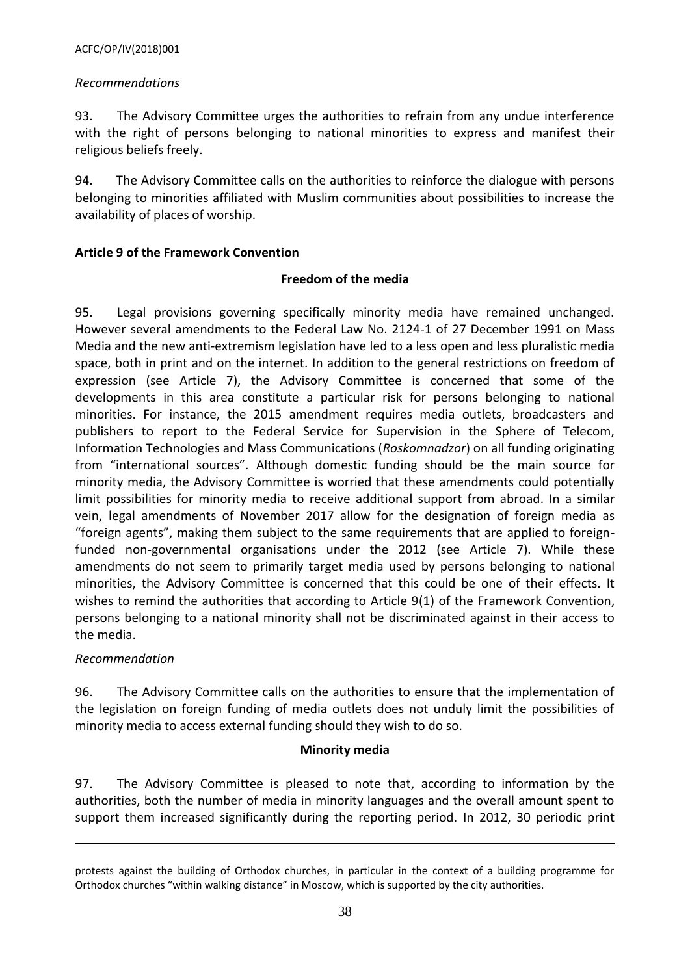# *Recommendations*

93. The Advisory Committee urges the authorities to refrain from any undue interference with the right of persons belonging to national minorities to express and manifest their religious beliefs freely.

94. The Advisory Committee calls on the authorities to reinforce the dialogue with persons belonging to minorities affiliated with Muslim communities about possibilities to increase the availability of places of worship.

# <span id="page-37-0"></span>**Article 9 of the Framework Convention**

### **Freedom of the media**

95. Legal provisions governing specifically minority media have remained unchanged. However several amendments to the Federal Law No. 2124-1 of 27 December 1991 on Mass Media and the new anti-extremism legislation have led to a less open and less pluralistic media space, both in print and on the internet. In addition to the general restrictions on freedom of expression (see Article 7), the Advisory Committee is concerned that some of the developments in this area constitute a particular risk for persons belonging to national minorities. For instance, the 2015 amendment requires media outlets, broadcasters and publishers to report to the Federal Service for Supervision in the Sphere of Telecom, Information Technologies and Mass Communications (*Roskomnadzor*) on all funding originating from "international sources". Although domestic funding should be the main source for minority media, the Advisory Committee is worried that these amendments could potentially limit possibilities for minority media to receive additional support from abroad. In a similar vein, legal amendments of November 2017 allow for the designation of foreign media as "foreign agents", making them subject to the same requirements that are applied to foreignfunded non-governmental organisations under the 2012 (see Article 7). While these amendments do not seem to primarily target media used by persons belonging to national minorities, the Advisory Committee is concerned that this could be one of their effects. It wishes to remind the authorities that according to Article 9(1) of the Framework Convention, persons belonging to a national minority shall not be discriminated against in their access to the media.

# *Recommendation*

 $\overline{\phantom{a}}$ 

96. The Advisory Committee calls on the authorities to ensure that the implementation of the legislation on foreign funding of media outlets does not unduly limit the possibilities of minority media to access external funding should they wish to do so.

#### **Minority media**

97. The Advisory Committee is pleased to note that, according to information by the authorities, both the number of media in minority languages and the overall amount spent to support them increased significantly during the reporting period. In 2012, 30 periodic print

protests against the building of Orthodox churches, in particular in the context of a building programme for Orthodox churches "within walking distance" in Moscow, which is supported by the city authorities.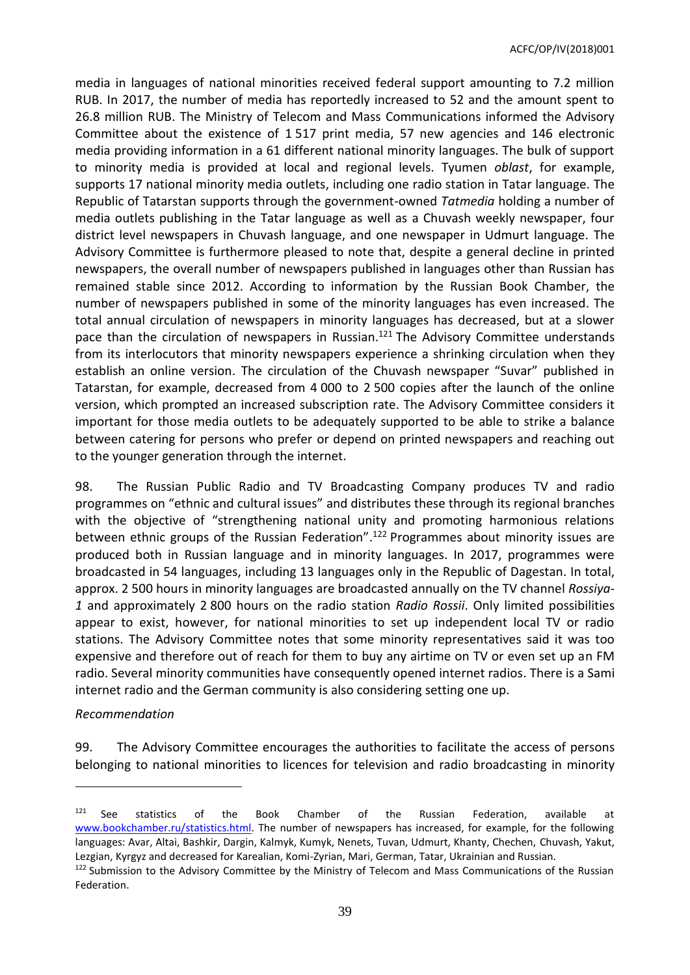media in languages of national minorities received federal support amounting to 7.2 million RUB. In 2017, the number of media has reportedly increased to 52 and the amount spent to 26.8 million RUB. The Ministry of Telecom and Mass Communications informed the Advisory Committee about the existence of 1 517 print media, 57 new agencies and 146 electronic media providing information in a 61 different national minority languages. The bulk of support to minority media is provided at local and regional levels. Tyumen *oblast*, for example, supports 17 national minority media outlets, including one radio station in Tatar language. The Republic of Tatarstan supports through the government-owned *Tatmedia* holding a number of media outlets publishing in the Tatar language as well as a Chuvash weekly newspaper, four district level newspapers in Chuvash language, and one newspaper in Udmurt language. The Advisory Committee is furthermore pleased to note that, despite a general decline in printed newspapers, the overall number of newspapers published in languages other than Russian has remained stable since 2012. According to information by the Russian Book Chamber, the number of newspapers published in some of the minority languages has even increased. The total annual circulation of newspapers in minority languages has decreased, but at a slower pace than the circulation of newspapers in Russian. <sup>121</sup> The Advisory Committee understands from its interlocutors that minority newspapers experience a shrinking circulation when they establish an online version. The circulation of the Chuvash newspaper "Suvar" published in Tatarstan, for example, decreased from 4 000 to 2 500 copies after the launch of the online version, which prompted an increased subscription rate. The Advisory Committee considers it important for those media outlets to be adequately supported to be able to strike a balance between catering for persons who prefer or depend on printed newspapers and reaching out to the younger generation through the internet.

98. The Russian Public Radio and TV Broadcasting Company produces TV and radio programmes on "ethnic and cultural issues" and distributes these through its regional branches with the objective of "strengthening national unity and promoting harmonious relations between ethnic groups of the Russian Federation". <sup>122</sup> Programmes about minority issues are produced both in Russian language and in minority languages. In 2017, programmes were broadcasted in 54 languages, including 13 languages only in the Republic of Dagestan. In total, approx. 2 500 hours in minority languages are broadcasted annually on the TV channel *Rossiya-1* and approximately 2 800 hours on the radio station *Radio Rossii*. Only limited possibilities appear to exist, however, for national minorities to set up independent local TV or radio stations. The Advisory Committee notes that some minority representatives said it was too expensive and therefore out of reach for them to buy any airtime on TV or even set up an FM radio. Several minority communities have consequently opened internet radios. There is a Sami internet radio and the German community is also considering setting one up.

#### *Recommendation*

 $\overline{a}$ 

99. The Advisory Committee encourages the authorities to facilitate the access of persons belonging to national minorities to licences for television and radio broadcasting in minority

 $121$  See statistics of the Book Chamber of the Russian Federation, available at [www.bookchamber.ru/statistics.html.](http://www.bookchamber.ru/statistics.html) The number of newspapers has increased, for example, for the following languages: Avar, Altai, Bashkir, Dargin, Kalmyk, Kumyk, Nenets, Tuvan, Udmurt, Khanty, Chechen, Chuvash, Yakut, Lezgian, Kyrgyz and decreased for Karealian, Komi-Zyrian, Mari, German, Tatar, Ukrainian and Russian.

<sup>122</sup> Submission to the Advisory Committee by the Ministry of Telecom and Mass Communications of the Russian Federation.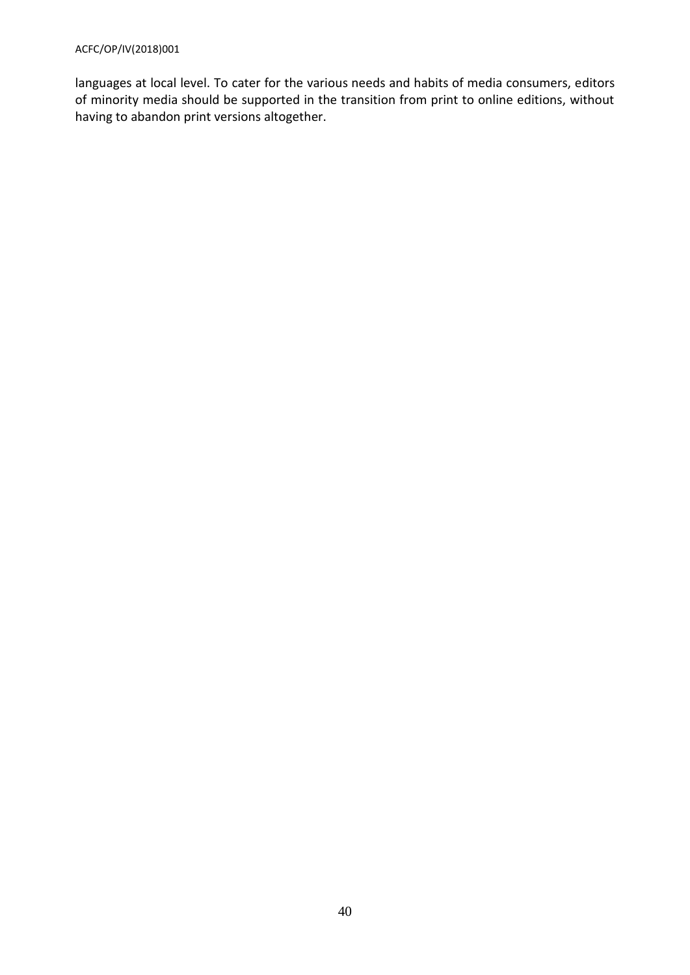languages at local level. To cater for the various needs and habits of media consumers, editors of minority media should be supported in the transition from print to online editions, without having to abandon print versions altogether.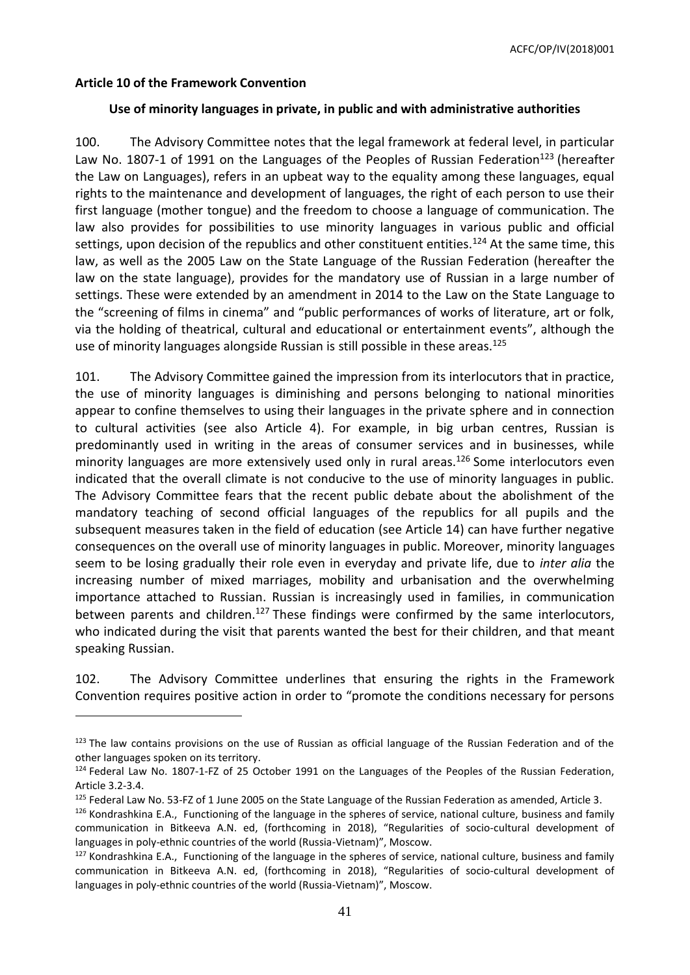### <span id="page-40-0"></span>**Article 10 of the Framework Convention**

 $\overline{a}$ 

### **Use of minority languages in private, in public and with administrative authorities**

100. The Advisory Committee notes that the legal framework at federal level, in particular Law No. 1807-1 of 1991 on the Languages of the Peoples of Russian Federation<sup>123</sup> (hereafter the Law on Languages), refers in an upbeat way to the equality among these languages, equal rights to the maintenance and development of languages, the right of each person to use their first language (mother tongue) and the freedom to choose a language of communication. The law also provides for possibilities to use minority languages in various public and official settings, upon decision of the republics and other constituent entities.<sup>124</sup> At the same time, this law, as well as the 2005 Law on the State Language of the Russian Federation (hereafter the law on the state language), provides for the mandatory use of Russian in a large number of settings. These were extended by an amendment in 2014 to the Law on the State Language to the "screening of films in cinema" and "public performances of works of literature, art or folk, via the holding of theatrical, cultural and educational or entertainment events", although the use of minority languages alongside Russian is still possible in these areas.<sup>125</sup>

101. The Advisory Committee gained the impression from its interlocutors that in practice, the use of minority languages is diminishing and persons belonging to national minorities appear to confine themselves to using their languages in the private sphere and in connection to cultural activities (see also Article 4). For example, in big urban centres, Russian is predominantly used in writing in the areas of consumer services and in businesses, while minority languages are more extensively used only in rural areas.<sup>126</sup> Some interlocutors even indicated that the overall climate is not conducive to the use of minority languages in public. The Advisory Committee fears that the recent public debate about the abolishment of the mandatory teaching of second official languages of the republics for all pupils and the subsequent measures taken in the field of education (see Article 14) can have further negative consequences on the overall use of minority languages in public. Moreover, minority languages seem to be losing gradually their role even in everyday and private life, due to *inter alia* the increasing number of mixed marriages, mobility and urbanisation and the overwhelming importance attached to Russian. Russian is increasingly used in families, in communication between parents and children.<sup>127</sup> These findings were confirmed by the same interlocutors, who indicated during the visit that parents wanted the best for their children, and that meant speaking Russian.

102. The Advisory Committee underlines that ensuring the rights in the Framework Convention requires positive action in order to "promote the conditions necessary for persons

 $123$  The law contains provisions on the use of Russian as official language of the Russian Federation and of the other languages spoken on its territory.

<sup>124</sup> Federal Law No. 1807-1-FZ of 25 October 1991 on the Languages of the Peoples of the Russian Federation, Article 3.2-3.4.

<sup>&</sup>lt;sup>125</sup> Federal Law No. 53-FZ of 1 June 2005 on the State Language of the Russian Federation as amended, Article 3.

 $126$  Kondrashkina E.A., Functioning of the language in the spheres of service, national culture, business and family communication in Bitkeeva A.N. ed, (forthcoming in 2018), "Regularities of socio-cultural development of languages in poly-ethnic countries of the world (Russia-Vietnam)", Moscow.

 $127$  Kondrashkina E.A., Functioning of the language in the spheres of service, national culture, business and family communication in Bitkeeva A.N. ed, (forthcoming in 2018), "Regularities of socio-cultural development of languages in poly-ethnic countries of the world (Russia-Vietnam)", Moscow.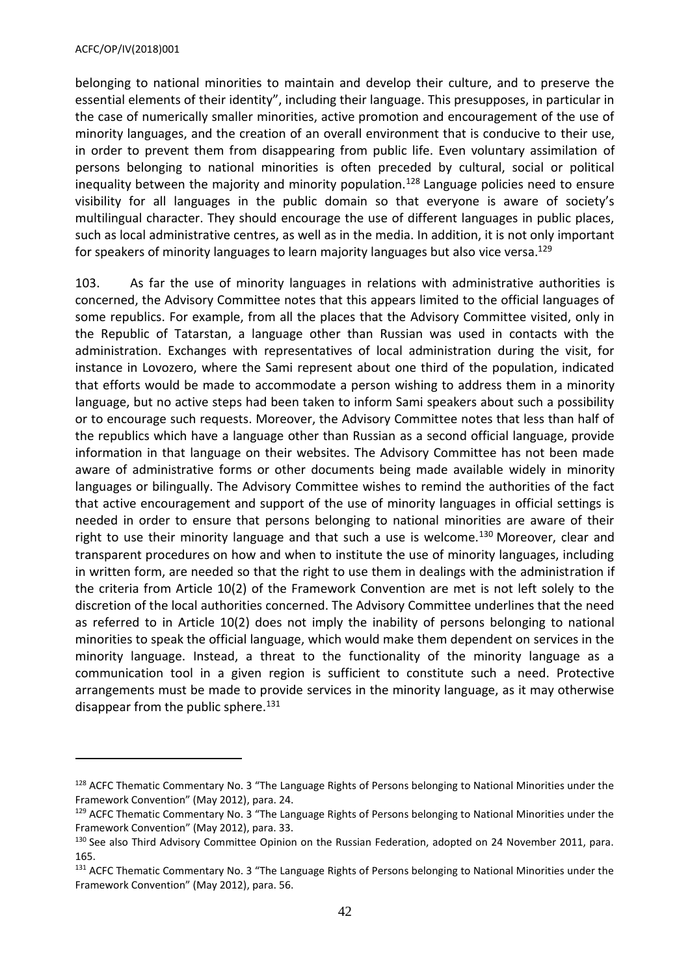#### ACFC/OP/IV(2018)001

 $\overline{a}$ 

belonging to national minorities to maintain and develop their culture, and to preserve the essential elements of their identity", including their language. This presupposes, in particular in the case of numerically smaller minorities, active promotion and encouragement of the use of minority languages, and the creation of an overall environment that is conducive to their use, in order to prevent them from disappearing from public life. Even voluntary assimilation of persons belonging to national minorities is often preceded by cultural, social or political inequality between the majority and minority population.<sup>128</sup> Language policies need to ensure visibility for all languages in the public domain so that everyone is aware of society's multilingual character. They should encourage the use of different languages in public places, such as local administrative centres, as well as in the media. In addition, it is not only important for speakers of minority languages to learn majority languages but also vice versa. 129

103. As far the use of minority languages in relations with administrative authorities is concerned, the Advisory Committee notes that this appears limited to the official languages of some republics. For example, from all the places that the Advisory Committee visited, only in the Republic of Tatarstan, a language other than Russian was used in contacts with the administration. Exchanges with representatives of local administration during the visit, for instance in Lovozero, where the Sami represent about one third of the population, indicated that efforts would be made to accommodate a person wishing to address them in a minority language, but no active steps had been taken to inform Sami speakers about such a possibility or to encourage such requests. Moreover, the Advisory Committee notes that less than half of the republics which have a language other than Russian as a second official language, provide information in that language on their websites. The Advisory Committee has not been made aware of administrative forms or other documents being made available widely in minority languages or bilingually. The Advisory Committee wishes to remind the authorities of the fact that active encouragement and support of the use of minority languages in official settings is needed in order to ensure that persons belonging to national minorities are aware of their right to use their minority language and that such a use is welcome.<sup>130</sup> Moreover, clear and transparent procedures on how and when to institute the use of minority languages, including in written form, are needed so that the right to use them in dealings with the administration if the criteria from Article 10(2) of the Framework Convention are met is not left solely to the discretion of the local authorities concerned. The Advisory Committee underlines that the need as referred to in Article 10(2) does not imply the inability of persons belonging to national minorities to speak the official language, which would make them dependent on services in the minority language. Instead, a threat to the functionality of the minority language as a communication tool in a given region is sufficient to constitute such a need. Protective arrangements must be made to provide services in the minority language, as it may otherwise disappear from the public sphere.<sup>131</sup>

<sup>&</sup>lt;sup>128</sup> ACFC Thematic Commentary No. 3 "The Language Rights of Persons belonging to National Minorities under the Framework Convention" (May 2012), para. 24.

<sup>&</sup>lt;sup>129</sup> ACFC Thematic Commentary No. 3 "The Language Rights of Persons belonging to National Minorities under the Framework Convention" (May 2012), para. 33.

<sup>130</sup> See also Third Advisory Committee Opinion on the Russian Federation, adopted on 24 November 2011, para. 165.

<sup>131</sup> ACFC Thematic Commentary No. 3 "The Language Rights of Persons belonging to National Minorities under the Framework Convention" (May 2012), para. 56.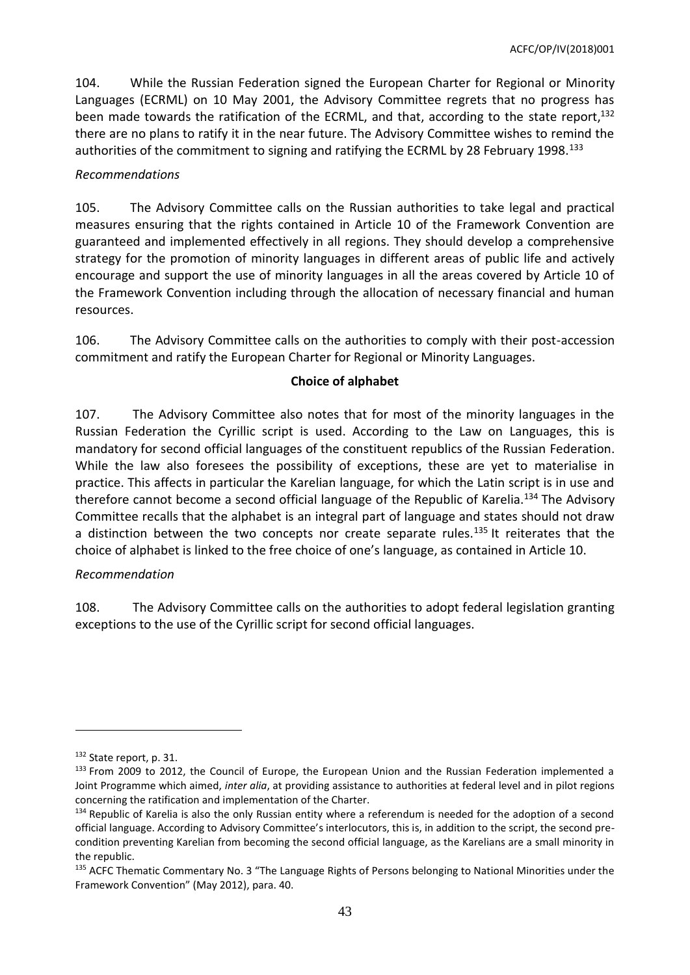104. While the Russian Federation signed the European Charter for Regional or Minority Languages (ECRML) on 10 May 2001, the Advisory Committee regrets that no progress has been made towards the ratification of the ECRML, and that, according to the state report, 132 there are no plans to ratify it in the near future. The Advisory Committee wishes to remind the authorities of the commitment to signing and ratifying the ECRML by 28 February 1998.<sup>133</sup>

### *Recommendations*

105. The Advisory Committee calls on the Russian authorities to take legal and practical measures ensuring that the rights contained in Article 10 of the Framework Convention are guaranteed and implemented effectively in all regions. They should develop a comprehensive strategy for the promotion of minority languages in different areas of public life and actively encourage and support the use of minority languages in all the areas covered by Article 10 of the Framework Convention including through the allocation of necessary financial and human resources.

106. The Advisory Committee calls on the authorities to comply with their post-accession commitment and ratify the European Charter for Regional or Minority Languages.

### **Choice of alphabet**

107. The Advisory Committee also notes that for most of the minority languages in the Russian Federation the Cyrillic script is used. According to the Law on Languages, this is mandatory for second official languages of the constituent republics of the Russian Federation. While the law also foresees the possibility of exceptions, these are yet to materialise in practice. This affects in particular the Karelian language, for which the Latin script is in use and therefore cannot become a second official language of the Republic of Karelia.<sup>134</sup> The Advisory Committee recalls that the alphabet is an integral part of language and states should not draw a distinction between the two concepts nor create separate rules.<sup>135</sup> It reiterates that the choice of alphabet is linked to the free choice of one's language, as contained in Article 10.

#### *Recommendation*

108. The Advisory Committee calls on the authorities to adopt federal legislation granting exceptions to the use of the Cyrillic script for second official languages.

<sup>&</sup>lt;sup>132</sup> State report, p. 31.

<sup>133</sup> From 2009 to 2012, the Council of Europe, the European Union and the Russian Federation implemented a Joint Programme which aimed, *inter alia*, at providing assistance to authorities at federal level and in pilot regions concerning the ratification and implementation of the Charter.

<sup>&</sup>lt;sup>134</sup> Republic of Karelia is also the only Russian entity where a referendum is needed for the adoption of a second official language. According to Advisory Committee's interlocutors, this is, in addition to the script, the second precondition preventing Karelian from becoming the second official language, as the Karelians are a small minority in the republic.

<sup>135</sup> ACFC Thematic Commentary No. 3 "The Language Rights of Persons belonging to National Minorities under the Framework Convention" (May 2012), para. 40.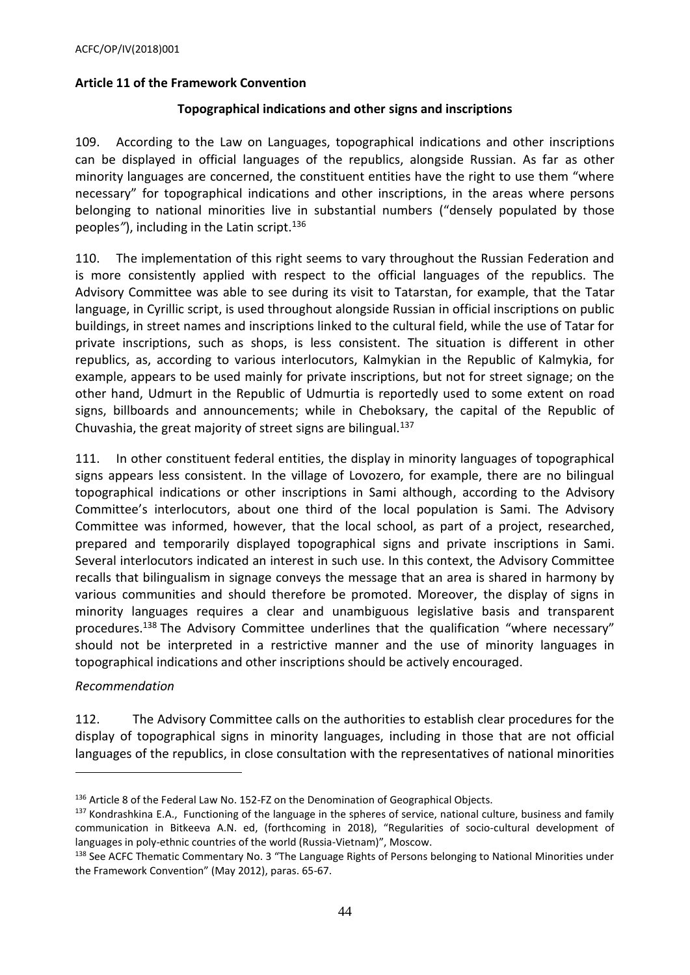### <span id="page-43-0"></span>**Article 11 of the Framework Convention**

### **Topographical indications and other signs and inscriptions**

109. According to the Law on Languages, topographical indications and other inscriptions can be displayed in official languages of the republics, alongside Russian. As far as other minority languages are concerned, the constituent entities have the right to use them "where necessary" for topographical indications and other inscriptions, in the areas where persons belonging to national minorities live in substantial numbers ("densely populated by those peoples*"*), including in the Latin script.<sup>136</sup>

110. The implementation of this right seems to vary throughout the Russian Federation and is more consistently applied with respect to the official languages of the republics. The Advisory Committee was able to see during its visit to Tatarstan, for example, that the Tatar language, in Cyrillic script, is used throughout alongside Russian in official inscriptions on public buildings, in street names and inscriptions linked to the cultural field, while the use of Tatar for private inscriptions, such as shops, is less consistent. The situation is different in other republics, as, according to various interlocutors, Kalmykian in the Republic of Kalmykia, for example, appears to be used mainly for private inscriptions, but not for street signage; on the other hand, Udmurt in the Republic of Udmurtia is reportedly used to some extent on road signs, billboards and announcements; while in Cheboksary, the capital of the Republic of Chuvashia, the great majority of street signs are bilingual.<sup>137</sup>

111. In other constituent federal entities, the display in minority languages of topographical signs appears less consistent. In the village of Lovozero, for example, there are no bilingual topographical indications or other inscriptions in Sami although, according to the Advisory Committee's interlocutors, about one third of the local population is Sami. The Advisory Committee was informed, however, that the local school, as part of a project, researched, prepared and temporarily displayed topographical signs and private inscriptions in Sami. Several interlocutors indicated an interest in such use. In this context, the Advisory Committee recalls that bilingualism in signage conveys the message that an area is shared in harmony by various communities and should therefore be promoted. Moreover, the display of signs in minority languages requires a clear and unambiguous legislative basis and transparent procedures.<sup>138</sup> The Advisory Committee underlines that the qualification "where necessary" should not be interpreted in a restrictive manner and the use of minority languages in topographical indications and other inscriptions should be actively encouraged.

# *Recommendation*

 $\overline{a}$ 

112. The Advisory Committee calls on the authorities to establish clear procedures for the display of topographical signs in minority languages, including in those that are not official languages of the republics, in close consultation with the representatives of national minorities

<sup>136</sup> Article 8 of the Federal Law No. 152-FZ on the Denomination of Geographical Objects.

<sup>&</sup>lt;sup>137</sup> Kondrashkina E.A., Functioning of the language in the spheres of service, national culture, business and family communication in Bitkeeva A.N. ed, (forthcoming in 2018), "Regularities of socio-cultural development of languages in poly-ethnic countries of the world (Russia-Vietnam)", Moscow.

<sup>138</sup> See ACFC Thematic Commentary No. 3 "The Language Rights of Persons belonging to National Minorities under the Framework Convention" (May 2012), paras. 65-67.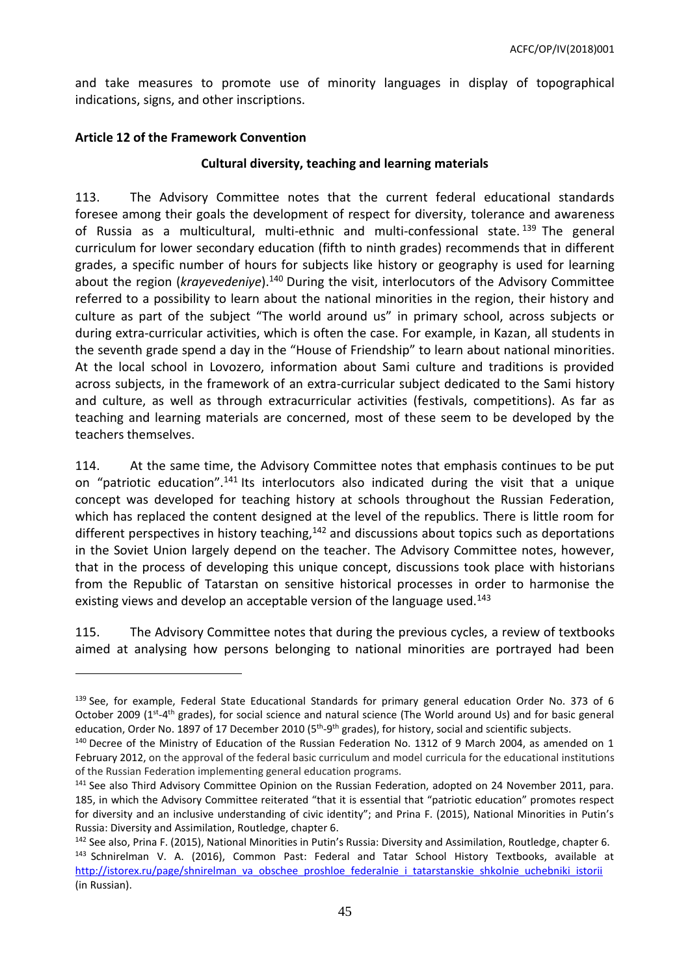and take measures to promote use of minority languages in display of topographical indications, signs, and other inscriptions.

### <span id="page-44-0"></span>**Article 12 of the Framework Convention**

 $\overline{a}$ 

### **Cultural diversity, teaching and learning materials**

113. The Advisory Committee notes that the current federal educational standards foresee among their goals the development of respect for diversity, tolerance and awareness of Russia as a multicultural, multi-ethnic and multi-confessional state.<sup>139</sup> The general curriculum for lower secondary education (fifth to ninth grades) recommends that in different grades, a specific number of hours for subjects like history or geography is used for learning about the region (*krayevedeniye*).<sup>140</sup> During the visit, interlocutors of the Advisory Committee referred to a possibility to learn about the national minorities in the region, their history and culture as part of the subject "The world around us" in primary school, across subjects or during extra-curricular activities, which is often the case. For example, in Kazan, all students in the seventh grade spend a day in the "House of Friendship" to learn about national minorities. At the local school in Lovozero, information about Sami culture and traditions is provided across subjects, in the framework of an extra-curricular subject dedicated to the Sami history and culture, as well as through extracurricular activities (festivals, competitions). As far as teaching and learning materials are concerned, most of these seem to be developed by the teachers themselves.

114. At the same time, the Advisory Committee notes that emphasis continues to be put on "patriotic education".<sup>141</sup> Its interlocutors also indicated during the visit that a unique concept was developed for teaching history at schools throughout the Russian Federation, which has replaced the content designed at the level of the republics. There is little room for different perspectives in history teaching,<sup>142</sup> and discussions about topics such as deportations in the Soviet Union largely depend on the teacher. The Advisory Committee notes, however, that in the process of developing this unique concept, discussions took place with historians from the Republic of Tatarstan on sensitive historical processes in order to harmonise the existing views and develop an acceptable version of the language used.<sup>143</sup>

115. The Advisory Committee notes that during the previous cycles, a review of textbooks aimed at analysing how persons belonging to national minorities are portrayed had been

<sup>&</sup>lt;sup>139</sup> See, for example, Federal State Educational Standards for primary general education Order No. 373 of 6 October 2009 (1<sup>st</sup>-4<sup>th</sup> grades), for social science and natural science (The World around Us) and for basic general education, Order No. 1897 of 17 December 2010 (5<sup>th</sup>-9<sup>th</sup> grades), for history, social and scientific subjects.

<sup>&</sup>lt;sup>140</sup> Decree of the Ministry of Education of the Russian Federation No. 1312 of 9 March 2004, as amended on 1 February 2012, on the approval of the federal basic curriculum and model curricula for the educational institutions of the Russian Federation implementing general education programs.

<sup>&</sup>lt;sup>141</sup> See also Third Advisory Committee Opinion on the Russian Federation, adopted on 24 November 2011, para. 185, in which the Advisory Committee reiterated "that it is essential that "patriotic education" promotes respect for diversity and an inclusive understanding of civic identity"; and Prina F. (2015), National Minorities in Putin's Russia: Diversity and Assimilation, Routledge, chapter 6.

<sup>&</sup>lt;sup>142</sup> See also, Prina F. (2015), National Minorities in Putin's Russia: Diversity and Assimilation, Routledge, chapter 6. 143 Schnirelman V. A. (2016), Common Past: Federal and Tatar School History Textbooks, available at [http://istorex.ru/page/shnirelman\\_va\\_obschee\\_proshloe\\_federalnie\\_i\\_tatarstanskie\\_shkolnie\\_uchebniki\\_istorii](http://istorex.ru/page/shnirelman_va_obschee_proshloe_federalnie_i_tatarstanskie_shkolnie_uchebniki_istorii) (in Russian).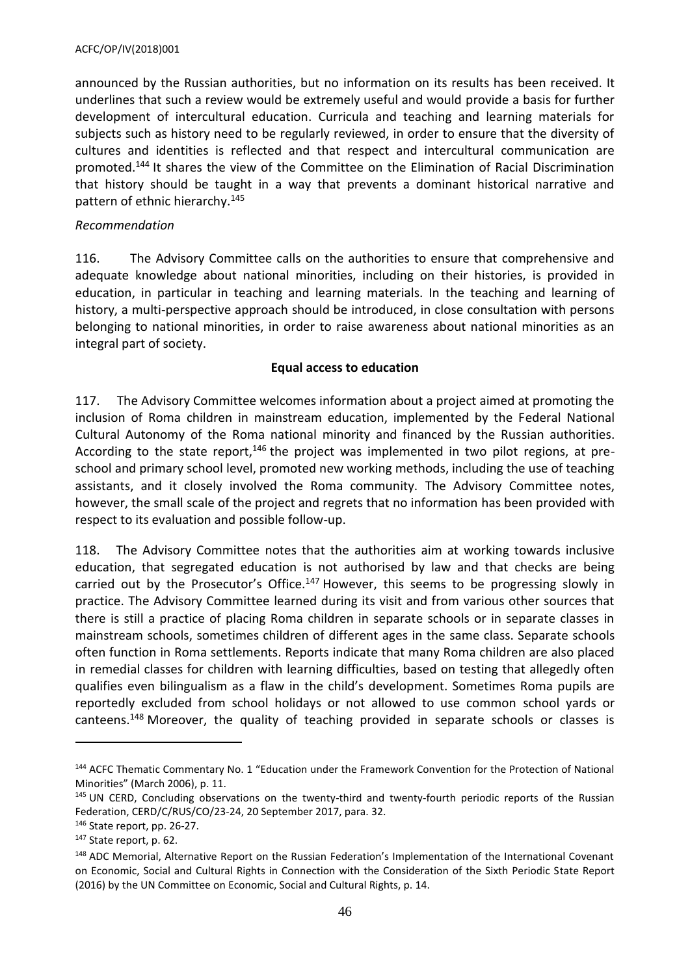#### ACFC/OP/IV(2018)001

announced by the Russian authorities, but no information on its results has been received. It underlines that such a review would be extremely useful and would provide a basis for further development of intercultural education. Curricula and teaching and learning materials for subjects such as history need to be regularly reviewed, in order to ensure that the diversity of cultures and identities is reflected and that respect and intercultural communication are promoted.<sup>144</sup> It shares the view of the Committee on the Elimination of Racial Discrimination that history should be taught in a way that prevents a dominant historical narrative and pattern of ethnic hierarchy. 145

### *Recommendation*

116. The Advisory Committee calls on the authorities to ensure that comprehensive and adequate knowledge about national minorities, including on their histories, is provided in education, in particular in teaching and learning materials. In the teaching and learning of history, a multi-perspective approach should be introduced, in close consultation with persons belonging to national minorities, in order to raise awareness about national minorities as an integral part of society.

#### **Equal access to education**

117. The Advisory Committee welcomes information about a project aimed at promoting the inclusion of Roma children in mainstream education, implemented by the Federal National Cultural Autonomy of the Roma national minority and financed by the Russian authorities. According to the state report,<sup>146</sup> the project was implemented in two pilot regions, at preschool and primary school level, promoted new working methods, including the use of teaching assistants, and it closely involved the Roma community. The Advisory Committee notes, however, the small scale of the project and regrets that no information has been provided with respect to its evaluation and possible follow-up.

118. The Advisory Committee notes that the authorities aim at working towards inclusive education, that segregated education is not authorised by law and that checks are being carried out by the Prosecutor's Office.<sup>147</sup> However, this seems to be progressing slowly in practice. The Advisory Committee learned during its visit and from various other sources that there is still a practice of placing Roma children in separate schools or in separate classes in mainstream schools, sometimes children of different ages in the same class. Separate schools often function in Roma settlements. Reports indicate that many Roma children are also placed in remedial classes for children with learning difficulties, based on testing that allegedly often qualifies even bilingualism as a flaw in the child's development. Sometimes Roma pupils are reportedly excluded from school holidays or not allowed to use common school yards or canteens.<sup>148</sup> Moreover, the quality of teaching provided in separate schools or classes is

<sup>144</sup> ACFC Thematic Commentary No. 1 "Education under the Framework Convention for the Protection of National Minorities" (March 2006), p. 11.

<sup>145</sup> UN CERD, Concluding observations on the twenty-third and twenty-fourth periodic reports of the Russian Federation, CERD/C/RUS/CO/23-24, 20 September 2017, para. 32.

<sup>146</sup> State report, pp. 26-27.

<sup>147</sup> State report, p. 62.

<sup>148</sup> ADC Memorial, Alternative Report on the Russian Federation's Implementation of the International Covenant on Economic, Social and Cultural Rights in Connection with the Consideration of the Sixth Periodic State Report (2016) by the UN Committee on Economic, Social and Cultural Rights, p. 14.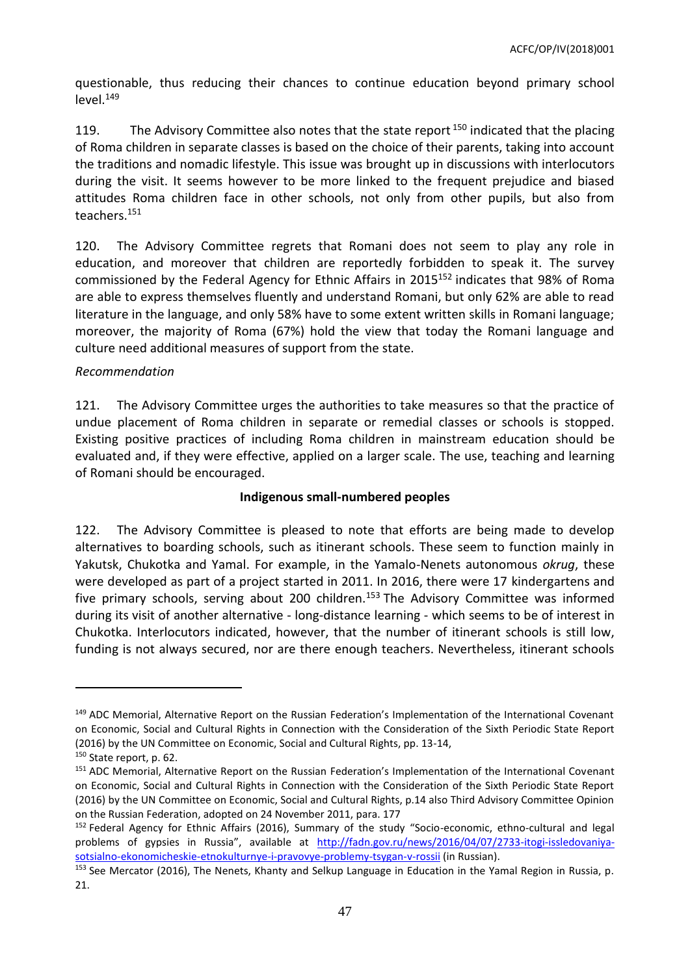questionable, thus reducing their chances to continue education beyond primary school level.<sup>149</sup>

119. The Advisory Committee also notes that the state report  $150$  indicated that the placing of Roma children in separate classes is based on the choice of their parents, taking into account the traditions and nomadic lifestyle. This issue was brought up in discussions with interlocutors during the visit. It seems however to be more linked to the frequent prejudice and biased attitudes Roma children face in other schools, not only from other pupils, but also from teachers.<sup>151</sup>

120. The Advisory Committee regrets that Romani does not seem to play any role in education, and moreover that children are reportedly forbidden to speak it. The survey commissioned by the Federal Agency for Ethnic Affairs in 2015<sup>152</sup> indicates that 98% of Roma are able to express themselves fluently and understand Romani, but only 62% are able to read literature in the language, and only 58% have to some extent written skills in Romani language; moreover, the majority of Roma (67%) hold the view that today the Romani language and culture need additional measures of support from the state.

#### *Recommendation*

121. The Advisory Committee urges the authorities to take measures so that the practice of undue placement of Roma children in separate or remedial classes or schools is stopped. Existing positive practices of including Roma children in mainstream education should be evaluated and, if they were effective, applied on a larger scale. The use, teaching and learning of Romani should be encouraged.

#### **Indigenous small-numbered peoples**

122. The Advisory Committee is pleased to note that efforts are being made to develop alternatives to boarding schools, such as itinerant schools. These seem to function mainly in Yakutsk, Chukotka and Yamal. For example, in the Yamalo-Nenets autonomous *okrug*, these were developed as part of a project started in 2011. In 2016, there were 17 kindergartens and five primary schools, serving about 200 children.<sup>153</sup> The Advisory Committee was informed during its visit of another alternative - long-distance learning - which seems to be of interest in Chukotka. Interlocutors indicated, however, that the number of itinerant schools is still low, funding is not always secured, nor are there enough teachers. Nevertheless, itinerant schools

<sup>&</sup>lt;sup>149</sup> ADC Memorial, Alternative Report on the Russian Federation's Implementation of the International Covenant on Economic, Social and Cultural Rights in Connection with the Consideration of the Sixth Periodic State Report (2016) by the UN Committee on Economic, Social and Cultural Rights, pp. 13-14,

<sup>&</sup>lt;sup>150</sup> State report, p. 62.

<sup>151</sup> ADC Memorial, Alternative Report on the Russian Federation's Implementation of the International Covenant on Economic, Social and Cultural Rights in Connection with the Consideration of the Sixth Periodic State Report (2016) by the UN Committee on Economic, Social and Cultural Rights, p.14 also Third Advisory Committee Opinion on the Russian Federation, adopted on 24 November 2011, para. 177

<sup>&</sup>lt;sup>152</sup> Federal Agency for Ethnic Affairs (2016), Summary of the study "Socio-economic, ethno-cultural and legal problems of gypsies in Russia", available at [http://fadn.gov.ru/news/2016/04/07/2733-itogi-issledovaniya](http://fadn.gov.ru/news/2016/04/07/2733-itogi-issledovaniya-sotsialno-ekonomicheskie-etnokulturnye-i-pravovye-problemy-tsygan-v-rossii)[sotsialno-ekonomicheskie-etnokulturnye-i-pravovye-problemy-tsygan-v-rossii](http://fadn.gov.ru/news/2016/04/07/2733-itogi-issledovaniya-sotsialno-ekonomicheskie-etnokulturnye-i-pravovye-problemy-tsygan-v-rossii) (in Russian).

<sup>153</sup> See Mercator (2016), The Nenets, Khanty and Selkup Language in Education in the Yamal Region in Russia, p. 21.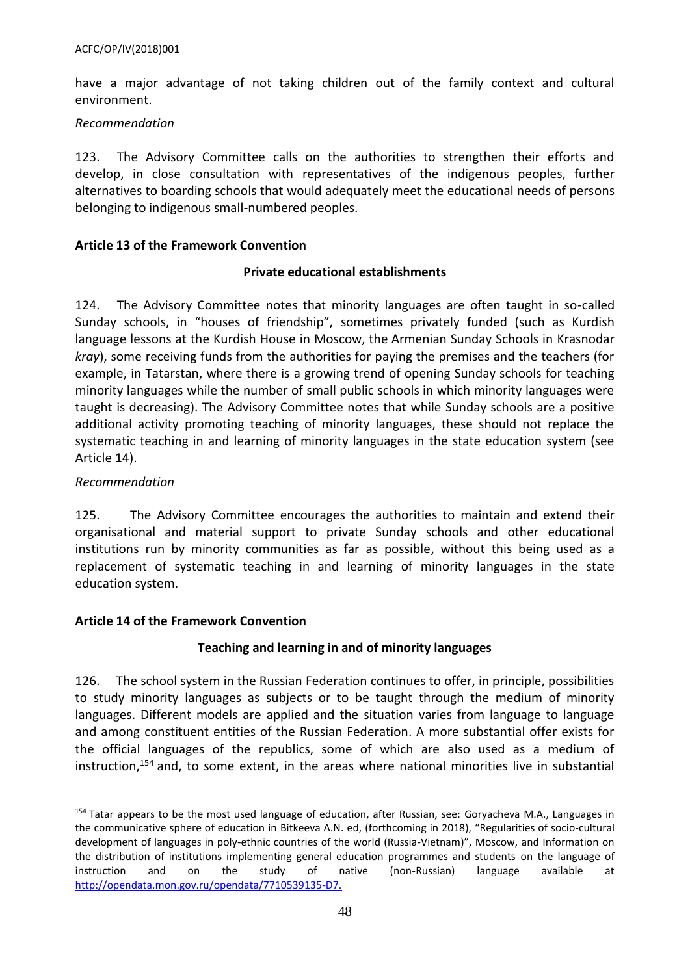have a major advantage of not taking children out of the family context and cultural environment.

#### *Recommendation*

123. The Advisory Committee calls on the authorities to strengthen their efforts and develop, in close consultation with representatives of the indigenous peoples, further alternatives to boarding schools that would adequately meet the educational needs of persons belonging to indigenous small-numbered peoples.

### <span id="page-47-0"></span>**Article 13 of the Framework Convention**

#### **Private educational establishments**

124. The Advisory Committee notes that minority languages are often taught in so-called Sunday schools, in "houses of friendship", sometimes privately funded (such as Kurdish language lessons at the Kurdish House in Moscow, the Armenian Sunday Schools in Krasnodar *kray*), some receiving funds from the authorities for paying the premises and the teachers (for example, in Tatarstan, where there is a growing trend of opening Sunday schools for teaching minority languages while the number of small public schools in which minority languages were taught is decreasing). The Advisory Committee notes that while Sunday schools are a positive additional activity promoting teaching of minority languages, these should not replace the systematic teaching in and learning of minority languages in the state education system (see Article 14).

### *Recommendation*

 $\overline{a}$ 

125. The Advisory Committee encourages the authorities to maintain and extend their organisational and material support to private Sunday schools and other educational institutions run by minority communities as far as possible, without this being used as a replacement of systematic teaching in and learning of minority languages in the state education system.

#### <span id="page-47-1"></span>**Article 14 of the Framework Convention**

# **Teaching and learning in and of minority languages**

126. The school system in the Russian Federation continues to offer, in principle, possibilities to study minority languages as subjects or to be taught through the medium of minority languages. Different models are applied and the situation varies from language to language and among constituent entities of the Russian Federation. A more substantial offer exists for the official languages of the republics, some of which are also used as a medium of instruction,<sup>154</sup> and, to some extent, in the areas where national minorities live in substantial

<sup>&</sup>lt;sup>154</sup> Tatar appears to be the most used language of education, after Russian, see: Goryacheva M.A., Languages in the communicative sphere of education in Bitkeeva A.N. ed, (forthcoming in 2018), "Regularities of socio-cultural development of languages in poly-ethnic countries of the world (Russia-Vietnam)", Moscow, and Information on the distribution of institutions implementing general education programmes and students on the language of instruction and on the study of native (non-Russian) language available at [http://opendata.mon.gov.ru/opendata/7710539135-D7.](http://opendata.mon.gov.ru/opendata/7710539135-D7)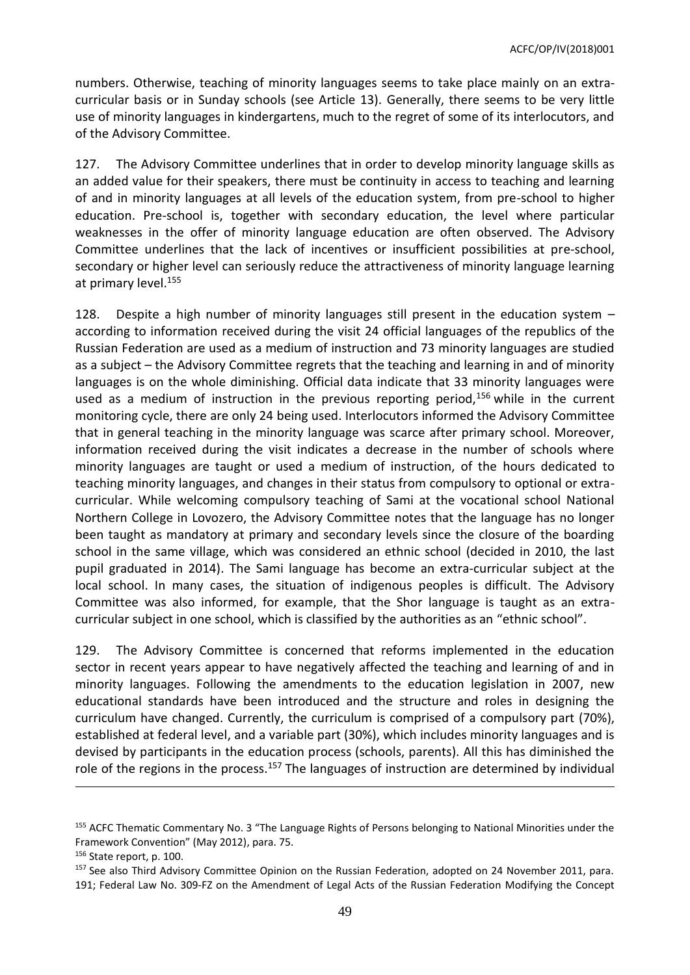numbers. Otherwise, teaching of minority languages seems to take place mainly on an extracurricular basis or in Sunday schools (see Article 13). Generally, there seems to be very little use of minority languages in kindergartens, much to the regret of some of its interlocutors, and of the Advisory Committee.

127. The Advisory Committee underlines that in order to develop minority language skills as an added value for their speakers, there must be continuity in access to teaching and learning of and in minority languages at all levels of the education system, from pre-school to higher education. Pre-school is, together with secondary education, the level where particular weaknesses in the offer of minority language education are often observed. The Advisory Committee underlines that the lack of incentives or insufficient possibilities at pre-school, secondary or higher level can seriously reduce the attractiveness of minority language learning at primary level.<sup>155</sup>

128. Despite a high number of minority languages still present in the education system – according to information received during the visit 24 official languages of the republics of the Russian Federation are used as a medium of instruction and 73 minority languages are studied as a subject – the Advisory Committee regrets that the teaching and learning in and of minority languages is on the whole diminishing. Official data indicate that 33 minority languages were used as a medium of instruction in the previous reporting period,<sup>156</sup> while in the current monitoring cycle, there are only 24 being used. Interlocutors informed the Advisory Committee that in general teaching in the minority language was scarce after primary school. Moreover, information received during the visit indicates a decrease in the number of schools where minority languages are taught or used a medium of instruction, of the hours dedicated to teaching minority languages, and changes in their status from compulsory to optional or extracurricular. While welcoming compulsory teaching of Sami at the vocational school National Northern College in Lovozero, the Advisory Committee notes that the language has no longer been taught as mandatory at primary and secondary levels since the closure of the boarding school in the same village, which was considered an ethnic school (decided in 2010, the last pupil graduated in 2014). The Sami language has become an extra-curricular subject at the local school. In many cases, the situation of indigenous peoples is difficult. The Advisory Committee was also informed, for example, that the Shor language is taught as an extracurricular subject in one school, which is classified by the authorities as an "ethnic school".

129. The Advisory Committee is concerned that reforms implemented in the education sector in recent years appear to have negatively affected the teaching and learning of and in minority languages. Following the amendments to the education legislation in 2007, new educational standards have been introduced and the structure and roles in designing the curriculum have changed. Currently, the curriculum is comprised of a compulsory part (70%), established at federal level, and a variable part (30%), which includes minority languages and is devised by participants in the education process (schools, parents). All this has diminished the role of the regions in the process.<sup>157</sup> The languages of instruction are determined by individual

<sup>&</sup>lt;sup>155</sup> ACFC Thematic Commentary No. 3 "The Language Rights of Persons belonging to National Minorities under the Framework Convention" (May 2012), para. 75.

<sup>156</sup> State report, p. 100.

<sup>&</sup>lt;sup>157</sup> See also Third Advisory Committee Opinion on the Russian Federation, adopted on 24 November 2011, para. 191; Federal Law No. 309-FZ on the Amendment of Legal Acts of the Russian Federation Modifying the Concept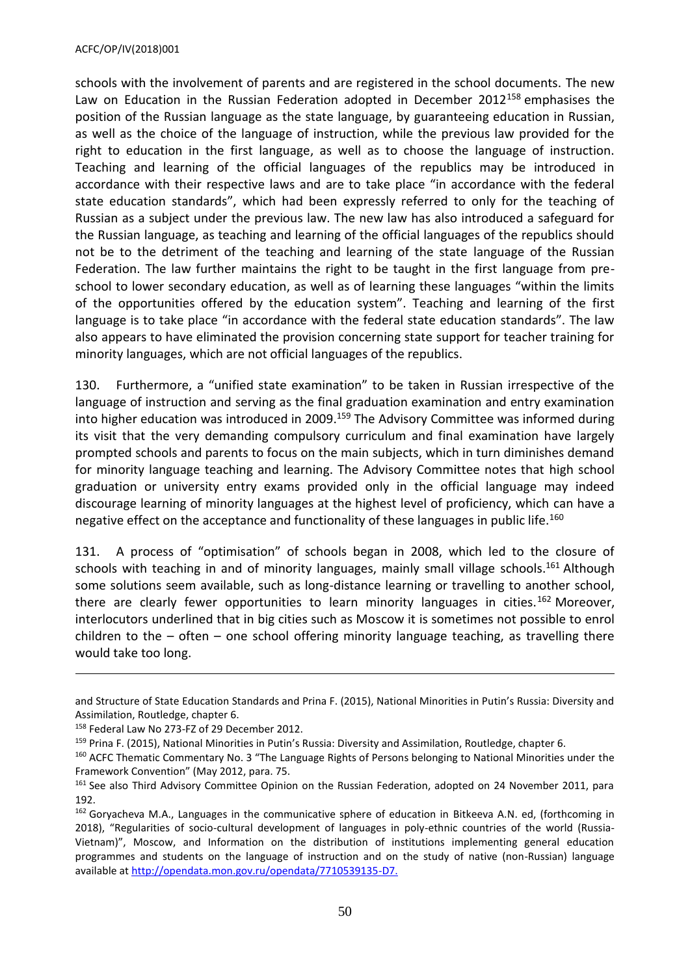schools with the involvement of parents and are registered in the school documents. The new Law on Education in the Russian Federation adopted in December 2012<sup>158</sup> emphasises the position of the Russian language as the state language, by guaranteeing education in Russian, as well as the choice of the language of instruction, while the previous law provided for the right to education in the first language, as well as to choose the language of instruction. Teaching and learning of the official languages of the republics may be introduced in accordance with their respective laws and are to take place "in accordance with the federal state education standards", which had been expressly referred to only for the teaching of Russian as a subject under the previous law. The new law has also introduced a safeguard for the Russian language, as teaching and learning of the official languages of the republics should not be to the detriment of the teaching and learning of the state language of the Russian Federation. The law further maintains the right to be taught in the first language from preschool to lower secondary education, as well as of learning these languages "within the limits of the opportunities offered by the education system". Teaching and learning of the first language is to take place "in accordance with the federal state education standards". The law also appears to have eliminated the provision concerning state support for teacher training for minority languages, which are not official languages of the republics.

130. Furthermore, a "unified state examination" to be taken in Russian irrespective of the language of instruction and serving as the final graduation examination and entry examination into higher education was introduced in 2009. <sup>159</sup> The Advisory Committee was informed during its visit that the very demanding compulsory curriculum and final examination have largely prompted schools and parents to focus on the main subjects, which in turn diminishes demand for minority language teaching and learning. The Advisory Committee notes that high school graduation or university entry exams provided only in the official language may indeed discourage learning of minority languages at the highest level of proficiency, which can have a negative effect on the acceptance and functionality of these languages in public life.<sup>160</sup>

131. A process of "optimisation" of schools began in 2008, which led to the closure of schools with teaching in and of minority languages, mainly small village schools.<sup>161</sup> Although some solutions seem available, such as long-distance learning or travelling to another school, there are clearly fewer opportunities to learn minority languages in cities.<sup>162</sup> Moreover, interlocutors underlined that in big cities such as Moscow it is sometimes not possible to enrol children to the – often – one school offering minority language teaching, as travelling there would take too long.

and Structure of State Education Standards and Prina F. (2015), National Minorities in Putin's Russia: Diversity and Assimilation, Routledge, chapter 6.

<sup>158</sup> Federal Law No 273-FZ of 29 December 2012.

<sup>159</sup> Prina F. (2015), National Minorities in Putin's Russia: Diversity and Assimilation, Routledge, chapter 6.

<sup>&</sup>lt;sup>160</sup> ACFC Thematic Commentary No. 3 "The Language Rights of Persons belonging to National Minorities under the Framework Convention" (May 2012, para. 75.

<sup>&</sup>lt;sup>161</sup> See also Third Advisory Committee Opinion on the Russian Federation, adopted on 24 November 2011, para 192.

<sup>162</sup> Goryacheva M.A., Languages in the communicative sphere of education in Bitkeeva A.N. ed, (forthcoming in 2018), "Regularities of socio-cultural development of languages in poly-ethnic countries of the world (Russia-Vietnam)", Moscow, and Information on the distribution of institutions implementing general education programmes and students on the language of instruction and on the study of native (non-Russian) language available a[t http://opendata.mon.gov.ru/opendata/7710539135-D7.](http://opendata.mon.gov.ru/opendata/7710539135-D7)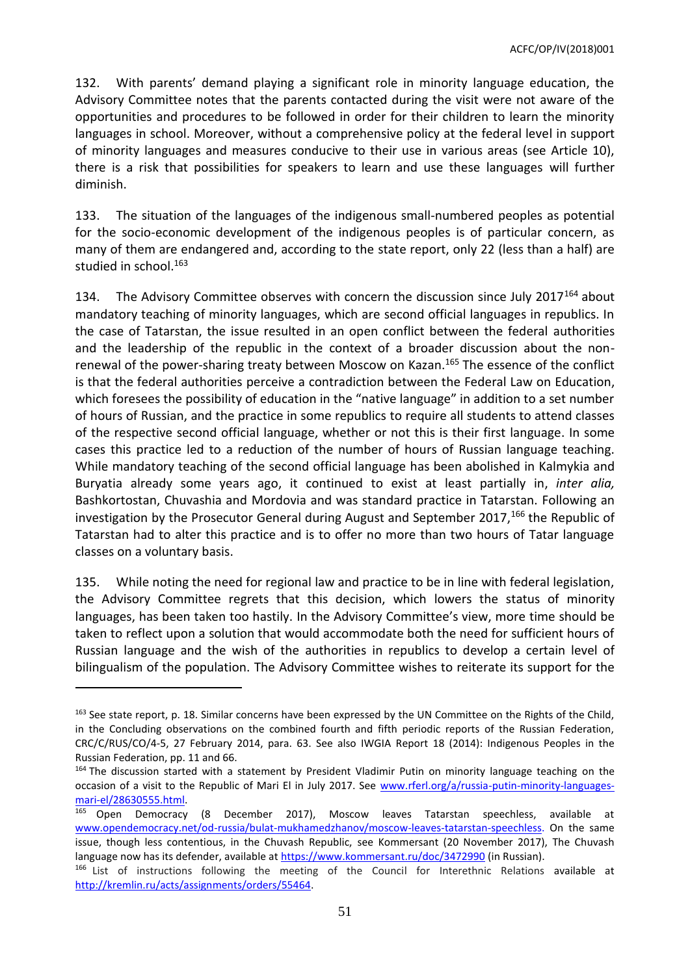132. With parents' demand playing a significant role in minority language education, the Advisory Committee notes that the parents contacted during the visit were not aware of the opportunities and procedures to be followed in order for their children to learn the minority languages in school. Moreover, without a comprehensive policy at the federal level in support of minority languages and measures conducive to their use in various areas (see Article 10), there is a risk that possibilities for speakers to learn and use these languages will further diminish.

133. The situation of the languages of the indigenous small-numbered peoples as potential for the socio-economic development of the indigenous peoples is of particular concern, as many of them are endangered and, according to the state report, only 22 (less than a half) are studied in school.<sup>163</sup>

134. The Advisory Committee observes with concern the discussion since July 2017<sup>164</sup> about mandatory teaching of minority languages, which are second official languages in republics. In the case of Tatarstan, the issue resulted in an open conflict between the federal authorities and the leadership of the republic in the context of a broader discussion about the nonrenewal of the power-sharing treaty between Moscow on Kazan.<sup>165</sup> The essence of the conflict is that the federal authorities perceive a contradiction between the Federal Law on Education, which foresees the possibility of education in the "native language" in addition to a set number of hours of Russian, and the practice in some republics to require all students to attend classes of the respective second official language, whether or not this is their first language. In some cases this practice led to a reduction of the number of hours of Russian language teaching. While mandatory teaching of the second official language has been abolished in Kalmykia and Buryatia already some years ago, it continued to exist at least partially in, *inter alia,* Bashkortostan, Chuvashia and Mordovia and was standard practice in Tatarstan. Following an investigation by the Prosecutor General during August and September 2017,<sup>166</sup> the Republic of Tatarstan had to alter this practice and is to offer no more than two hours of Tatar language classes on a voluntary basis.

135. While noting the need for regional law and practice to be in line with federal legislation, the Advisory Committee regrets that this decision, which lowers the status of minority languages, has been taken too hastily. In the Advisory Committee's view, more time should be taken to reflect upon a solution that would accommodate both the need for sufficient hours of Russian language and the wish of the authorities in republics to develop a certain level of bilingualism of the population. The Advisory Committee wishes to reiterate its support for the

<sup>&</sup>lt;sup>163</sup> See state report, p. 18. Similar concerns have been expressed by the UN Committee on the Rights of the Child, in the Concluding observations on the combined fourth and fifth periodic reports of the Russian Federation, CRC/C/RUS/CO/4-5, 27 February 2014, para. 63. See also IWGIA Report 18 (2014): Indigenous Peoples in the Russian Federation, pp. 11 and 66.

<sup>&</sup>lt;sup>164</sup> The discussion started with a statement by President Vladimir Putin on minority language teaching on the occasion of a visit to the Republic of Mari El in July 2017. See [www.rferl.org/a/russia-putin-minority-languages](http://www.rferl.org/a/russia-putin-minority-languages-mari-el/28630555.html)[mari-el/28630555.html.](http://www.rferl.org/a/russia-putin-minority-languages-mari-el/28630555.html)<br><sup>165</sup> Onen Democracy

Open Democracy (8 December 2017), Moscow leaves Tatarstan speechless, available at [www.opendemocracy.net/od-russia/bulat-mukhamedzhanov/moscow-leaves-tatarstan-speechless.](http://www.opendemocracy.net/od-russia/bulat-mukhamedzhanov/moscow-leaves-tatarstan-speechless) On the same issue, though less contentious, in the Chuvash Republic, see Kommersant (20 November 2017), The Chuvash language now has its defender, available a[t https://www.kommersant.ru/doc/3472990](https://www.kommersant.ru/doc/3472990) (in Russian).

<sup>166</sup> List of instructions following the meeting of the Council for Interethnic Relations available at [http://kremlin.ru/acts/assignments/orders/55464.](http://kremlin.ru/acts/assignments/orders/55464)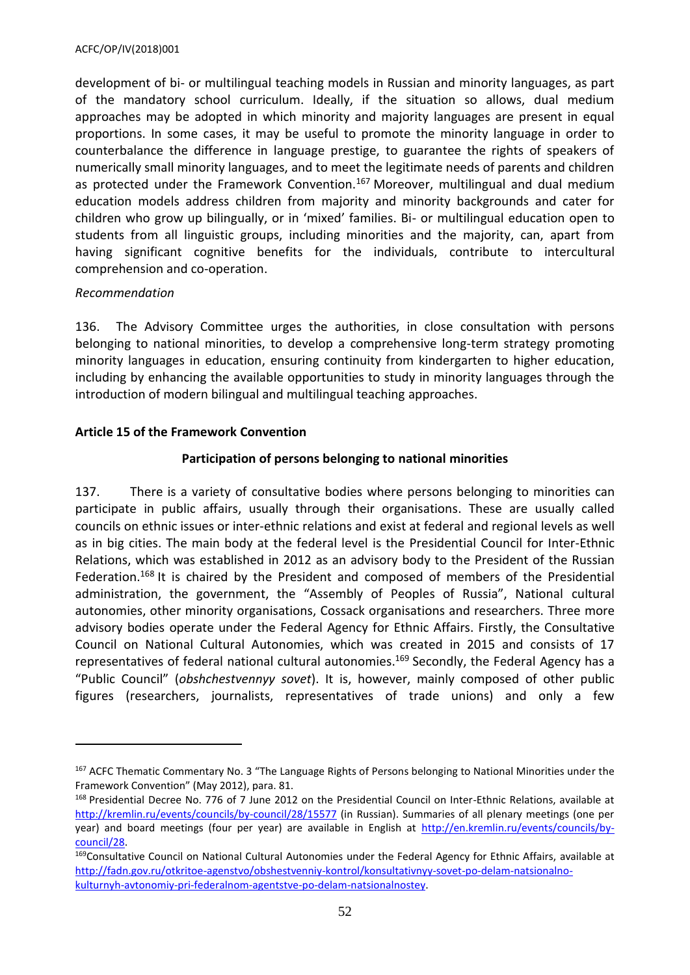development of bi- or multilingual teaching models in Russian and minority languages, as part of the mandatory school curriculum. Ideally, if the situation so allows, dual medium approaches may be adopted in which minority and majority languages are present in equal proportions. In some cases, it may be useful to promote the minority language in order to counterbalance the difference in language prestige, to guarantee the rights of speakers of numerically small minority languages, and to meet the legitimate needs of parents and children as protected under the Framework Convention.<sup>167</sup> Moreover, multilingual and dual medium education models address children from majority and minority backgrounds and cater for children who grow up bilingually, or in 'mixed' families. Bi- or multilingual education open to students from all linguistic groups, including minorities and the majority, can, apart from having significant cognitive benefits for the individuals, contribute to intercultural comprehension and co-operation.

#### *Recommendation*

 $\overline{\phantom{a}}$ 

136. The Advisory Committee urges the authorities, in close consultation with persons belonging to national minorities, to develop a comprehensive long-term strategy promoting minority languages in education, ensuring continuity from kindergarten to higher education, including by enhancing the available opportunities to study in minority languages through the introduction of modern bilingual and multilingual teaching approaches.

# <span id="page-51-0"></span>**Article 15 of the Framework Convention**

# **Participation of persons belonging to national minorities**

137. There is a variety of consultative bodies where persons belonging to minorities can participate in public affairs, usually through their organisations. These are usually called councils on ethnic issues or inter-ethnic relations and exist at federal and regional levels as well as in big cities. The main body at the federal level is the Presidential Council for Inter-Ethnic Relations, which was established in 2012 as an advisory body to the President of the Russian Federation.<sup>168</sup> It is chaired by the President and composed of members of the Presidential administration, the government, the "Assembly of Peoples of Russia", National cultural autonomies, other minority organisations, Cossack organisations and researchers. Three more advisory bodies operate under the Federal Agency for Ethnic Affairs. Firstly, the Consultative Council on National Cultural Autonomies, which was created in 2015 and consists of 17 representatives of federal national cultural autonomies.<sup>169</sup> Secondly, the Federal Agency has a "Public Council" (*obshchestvennyy sovet*). It is, however, mainly composed of other public figures (researchers, journalists, representatives of trade unions) and only a few

<sup>&</sup>lt;sup>167</sup> ACFC Thematic Commentary No. 3 "The Language Rights of Persons belonging to National Minorities under the Framework Convention" (May 2012), para. 81.

<sup>168</sup> Presidential Decree No. 776 of 7 June 2012 on the Presidential Council on Inter-Ethnic Relations, available at <http://kremlin.ru/events/councils/by-council/28/15577> (in Russian). Summaries of all plenary meetings (one per year) and board meetings (four per year) are available in English at [http://en.kremlin.ru/events/councils/by](http://en.kremlin.ru/events/councils/by-council/28)[council/28.](http://en.kremlin.ru/events/councils/by-council/28)

<sup>&</sup>lt;sup>169</sup>Consultative Council on National Cultural Autonomies under the Federal Agency for Ethnic Affairs, available at [http://fadn.gov.ru/otkritoe-agenstvo/obshestvenniy-kontrol/konsultativnyy-sovet-po-delam-natsionalno](http://fadn.gov.ru/otkritoe-agenstvo/obshestvenniy-kontrol/konsultativnyy-sovet-po-delam-natsionalno-kulturnyh-avtonomiy-pri-federalnom-agentstve-po-delam-natsionalnostey)[kulturnyh-avtonomiy-pri-federalnom-agentstve-po-delam-natsionalnostey.](http://fadn.gov.ru/otkritoe-agenstvo/obshestvenniy-kontrol/konsultativnyy-sovet-po-delam-natsionalno-kulturnyh-avtonomiy-pri-federalnom-agentstve-po-delam-natsionalnostey)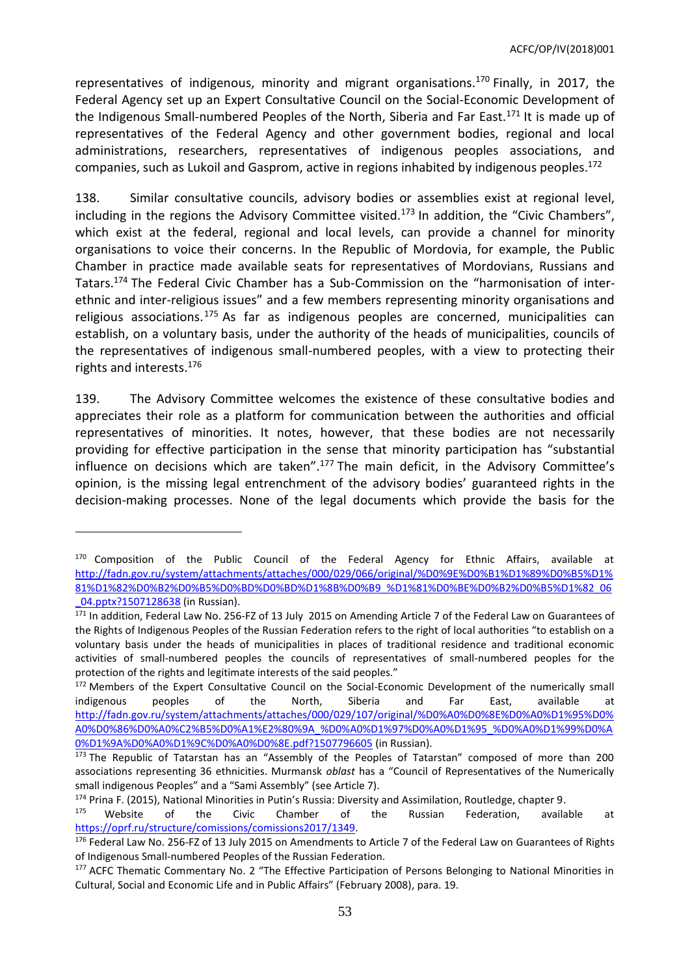representatives of indigenous, minority and migrant organisations.<sup>170</sup> Finally, in 2017, the Federal Agency set up an Expert Consultative Council on the Social-Economic Development of the Indigenous Small-numbered Peoples of the North, Siberia and Far East.<sup>171</sup> It is made up of representatives of the Federal Agency and other government bodies, regional and local administrations, researchers, representatives of indigenous peoples associations, and companies, such as Lukoil and Gasprom, active in regions inhabited by indigenous peoples. 172

138. Similar consultative councils, advisory bodies or assemblies exist at regional level, including in the regions the Advisory Committee visited.<sup>173</sup> In addition, the "Civic Chambers", which exist at the federal, regional and local levels, can provide a channel for minority organisations to voice their concerns. In the Republic of Mordovia, for example, the Public Chamber in practice made available seats for representatives of Mordovians, Russians and Tatars.<sup>174</sup> The Federal Civic Chamber has a Sub-Commission on the "harmonisation of interethnic and inter-religious issues" and a few members representing minority organisations and religious associations.<sup>175</sup> As far as indigenous peoples are concerned, municipalities can establish, on a voluntary basis, under the authority of the heads of municipalities, councils of the representatives of indigenous small-numbered peoples, with a view to protecting their rights and interests. 176

139. The Advisory Committee welcomes the existence of these consultative bodies and appreciates their role as a platform for communication between the authorities and official representatives of minorities. It notes, however, that these bodies are not necessarily providing for effective participation in the sense that minority participation has "substantial influence on decisions which are taken".<sup>177</sup> The main deficit, in the Advisory Committee's opinion, is the missing legal entrenchment of the advisory bodies' guaranteed rights in the decision-making processes. None of the legal documents which provide the basis for the

<sup>&</sup>lt;sup>170</sup> Composition of the Public Council of the Federal Agency for Ethnic Affairs, available at [http://fadn.gov.ru/system/attachments/attaches/000/029/066/original/%D0%9E%D0%B1%D1%89%D0%B5%D1%](http://fadn.gov.ru/system/attachments/attaches/000/029/066/original/%D0%9E%D0%B1%D1%89%D0%B5%D1%81%D1%82%D0%B2%D0%B5%D0%BD%D0%BD%D1%8B%D0%B9_%D1%81%D0%BE%D0%B2%D0%B5%D1%82_06_04.pptx?1507128638) [81%D1%82%D0%B2%D0%B5%D0%BD%D0%BD%D1%8B%D0%B9\\_%D1%81%D0%BE%D0%B2%D0%B5%D1%82\\_06](http://fadn.gov.ru/system/attachments/attaches/000/029/066/original/%D0%9E%D0%B1%D1%89%D0%B5%D1%81%D1%82%D0%B2%D0%B5%D0%BD%D0%BD%D1%8B%D0%B9_%D1%81%D0%BE%D0%B2%D0%B5%D1%82_06_04.pptx?1507128638) 04.pptx?1507128638 (in Russian).

<sup>171</sup> In addition, Federal Law No. 256-FZ of 13 July 2015 on Amending Article 7 of the Federal Law on Guarantees of the Rights of Indigenous Peoples of the Russian Federation refers to the right of local authorities "to establish on a voluntary basis under the heads of municipalities in places of traditional residence and traditional economic activities of small-numbered peoples the councils of representatives of small-numbered peoples for the protection of the rights and legitimate interests of the said peoples."

<sup>172</sup> Members of the Expert Consultative Council on the Social-Economic Development of the numerically small indigenous peoples of the North, Siberia and Far East, available at [http://fadn.gov.ru/system/attachments/attaches/000/029/107/original/%D0%A0%D0%8E%D0%A0%D1%95%D0%](http://fadn.gov.ru/system/attachments/attaches/000/029/107/original/%D0%A0%D0%8E%D0%A0%D1%95%D0%A0%D0%86%D0%A0%C2%B5%D0%A1%E2%80%9A_%D0%A0%D1%97%D0%A0%D1%95_%D0%A0%D1%99%D0%A0%D1%9A%D0%A0%D1%9C%D0%A0%D0%8E.pdf?1507796605) [A0%D0%86%D0%A0%C2%B5%D0%A1%E2%80%9A\\_%D0%A0%D1%97%D0%A0%D1%95\\_%D0%A0%D1%99%D0%A](http://fadn.gov.ru/system/attachments/attaches/000/029/107/original/%D0%A0%D0%8E%D0%A0%D1%95%D0%A0%D0%86%D0%A0%C2%B5%D0%A1%E2%80%9A_%D0%A0%D1%97%D0%A0%D1%95_%D0%A0%D1%99%D0%A0%D1%9A%D0%A0%D1%9C%D0%A0%D0%8E.pdf?1507796605) [0%D1%9A%D0%A0%D1%9C%D0%A0%D0%8E.pdf?1507796605](http://fadn.gov.ru/system/attachments/attaches/000/029/107/original/%D0%A0%D0%8E%D0%A0%D1%95%D0%A0%D0%86%D0%A0%C2%B5%D0%A1%E2%80%9A_%D0%A0%D1%97%D0%A0%D1%95_%D0%A0%D1%99%D0%A0%D1%9A%D0%A0%D1%9C%D0%A0%D0%8E.pdf?1507796605) (in Russian).

<sup>&</sup>lt;sup>173</sup> The Republic of Tatarstan has an "Assembly of the Peoples of Tatarstan" composed of more than 200 associations representing 36 ethnicities. Murmansk *oblast* has a "Council of Representatives of the Numerically small indigenous Peoples" and a "Sami Assembly" (see Article 7).

<sup>&</sup>lt;sup>174</sup> Prina F. (2015), National Minorities in Putin's Russia: Diversity and Assimilation, Routledge, chapter 9.

<sup>&</sup>lt;sup>175</sup> Website of the Civic Chamber of the Russian Federation, available at [https://oprf.ru/structure/comissions/comissions2017/1349.](https://oprf.ru/structure/comissions/comissions2017/1349)

<sup>176</sup> Federal Law No. 256-FZ of 13 July 2015 on Amendments to Article 7 of the Federal Law on Guarantees of Rights of Indigenous Small-numbered Peoples of the Russian Federation.

<sup>177</sup> ACFC Thematic Commentary No. 2 "The Effective Participation of Persons Belonging to National Minorities in Cultural, Social and Economic Life and in Public Affairs" (February 2008), para. 19.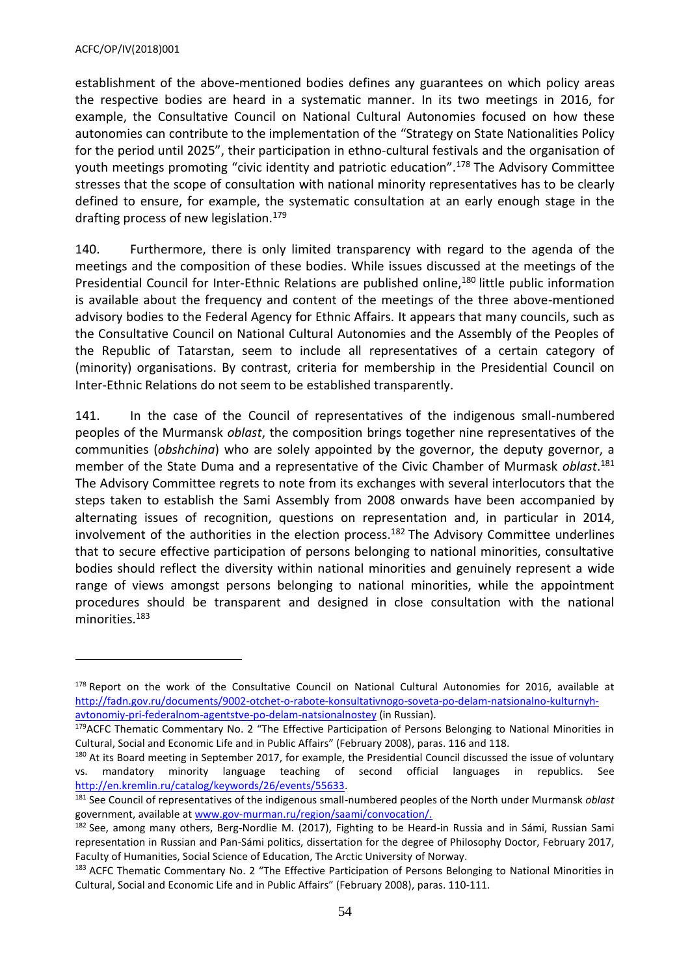$\overline{a}$ 

establishment of the above-mentioned bodies defines any guarantees on which policy areas the respective bodies are heard in a systematic manner. In its two meetings in 2016, for example, the Consultative Council on National Cultural Autonomies focused on how these autonomies can contribute to the implementation of the "Strategy on State Nationalities Policy for the period until 2025", their participation in ethno-cultural festivals and the organisation of youth meetings promoting "civic identity and patriotic education".<sup>178</sup> The Advisory Committee stresses that the scope of consultation with national minority representatives has to be clearly defined to ensure, for example, the systematic consultation at an early enough stage in the drafting process of new legislation.<sup>179</sup>

140. Furthermore, there is only limited transparency with regard to the agenda of the meetings and the composition of these bodies. While issues discussed at the meetings of the Presidential Council for Inter-Ethnic Relations are published online,<sup>180</sup> little public information is available about the frequency and content of the meetings of the three above-mentioned advisory bodies to the Federal Agency for Ethnic Affairs. It appears that many councils, such as the Consultative Council on National Cultural Autonomies and the Assembly of the Peoples of the Republic of Tatarstan, seem to include all representatives of a certain category of (minority) organisations. By contrast, criteria for membership in the Presidential Council on Inter-Ethnic Relations do not seem to be established transparently.

141. In the case of the Council of representatives of the indigenous small-numbered peoples of the Murmansk *oblast*, the composition brings together nine representatives of the communities (*obshchina*) who are solely appointed by the governor, the deputy governor, a member of the State Duma and a representative of the Civic Chamber of Murmask *oblast*. 181 The Advisory Committee regrets to note from its exchanges with several interlocutors that the steps taken to establish the Sami Assembly from 2008 onwards have been accompanied by alternating issues of recognition, questions on representation and, in particular in 2014, involvement of the authorities in the election process.<sup>182</sup> The Advisory Committee underlines that to secure effective participation of persons belonging to national minorities, consultative bodies should reflect the diversity within national minorities and genuinely represent a wide range of views amongst persons belonging to national minorities, while the appointment procedures should be transparent and designed in close consultation with the national minorities.<sup>183</sup>

<sup>178</sup> Report on the work of the Consultative Council on National Cultural Autonomies for 2016, available at [http://fadn.gov.ru/documents/9002-otchet-o-rabote-konsultativnogo-soveta-po-delam-natsionalno-kulturnyh](http://fadn.gov.ru/documents/9002-otchet-o-rabote-konsultativnogo-soveta-po-delam-natsionalno-kulturnyh-avtonomiy-pri-federalnom-agentstve-po-delam-natsionalnostey)[avtonomiy-pri-federalnom-agentstve-po-delam-natsionalnostey](http://fadn.gov.ru/documents/9002-otchet-o-rabote-konsultativnogo-soveta-po-delam-natsionalno-kulturnyh-avtonomiy-pri-federalnom-agentstve-po-delam-natsionalnostey) (in Russian).

<sup>&</sup>lt;sup>179</sup>ACFC Thematic Commentary No. 2 "The Effective Participation of Persons Belonging to National Minorities in Cultural, Social and Economic Life and in Public Affairs" (February 2008), paras. 116 and 118.

<sup>&</sup>lt;sup>180</sup> At its Board meeting in September 2017, for example, the Presidential Council discussed the issue of voluntary vs. mandatory minority language teaching of second official languages in republics. See [http://en.kremlin.ru/catalog/keywords/26/events/55633.](http://en.kremlin.ru/catalog/keywords/26/events/55633)

<sup>181</sup> See Council of representatives of the indigenous small-numbered peoples of the North under Murmansk *oblast*  government, available at [www.gov-murman.ru/region/saami/convocation/.](http://www.gov-murman.ru/region/saami/convocation/)

<sup>&</sup>lt;sup>182</sup> See, among many others, Berg-Nordlie M. (2017), Fighting to be Heard-in Russia and in Sámi, Russian Sami representation in Russian and Pan-Sámi politics, dissertation for the degree of Philosophy Doctor, February 2017, Faculty of Humanities, Social Science of Education, The Arctic University of Norway.

<sup>183</sup> ACFC Thematic Commentary No. 2 "The Effective Participation of Persons Belonging to National Minorities in Cultural, Social and Economic Life and in Public Affairs" (February 2008), paras. 110-111.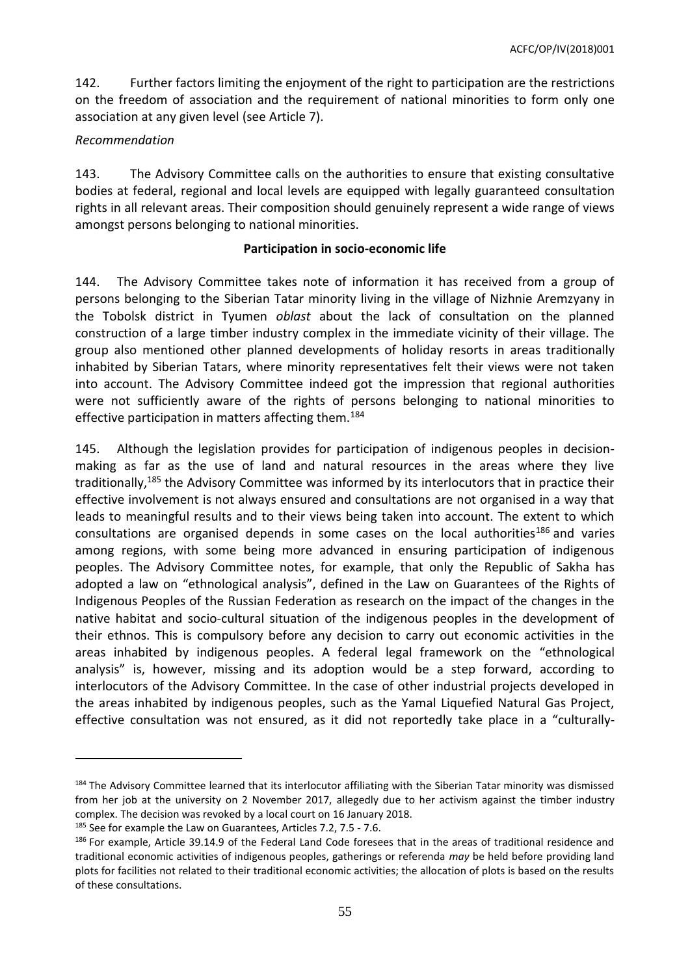142. Further factors limiting the enjoyment of the right to participation are the restrictions on the freedom of association and the requirement of national minorities to form only one association at any given level (see Article 7).

### *Recommendation*

 $\overline{a}$ 

143. The Advisory Committee calls on the authorities to ensure that existing consultative bodies at federal, regional and local levels are equipped with legally guaranteed consultation rights in all relevant areas. Their composition should genuinely represent a wide range of views amongst persons belonging to national minorities.

### **Participation in socio-economic life**

144. The Advisory Committee takes note of information it has received from a group of persons belonging to the Siberian Tatar minority living in the village of Nizhnie Aremzyany in the Tobolsk district in Tyumen *oblast* about the lack of consultation on the planned construction of a large timber industry complex in the immediate vicinity of their village. The group also mentioned other planned developments of holiday resorts in areas traditionally inhabited by Siberian Tatars, where minority representatives felt their views were not taken into account. The Advisory Committee indeed got the impression that regional authorities were not sufficiently aware of the rights of persons belonging to national minorities to effective participation in matters affecting them.<sup>184</sup>

145. Although the legislation provides for participation of indigenous peoples in decisionmaking as far as the use of land and natural resources in the areas where they live traditionally,<sup>185</sup> the Advisory Committee was informed by its interlocutors that in practice their effective involvement is not always ensured and consultations are not organised in a way that leads to meaningful results and to their views being taken into account. The extent to which consultations are organised depends in some cases on the local authorities<sup>186</sup> and varies among regions, with some being more advanced in ensuring participation of indigenous peoples. The Advisory Committee notes, for example, that only the Republic of Sakha has adopted a law on "ethnological analysis", defined in the Law on Guarantees of the Rights of Indigenous Peoples of the Russian Federation as research on the impact of the changes in the native habitat and socio-cultural situation of the indigenous peoples in the development of their ethnos. This is compulsory before any decision to carry out economic activities in the areas inhabited by indigenous peoples. A federal legal framework on the "ethnological analysis" is, however, missing and its adoption would be a step forward, according to interlocutors of the Advisory Committee. In the case of other industrial projects developed in the areas inhabited by indigenous peoples, such as the Yamal Liquefied Natural Gas Project, effective consultation was not ensured, as it did not reportedly take place in a "culturally-

<sup>184</sup> The Advisory Committee learned that its interlocutor affiliating with the Siberian Tatar minority was dismissed from her job at the university on 2 November 2017, allegedly due to her activism against the timber industry complex. The decision was revoked by a local court on 16 January 2018. <sup>185</sup> See for example the Law on Guarantees, Articles 7.2, 7.5 - 7.6.

<sup>186</sup> For example, Article 39.14.9 of the Federal Land Code foresees that in the areas of traditional residence and traditional economic activities of indigenous peoples, gatherings or referenda *may* be held before providing land plots for facilities not related to their traditional economic activities; the allocation of plots is based on the results of these consultations.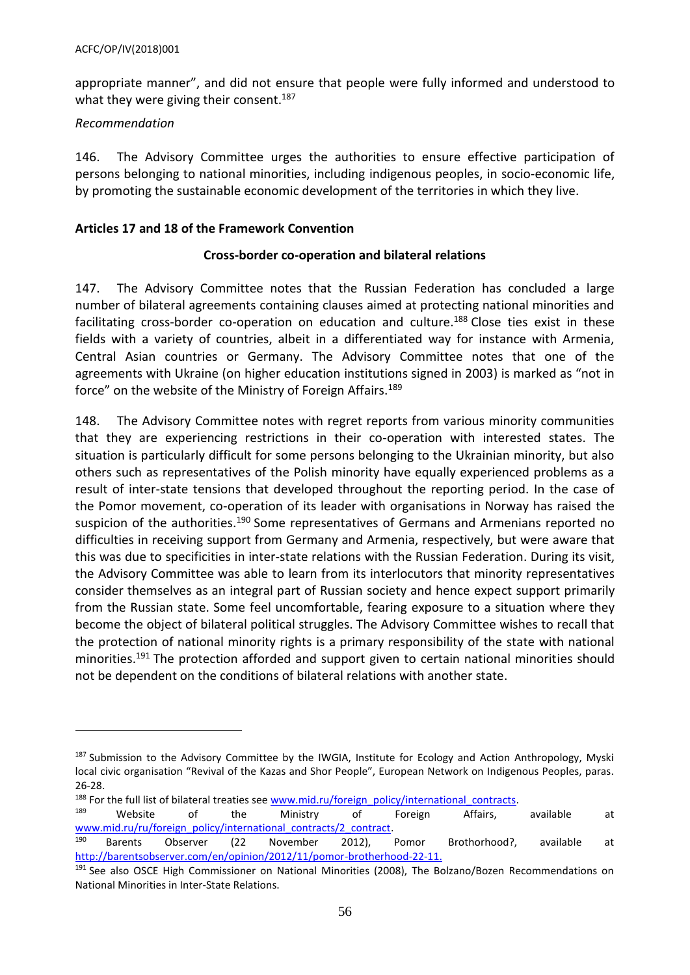appropriate manner", and did not ensure that people were fully informed and understood to what they were giving their consent.<sup>187</sup>

### *Recommendation*

 $\overline{a}$ 

146. The Advisory Committee urges the authorities to ensure effective participation of persons belonging to national minorities, including indigenous peoples, in socio-economic life, by promoting the sustainable economic development of the territories in which they live.

### <span id="page-55-0"></span>**Articles 17 and 18 of the Framework Convention**

### **Cross-border co-operation and bilateral relations**

147. The Advisory Committee notes that the Russian Federation has concluded a large number of bilateral agreements containing clauses aimed at protecting national minorities and facilitating cross-border co-operation on education and culture.<sup>188</sup> Close ties exist in these fields with a variety of countries, albeit in a differentiated way for instance with Armenia, Central Asian countries or Germany. The Advisory Committee notes that one of the agreements with Ukraine (on higher education institutions signed in 2003) is marked as "not in force" on the website of the Ministry of Foreign Affairs.<sup>189</sup>

148. The Advisory Committee notes with regret reports from various minority communities that they are experiencing restrictions in their co-operation with interested states. The situation is particularly difficult for some persons belonging to the Ukrainian minority, but also others such as representatives of the Polish minority have equally experienced problems as a result of inter-state tensions that developed throughout the reporting period. In the case of the Pomor movement, co-operation of its leader with organisations in Norway has raised the suspicion of the authorities.<sup>190</sup> Some representatives of Germans and Armenians reported no difficulties in receiving support from Germany and Armenia, respectively, but were aware that this was due to specificities in inter-state relations with the Russian Federation. During its visit, the Advisory Committee was able to learn from its interlocutors that minority representatives consider themselves as an integral part of Russian society and hence expect support primarily from the Russian state. Some feel uncomfortable, fearing exposure to a situation where they become the object of bilateral political struggles. The Advisory Committee wishes to recall that the protection of national minority rights is a primary responsibility of the state with national minorities. <sup>191</sup> The protection afforded and support given to certain national minorities should not be dependent on the conditions of bilateral relations with another state.

<sup>&</sup>lt;sup>187</sup> Submission to the Advisory Committee by the IWGIA, Institute for Ecology and Action Anthropology, Myski local civic organisation "Revival of the Kazas and Shor People", European Network on Indigenous Peoples, paras. 26-28.

<sup>&</sup>lt;sup>188</sup> For the full list of bilateral treaties se[e www.mid.ru/foreign\\_policy/international\\_contracts.](http://www.mid.ru/foreign_policy/international_contracts)<br><sup>189</sup> Mobisto of the Ministry of Foreign Affairs

<sup>189</sup> Website of the Ministry of Foreign Affairs, available at www.mid.ru/ru/foreign\_policy/international\_contracts/2\_contract.

<sup>&</sup>lt;sup>190</sup> Barents Observer (22 November 2012), Pomor Brothorhood?, available at [http://barentsobserver.com/en/opinion/2012/11/pomor-brotherhood-22-11.](http://barentsobserver.com/en/opinion/2012/11/pomor-brotherhood-22-11)

<sup>&</sup>lt;sup>191</sup> See also OSCE High Commissioner on National Minorities (2008), The Bolzano/Bozen Recommendations on National Minorities in Inter-State Relations.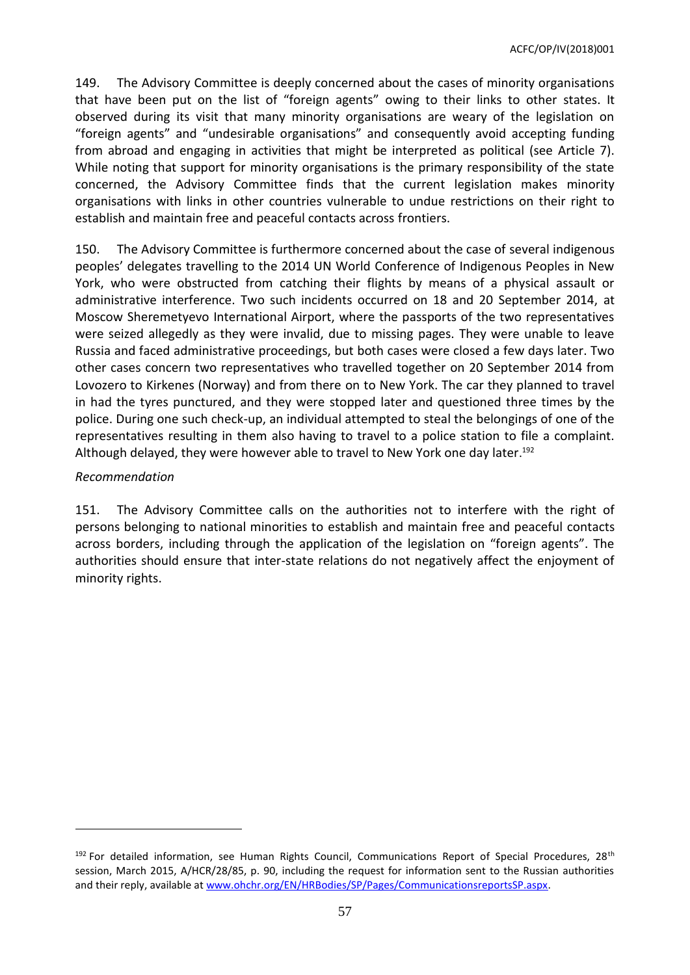149. The Advisory Committee is deeply concerned about the cases of minority organisations that have been put on the list of "foreign agents" owing to their links to other states. It observed during its visit that many minority organisations are weary of the legislation on "foreign agents" and "undesirable organisations" and consequently avoid accepting funding from abroad and engaging in activities that might be interpreted as political (see Article 7). While noting that support for minority organisations is the primary responsibility of the state concerned, the Advisory Committee finds that the current legislation makes minority organisations with links in other countries vulnerable to undue restrictions on their right to establish and maintain free and peaceful contacts across frontiers.

150. The Advisory Committee is furthermore concerned about the case of several indigenous peoples' delegates travelling to the 2014 UN World Conference of Indigenous Peoples in New York, who were obstructed from catching their flights by means of a physical assault or administrative interference. Two such incidents occurred on 18 and 20 September 2014, at Moscow Sheremetyevo International Airport, where the passports of the two representatives were seized allegedly as they were invalid, due to missing pages. They were unable to leave Russia and faced administrative proceedings, but both cases were closed a few days later. Two other cases concern two representatives who travelled together on 20 September 2014 from Lovozero to Kirkenes (Norway) and from there on to New York. The car they planned to travel in had the tyres punctured, and they were stopped later and questioned three times by the police. During one such check-up, an individual attempted to steal the belongings of one of the representatives resulting in them also having to travel to a police station to file a complaint. Although delayed, they were however able to travel to New York one day later. 192

### *Recommendation*

 $\overline{\phantom{a}}$ 

151. The Advisory Committee calls on the authorities not to interfere with the right of persons belonging to national minorities to establish and maintain free and peaceful contacts across borders, including through the application of the legislation on "foreign agents". The authorities should ensure that inter-state relations do not negatively affect the enjoyment of minority rights.

 $192$  For detailed information, see Human Rights Council, Communications Report of Special Procedures, 28<sup>th</sup> session, March 2015, A/HCR/28/85, p. 90, including the request for information sent to the Russian authorities and their reply, available at [www.ohchr.org/EN/HRBodies/SP/Pages/CommunicationsreportsSP.aspx.](http://www.ohchr.org/EN/HRBodies/SP/Pages/CommunicationsreportsSP.aspx)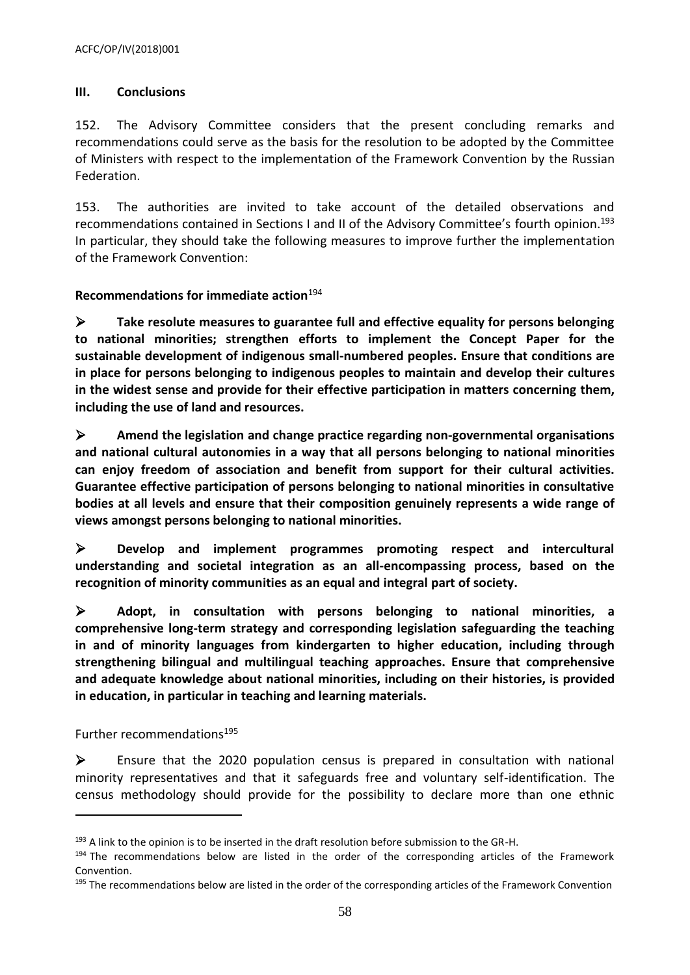### <span id="page-57-0"></span>**III. Conclusions**

152. The Advisory Committee considers that the present concluding remarks and recommendations could serve as the basis for the resolution to be adopted by the Committee of Ministers with respect to the implementation of the Framework Convention by the Russian Federation.

153. The authorities are invited to take account of the detailed observations and recommendations contained in Sections I and II of the Advisory Committee's fourth opinion.<sup>193</sup> In particular, they should take the following measures to improve further the implementation of the Framework Convention:

### <span id="page-57-1"></span>**Recommendations for immediate action**<sup>194</sup>

 **Take resolute measures to guarantee full and effective equality for persons belonging to national minorities; strengthen efforts to implement the Concept Paper for the sustainable development of indigenous small-numbered peoples. Ensure that conditions are in place for persons belonging to indigenous peoples to maintain and develop their cultures in the widest sense and provide for their effective participation in matters concerning them, including the use of land and resources.**

 **Amend the legislation and change practice regarding non-governmental organisations and national cultural autonomies in a way that all persons belonging to national minorities can enjoy freedom of association and benefit from support for their cultural activities. Guarantee effective participation of persons belonging to national minorities in consultative bodies at all levels and ensure that their composition genuinely represents a wide range of views amongst persons belonging to national minorities.** 

 **Develop and implement programmes promoting respect and intercultural understanding and societal integration as an all-encompassing process, based on the recognition of minority communities as an equal and integral part of society.**

 **Adopt, in consultation with persons belonging to national minorities, a comprehensive long-term strategy and corresponding legislation safeguarding the teaching in and of minority languages from kindergarten to higher education, including through strengthening bilingual and multilingual teaching approaches. Ensure that comprehensive and adequate knowledge about national minorities, including on their histories, is provided in education, in particular in teaching and learning materials.**

<span id="page-57-2"></span>Further recommendations<sup>195</sup>

 $\overline{\phantom{a}}$ 

 $\triangleright$  Ensure that the 2020 population census is prepared in consultation with national minority representatives and that it safeguards free and voluntary self-identification. The census methodology should provide for the possibility to declare more than one ethnic

<sup>&</sup>lt;sup>193</sup> A link to the opinion is to be inserted in the draft resolution before submission to the GR-H.

<sup>194</sup> The recommendations below are listed in the order of the corresponding articles of the Framework Convention.

<sup>&</sup>lt;sup>195</sup> The recommendations below are listed in the order of the corresponding articles of the Framework Convention